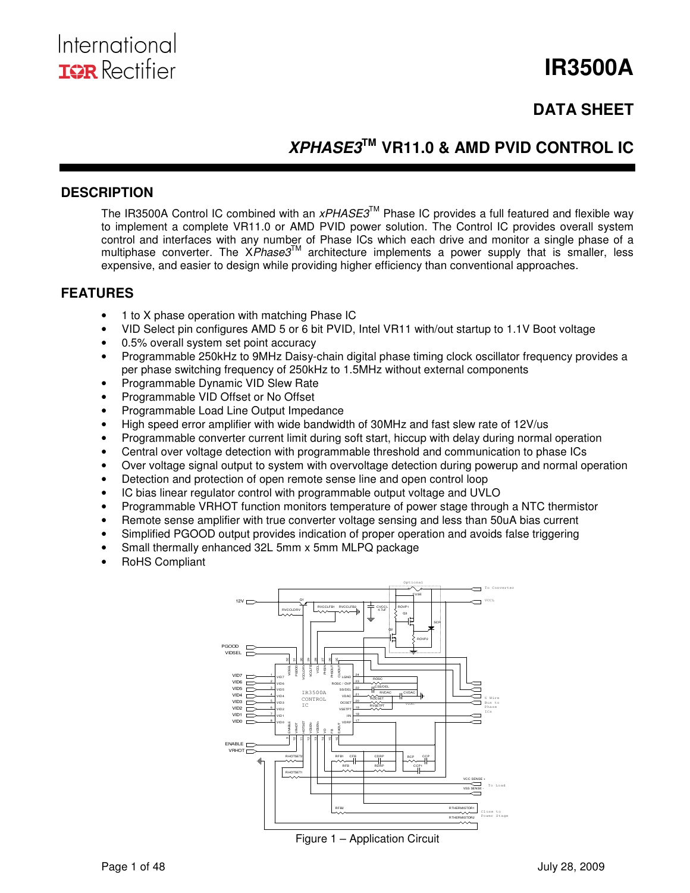

# **IR3500A**

# **DATA SHEET**

# **XPHASE3TM VR11.0 & AMD PVID CONTROL IC**

#### **DESCRIPTION**

The IR3500A Control IC combined with an  $xPHASE3^{\text{TM}}$  Phase IC provides a full featured and flexible way to implement a complete VR11.0 or AMD PVID power solution. The Control IC provides overall system control and interfaces with any number of Phase ICs which each drive and monitor a single phase of a multiphase converter. The  $\mathsf{X}Phase3^{\mathsf{TM}}$  architecture implements a power supply that is smaller, less expensive, and easier to design while providing higher efficiency than conventional approaches.

### **FEATURES**

- 1 to X phase operation with matching Phase IC
- VID Select pin configures AMD 5 or 6 bit PVID, Intel VR11 with/out startup to 1.1V Boot voltage
- 0.5% overall system set point accuracy
- Programmable 250kHz to 9MHz Daisy-chain digital phase timing clock oscillator frequency provides a per phase switching frequency of 250kHz to 1.5MHz without external components
- Programmable Dynamic VID Slew Rate
- Programmable VID Offset or No Offset
- Programmable Load Line Output Impedance
- High speed error amplifier with wide bandwidth of 30MHz and fast slew rate of 12V/us
- Programmable converter current limit during soft start, hiccup with delay during normal operation
- Central over voltage detection with programmable threshold and communication to phase ICs
- Over voltage signal output to system with overvoltage detection during powerup and normal operation
- Detection and protection of open remote sense line and open control loop
- IC bias linear regulator control with programmable output voltage and UVLO
- Programmable VRHOT function monitors temperature of power stage through a NTC thermistor
- Remote sense amplifier with true converter voltage sensing and less than 50uA bias current
- Simplified PGOOD output provides indication of proper operation and avoids false triggering
- Small thermally enhanced 32L 5mm x 5mm MLPQ package
- RoHS Compliant



Figure 1 – Application Circuit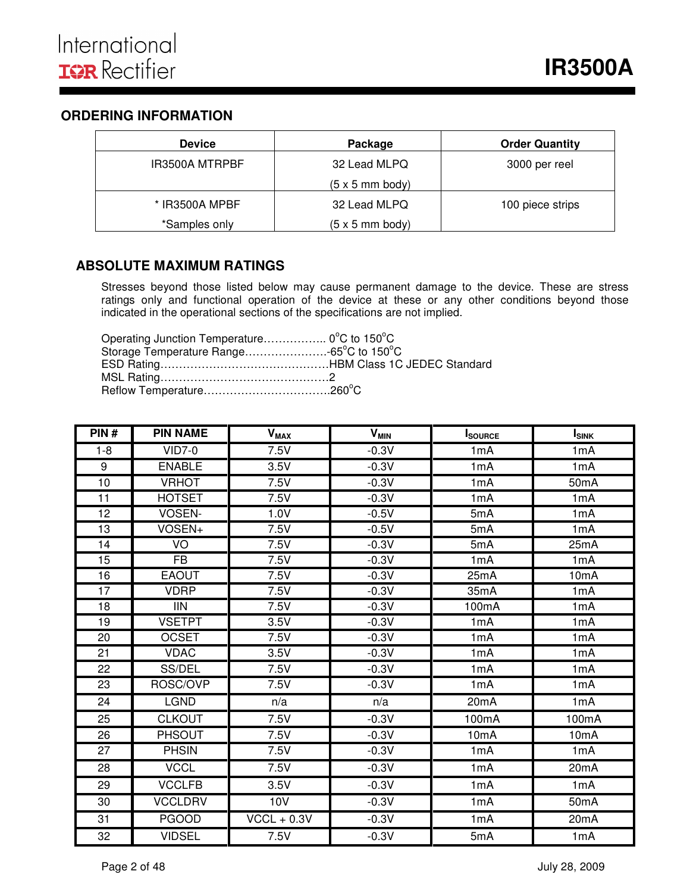### **ORDERING INFORMATION**

| <b>Device</b>  | Package                        | <b>Order Quantity</b> |
|----------------|--------------------------------|-----------------------|
| IR3500A MTRPBF | 32 Lead MLPQ                   | 3000 per reel         |
|                | $(5 \times 5 \text{ mm}$ body) |                       |
| * IR3500A MPBF | 32 Lead MLPQ                   | 100 piece strips      |
| *Samples only  | $(5 \times 5 \text{ mm}$ body) |                       |

### **ABSOLUTE MAXIMUM RATINGS**

Stresses beyond those listed below may cause permanent damage to the device. These are stress ratings only and functional operation of the device at these or any other conditions beyond those indicated in the operational sections of the specifications are not implied.

Operating Junction Temperature…………….. 0°C to 150°C Storage Temperature Range......................-65°C to 150°C ESD Rating………………………………………HBM Class 1C JEDEC Standard MSL Rating………………………………………2 Reflow Temperature……………………………………260°C

| PIN#    | <b>PIN NAME</b> | <b>V<sub>MAX</sub></b> | <b>V<sub>MIN</sub></b> | <b>I</b> SOURCE    | <b>I</b> <sub>SINK</sub> |
|---------|-----------------|------------------------|------------------------|--------------------|--------------------------|
| $1 - 8$ | $VID7-0$        | $\overline{7}$ .5V     | $-0.3V$                | 1mA                | 1mA                      |
| 9       | <b>ENABLE</b>   | 3.5V                   | $-0.3V$                | 1mA                | 1mA                      |
| 10      | <b>VRHOT</b>    | 7.5V                   | $-0.3V$                | 1mA                | 50 <sub>m</sub> A        |
| 11      | <b>HOTSET</b>   | 7.5V                   | $-0.3V$                | 1mA                | 1 <sub>m</sub> A         |
| 12      | VOSEN-          | 1.0V                   | $-0.5V$                | 5mA                | 1mA                      |
| 13      | VOSEN+          | $\overline{7.5}V$      | $-0.5V$                | 5mA                | 1mA                      |
| 14      | VO              | 7.5V                   | $-0.3V$                | 5mA                | 25mA                     |
| 15      | $\overline{FB}$ | 7.5V                   | $-0.3V$                | 1mA                | 1 <sub>m</sub> A         |
| 16      | <b>EAOUT</b>    | 7.5V                   | $-0.3V$                | 25mA               | 10 <sub>m</sub> A        |
| 17      | <b>VDRP</b>     | 7.5V                   | $-0.3V$                | 35mA               | 1mA                      |
| 18      | <b>IIN</b>      | 7.5V                   | $-0.3V$                | 100 <sub>m</sub> A | 1mA                      |
| 19      | <b>VSETPT</b>   | 3.5V                   | $-0.3V$                | 1mA                | 1mA                      |
| 20      | <b>OCSET</b>    | 7.5V                   | $-0.3V$                | 1mA                | 1mA                      |
| 21      | <b>VDAC</b>     | 3.5V                   | $-0.3V$                | 1mA                | 1mA                      |
| 22      | SS/DEL          | 7.5V                   | $-0.3V$                | 1mA                | 1mA                      |
| 23      | ROSC/OVP        | 7.5V                   | $-0.3V$                | 1mA                | 1 <sub>m</sub> A         |
| 24      | <b>LGND</b>     | n/a                    | n/a                    | 20mA               | 1mA                      |
| 25      | <b>CLKOUT</b>   | 7.5V                   | $-0.3V$                | 100mA              | 100mA                    |
| 26      | <b>PHSOUT</b>   | 7.5V                   | $-0.3V$                | 10 <sub>m</sub> A  | 10 <sub>m</sub> A        |
| 27      | <b>PHSIN</b>    | 7.5V                   | $-0.3V$                | 1mA                | 1mA                      |
| 28      | <b>VCCL</b>     | 7.5V                   | $-0.3V$                | 1mA                | 20 <sub>m</sub> A        |
| 29      | <b>VCCLFB</b>   | 3.5V                   | $-0.3V$                | 1mA                | 1mA                      |
| 30      | <b>VCCLDRV</b>  | 10V                    | $-0.3V$                | 1mA                | 50 <sub>m</sub> A        |
| 31      | <b>PGOOD</b>    | $VCCL + 0.3V$          | $-0.3V$                | 1mA                | 20 <sub>m</sub> A        |
| 32      | <b>VIDSEL</b>   | 7.5V                   | $-0.3V$                | 5mA                | 1mA                      |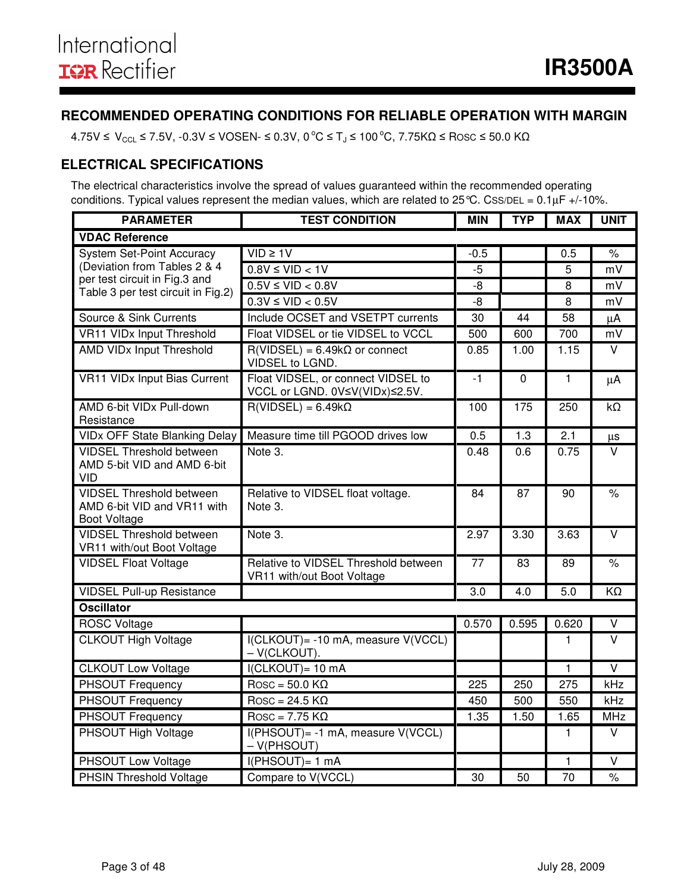### **RECOMMENDED OPERATING CONDITIONS FOR RELIABLE OPERATION WITH MARGIN**

 $4.75V \leq V_{\text{CCL}} \leq 7.5V$ ,  $-0.3V \leq VOSEN \leq 0.3V$ ,  $0^{\circ}C \leq T_J \leq 100^{\circ}C$ ,  $7.75K\Omega \leq Rosc \leq 50.0 K\Omega$ 

### **ELECTRICAL SPECIFICATIONS**

The electrical characteristics involve the spread of values guaranteed within the recommended operating conditions. Typical values represent the median values, which are related to 25 °C. CSS/DEL =  $0.1 \mu$ F +/-10%.

| <b>PARAMETER</b>                                                                      | <b>TEST CONDITION</b>                                                |                 |                 |                 | <b>UNIT</b>             |
|---------------------------------------------------------------------------------------|----------------------------------------------------------------------|-----------------|-----------------|-----------------|-------------------------|
| <b>VDAC Reference</b>                                                                 |                                                                      |                 |                 |                 |                         |
| <b>System Set-Point Accuracy</b>                                                      | $VID \geq 1V$                                                        | $-0.5$          |                 | 0.5             | $\%$                    |
| (Deviation from Tables 2 & 4                                                          | $0.8V \leq VID < 1V$                                                 | $-5$            |                 | 5               | mV                      |
| per test circuit in Fig.3 and<br>Table 3 per test circuit in Fig.2)                   | $0.5V \leq VID < 0.8V$                                               | -8              |                 | 8               | mV                      |
|                                                                                       | $0.3V \leq VID < 0.5V$                                               | $-8$            |                 | 8               | mV                      |
| Source & Sink Currents                                                                | Include OCSET and VSETPT currents                                    | 30              | 44              | 58              | μA                      |
| <b>VR11 VIDx Input Threshold</b>                                                      | Float VIDSEL or tie VIDSEL to VCCL                                   | 500             | 600             | 700             | mV                      |
| <b>AMD VIDx Input Threshold</b>                                                       | $R(VIDSEL) = 6.49k\Omega$ or connect<br>VIDSEL to LGND.              | 0.85            | 1.00            | 1.15            | V                       |
| <b>VR11 VIDx Input Bias Current</b>                                                   | Float VIDSEL, or connect VIDSEL to<br>VCCL or LGND. 0V≤V(VIDx)≤2.5V. | $-1$            | $\mathbf 0$     | $\mathbf{1}$    | μA                      |
| AMD 6-bit VIDx Pull-down<br>Resistance                                                | $R(VIDSEL) = 6.49k\Omega$                                            | 100             | 175             | 250             | $k\Omega$               |
| <b>VIDx OFF State Blanking Delay</b>                                                  | Measure time till PGOOD drives low                                   | 0.5             | 1.3             | 2.1             | μs                      |
| <b>VIDSEL Threshold between</b><br>AMD 5-bit VID and AMD 6-bit<br>VID                 | Note 3.                                                              | 0.48            | 0.6             | 0.75            | $\vee$                  |
| <b>VIDSEL Threshold between</b><br>AMD 6-bit VID and VR11 with<br><b>Boot Voltage</b> | Relative to VIDSEL float voltage.<br>Note 3.                         | 84              | 87              | 90              | $\frac{1}{\sqrt{2}}$    |
| <b>VIDSEL Threshold between</b><br>VR11 with/out Boot Voltage                         | Note 3.                                                              | 2.97            | 3.30            | 3.63            | $\overline{\mathsf{v}}$ |
| <b>VIDSEL Float Voltage</b>                                                           | Relative to VIDSEL Threshold between<br>VR11 with/out Boot Voltage   | $\overline{77}$ | $\overline{83}$ | 89              | $\frac{1}{\sqrt{2}}$    |
| <b>VIDSEL Pull-up Resistance</b>                                                      |                                                                      | 3.0             | 4.0             | 5.0             | KΩ                      |
| <b>Oscillator</b>                                                                     |                                                                      |                 |                 |                 |                         |
| <b>ROSC Voltage</b>                                                                   |                                                                      | 0.570           | 0.595           | 0.620           | $\vee$                  |
| <b>CLKOUT High Voltage</b>                                                            | I(CLKOUT) = - 10 mA, measure V(VCCL)<br>$-V(CLKOUT)$ .               |                 |                 | 1               | $\overline{\mathsf{v}}$ |
| <b>CLKOUT Low Voltage</b>                                                             | I(CLKOUT)= 10 mA                                                     |                 |                 | $\mathbf{1}$    | $\overline{\mathsf{v}}$ |
| <b>PHSOUT Frequency</b>                                                               | $Rosc = 50.0 K\Omega$                                                | 225             | 250             | 275             | kHz                     |
| PHSOUT Frequency                                                                      | $\overline{R}$ Rosc = 24.5 K $\Omega$                                | 450             | 500             | 550             | kHz                     |
| PHSOUT Frequency                                                                      | $\overline{R}$ Rosc = 7.75 K $\Omega$                                | 1.35            | 1.50            | 1.65            | <b>MHz</b>              |
| <b>PHSOUT High Voltage</b>                                                            | I(PHSOUT)= -1 mA, measure V(VCCL)<br>$-V(PHSOUT)$                    |                 |                 | 1               | $\overline{\mathsf{v}}$ |
| <b>PHSOUT Low Voltage</b>                                                             | $I(PHSOUT)= 1 mA$                                                    |                 |                 | 1               | $\overline{\mathsf{v}}$ |
| <b>PHSIN Threshold Voltage</b>                                                        | Compare to V(VCCL)                                                   | $\overline{30}$ | 50              | $\overline{70}$ | $\frac{1}{\sqrt{2}}$    |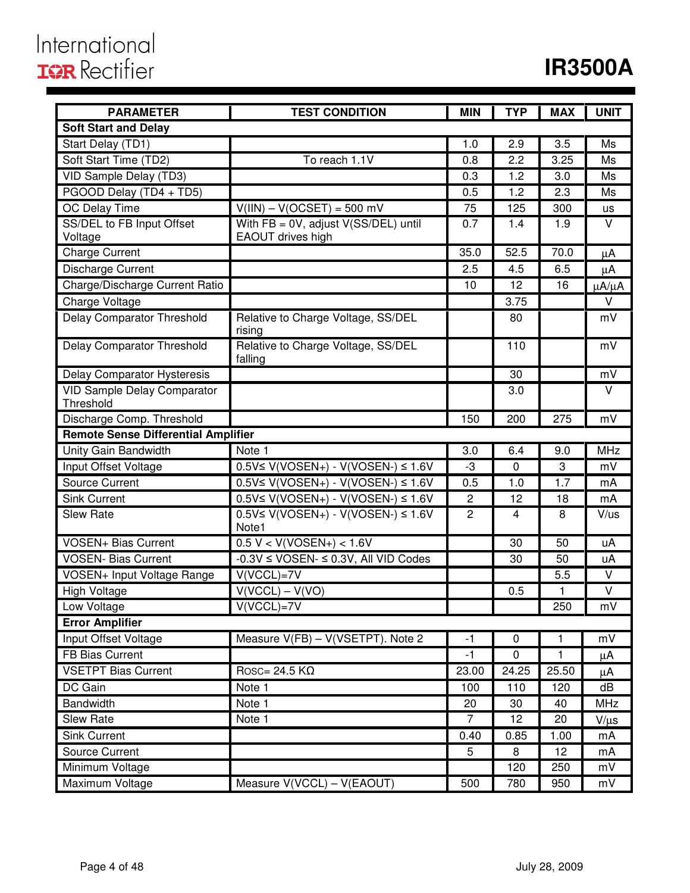# International<br>**IGR** Rectifier

# **IR3500A**

| <b>PARAMETER</b>                                | <b>TEST CONDITION</b>                                        | <b>MIN</b>     | <b>TYP</b>      | <b>MAX</b> | <b>UNIT</b>       |
|-------------------------------------------------|--------------------------------------------------------------|----------------|-----------------|------------|-------------------|
| <b>Soft Start and Delay</b>                     |                                                              |                |                 |            |                   |
| Start Delay (TD1)                               |                                                              | 1.0            | 2.9             | 3.5        | Ms                |
| Soft Start Time (TD2)                           | To reach 1.1V                                                | 0.8            | 2.2             | 3.25       | Ms                |
| VID Sample Delay (TD3)                          |                                                              | 0.3            | 1.2             | 3.0        | Ms                |
| PGOOD Delay (TD4 + TD5)                         |                                                              | 0.5            | 1.2             | 2.3        | Ms                |
| OC Delay Time                                   | $V(III) - V(OCSET) = 500$ mV                                 | 75             | 125             | 300        | <b>US</b>         |
| SS/DEL to FB Input Offset<br>Voltage            | With $FB = 0V$ , adjust V(SS/DEL) until<br>EAOUT drives high | 0.7            | 1.4             | 1.9        | $\vee$            |
| <b>Charge Current</b>                           |                                                              | 35.0           | 52.5            | 70.0       | μA                |
| Discharge Current                               |                                                              | 2.5            | 4.5             | 6.5        | μA                |
| Charge/Discharge Current Ratio                  |                                                              | 10             | 12              | 16         | $\mu A/\mu A$     |
| Charge Voltage                                  |                                                              |                | 3.75            |            | $\vee$            |
| <b>Delay Comparator Threshold</b>               | Relative to Charge Voltage, SS/DEL<br>rising                 |                | 80              |            | mV                |
| Delay Comparator Threshold                      | Relative to Charge Voltage, SS/DEL<br>falling                |                | 110             |            | mV                |
| Delay Comparator Hysteresis                     |                                                              |                | 30              |            | mV                |
| <b>VID Sample Delay Comparator</b><br>Threshold |                                                              |                | 3.0             |            | V                 |
| Discharge Comp. Threshold                       |                                                              | 150            | 200             | 275        | mV                |
| <b>Remote Sense Differential Amplifier</b>      |                                                              |                |                 |            |                   |
| Unity Gain Bandwidth                            | Note 1                                                       | 3.0            | 6.4             | 9.0        | <b>MHz</b>        |
| Input Offset Voltage                            | $0.5V$ ≤ V(VOSEN+) - V(VOSEN-) ≤ 1.6V                        | -3             | 0               | 3          | mV                |
| <b>Source Current</b>                           | $0.5V \le V(VOSEN+) - V(VOSEN-) \le 1.6V$                    | 0.5            | 1.0             | 1.7        | mA                |
| <b>Sink Current</b>                             | $0.5V \le V(VOSEN+) - V(VOSEN-) \le 1.6V$                    | $\sqrt{2}$     | 12              | 18         | mA                |
| <b>Slew Rate</b>                                | $0.5V \le V(VOSEN+) - V(VOSEN-) \le 1.6V$<br>Note1           | $\overline{c}$ | 4               | 8          | V/us              |
| <b>VOSEN+ Bias Current</b>                      | $0.5 V < V(VOSEN+) < 1.6 V$                                  |                | 30              | 50         | uA                |
| <b>VOSEN- Bias Current</b>                      | $-0.3V \leq \text{VOSEN-} \leq 0.3V$ , All VID Codes         |                | 30              | 50         | uA                |
| VOSEN+ Input Voltage Range                      | $V(VCCL)=7V$                                                 |                |                 | 5.5        | V                 |
| <b>High Voltage</b>                             | $V(VCCL) - V(VO)$                                            |                | 0.5             | 1          | $\overline{\vee}$ |
| Low Voltage                                     | $V(VCCL)=7V$                                                 |                |                 | 250        | mV                |
| <b>Error Amplifier</b>                          |                                                              |                |                 |            |                   |
| Input Offset Voltage                            | Measure V(FB) - V(VSETPT). Note 2                            | $-1$           | $\mathbf 0$     | 1          | mV                |
| FB Bias Current                                 |                                                              | -1             | 0               | 1          | μA                |
| <b>VSETPT Bias Current</b>                      | Rosc= 24.5 $K\Omega$                                         | 23.00          | 24.25           | 25.50      | μA                |
| DC Gain                                         | Note 1                                                       | 100            | 110             | 120        | dB                |
| <b>Bandwidth</b>                                | Note 1                                                       | 20             | 30              | 40         | <b>MHz</b>        |
| Slew Rate                                       | Note 1                                                       | $\overline{7}$ | $\overline{12}$ | 20         | $V/\mu s$         |
| <b>Sink Current</b>                             |                                                              | 0.40           | 0.85            | 1.00       | mA                |
| Source Current                                  |                                                              | 5              | 8               | 12         | mA                |
| Minimum Voltage                                 |                                                              |                | 120             | 250        | mV                |
| Maximum Voltage                                 | Measure V(VCCL) - V(EAOUT)                                   | 500            | 780             | 950        | mV                |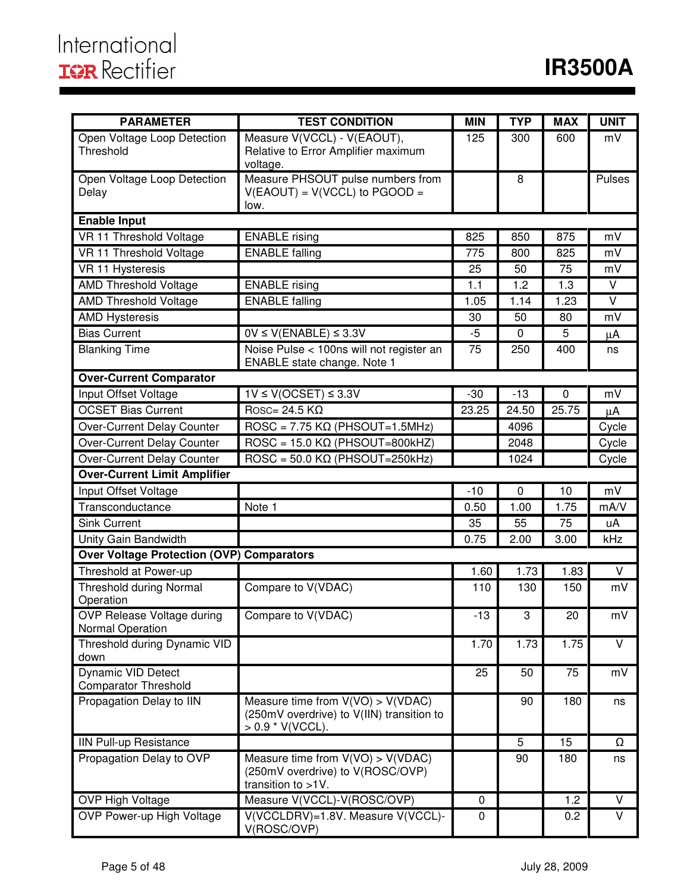| <b>PARAMETER</b>                                         | <b>TEST CONDITION</b>                                                                                  | <b>MIN</b> | <b>TYP</b> | <b>MAX</b> | <b>UNIT</b>             |
|----------------------------------------------------------|--------------------------------------------------------------------------------------------------------|------------|------------|------------|-------------------------|
| Open Voltage Loop Detection<br>Threshold                 | Measure V(VCCL) - V(EAOUT),<br>Relative to Error Amplifier maximum<br>voltage.                         | 125        | 300        | 600        | mV                      |
| Open Voltage Loop Detection<br>Delay                     | Measure PHSOUT pulse numbers from<br>$V(EAOUT) = V(VCCL)$ to $PGOOD =$<br>low.                         |            | 8          |            | Pulses                  |
| <b>Enable Input</b>                                      |                                                                                                        |            |            |            |                         |
| VR 11 Threshold Voltage                                  | <b>ENABLE</b> rising                                                                                   | 825        | 850        | 875        | mV                      |
| VR 11 Threshold Voltage                                  | <b>ENABLE</b> falling                                                                                  | 775        | 800        | 825        | mV                      |
| VR 11 Hysteresis                                         |                                                                                                        | 25         | 50         | 75         | mV                      |
| <b>AMD Threshold Voltage</b>                             | <b>ENABLE</b> rising                                                                                   | 1.1        | 1.2        | 1.3        | V                       |
| <b>AMD Threshold Voltage</b>                             | <b>ENABLE</b> falling                                                                                  | 1.05       | 1.14       | 1.23       | V                       |
| <b>AMD Hysteresis</b>                                    |                                                                                                        | 30         | 50         | 80         | mV                      |
| <b>Bias Current</b>                                      | $0V \le V(ENABLE) \le 3.3V$                                                                            | -5         | 0          | 5          | μA                      |
| <b>Blanking Time</b>                                     | Noise Pulse < 100ns will not register an<br>ENABLE state change. Note 1                                | 75         | 250        | 400        | ns                      |
| <b>Over-Current Comparator</b>                           |                                                                                                        |            |            |            |                         |
| Input Offset Voltage                                     | $1V \le V(OCSET) \le 3.3V$                                                                             | $-30$      | $-13$      | $\pmb{0}$  | mV                      |
| <b>OCSET Bias Current</b>                                | $\overline{\text{Rosc}}$ 24.5 K $\Omega$                                                               | 23.25      | 24.50      | 25.75      | $\mu$ A                 |
| Over-Current Delay Counter                               | $\text{ROSC} = 7.75 \text{ K}\Omega \text{ (PHSOUT=1.5MHz)}$                                           |            | 4096       |            | Cycle                   |
| Over-Current Delay Counter                               | $\text{ROSC} = 15.0 \text{ K}\Omega$ (PHSOUT=800kHZ)                                                   |            | 2048       |            | Cycle                   |
| Over-Current Delay Counter                               | $\overline{ROSC} = 50.0 \text{ K}\Omega \text{ (PHSOUT=250kHz)}$                                       |            | 1024       |            | Cycle                   |
| <b>Over-Current Limit Amplifier</b>                      |                                                                                                        |            |            |            |                         |
| Input Offset Voltage                                     |                                                                                                        | $-10$      | 0          | 10         | mV                      |
| Transconductance                                         | Note 1                                                                                                 | 0.50       | 1.00       | 1.75       | mA/V                    |
| <b>Sink Current</b>                                      |                                                                                                        | 35         | 55         | 75         | uA                      |
| Unity Gain Bandwidth                                     |                                                                                                        | 0.75       | 2.00       | 3.00       | kHz                     |
| <b>Over Voltage Protection (OVP) Comparators</b>         |                                                                                                        |            |            |            |                         |
| Threshold at Power-up                                    |                                                                                                        | 1.60       | 1.73       | 1.83       | $\vee$                  |
| <b>Threshold during Normal</b>                           | Compare to V(VDAC)                                                                                     | 110        | 130        | 150        | mV                      |
| Operation                                                |                                                                                                        |            |            |            |                         |
| <b>OVP Release Voltage during</b><br>Normal Operation    | Compare to V(VDAC)                                                                                     | $-13$      | 3          | 20         | mV                      |
| Threshold during Dynamic VID<br>down                     |                                                                                                        | 1.70       | 1.73       | 1.75       | V                       |
| <b>Dynamic VID Detect</b><br><b>Comparator Threshold</b> |                                                                                                        | 25         | 50         | 75         | mV                      |
| Propagation Delay to IIN                                 | Measure time from $V(VO) > V(VDAC)$<br>(250mV overdrive) to V(IIN) transition to<br>$> 0.9$ * V(VCCL). |            | 90         | 180        | ns                      |
| <b>IIN Pull-up Resistance</b>                            |                                                                                                        |            | 5          | 15         | Ω                       |
| Propagation Delay to OVP                                 | Measure time from $V(VO) > V(VDAC)$<br>(250mV overdrive) to V(ROSC/OVP)<br>transition to >1V.          |            | 90         | 180        | ns                      |
| OVP High Voltage                                         | Measure V(VCCL)-V(ROSC/OVP)                                                                            | 0          |            | 1.2        | $\overline{\mathsf{V}}$ |
| OVP Power-up High Voltage                                | V(VCCLDRV)=1.8V. Measure V(VCCL)-<br>V(ROSC/OVP)                                                       | 0          |            | 0.2        | V                       |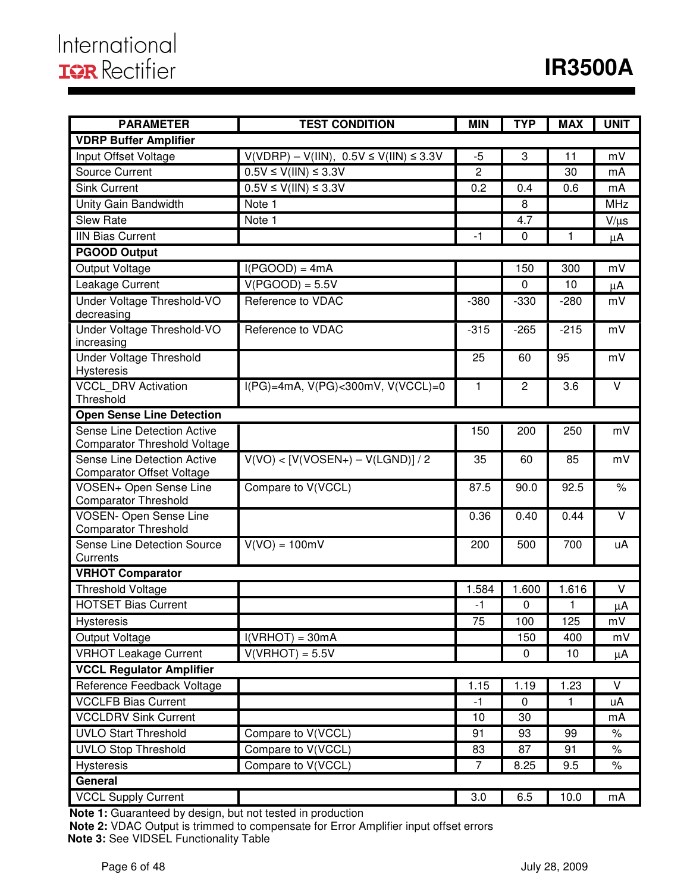| <b>PARAMETER</b>                                      | <b>MIN</b>                                   | <b>TYP</b>     | <b>MAX</b>     | <b>UNIT</b> |            |
|-------------------------------------------------------|----------------------------------------------|----------------|----------------|-------------|------------|
| <b>VDRP Buffer Amplifier</b>                          |                                              |                |                |             |            |
| Input Offset Voltage                                  | $V(VDRP) - V(IIN), 0.5V \le V(IIN) \le 3.3V$ | $-5$           | 3              | 11          | mV         |
| <b>Source Current</b>                                 | $0.5V \le V(III) \le 3.3V$                   | $\overline{c}$ |                | 30          | mA         |
| <b>Sink Current</b>                                   | $0.5V \le V(III) \le 3.3V$                   | 0.2            | 0.4            | 0.6         | mA         |
| Unity Gain Bandwidth                                  | Note 1                                       |                | 8              |             | <b>MHz</b> |
| <b>Slew Rate</b>                                      | Note 1                                       |                | 4.7            |             | $V/\mu s$  |
| <b>IIN Bias Current</b>                               |                                              | $-1$           | $\mathbf 0$    | 1           | $\mu$ A    |
| <b>PGOOD Output</b>                                   |                                              |                |                |             |            |
| Output Voltage                                        | $I(PGOOD) = 4mA$                             |                | 150            | 300         | mV         |
| Leakage Current                                       | $V(PGOOD) = 5.5V$                            |                | 0              | 10          | $\mu$ A    |
| Under Voltage Threshold-VO                            | Reference to VDAC                            | $-380$         | $-330$         | $-280$      | mV         |
| decreasing                                            |                                              |                |                |             |            |
| Under Voltage Threshold-VO                            | Reference to VDAC                            | $-315$         | $-265$         | $-215$      | mV         |
| increasing                                            |                                              |                |                |             |            |
| <b>Under Voltage Threshold</b><br>Hysteresis          |                                              | 25             | 60             | 95          | mV         |
| <b>VCCL DRV Activation</b>                            | $I(PG)=4mA, V(PG)<300mV, V(VCCL)=0$          | 1              | $\overline{2}$ | 3.6         | $\vee$     |
| Threshold                                             |                                              |                |                |             |            |
| <b>Open Sense Line Detection</b>                      |                                              |                |                |             |            |
| Sense Line Detection Active                           |                                              | 150            | 200            | 250         | mV         |
| <b>Comparator Threshold Voltage</b>                   |                                              |                |                |             |            |
| Sense Line Detection Active                           | $V(VO) < [V(VOSEN+) - V(LGND)] / 2$          | 35             | 60             | 85          | mV         |
| <b>Comparator Offset Voltage</b>                      |                                              |                |                |             |            |
| VOSEN+ Open Sense Line<br><b>Comparator Threshold</b> | Compare to V(VCCL)                           | 87.5           | 90.0           | 92.5        | $\%$       |
| <b>VOSEN- Open Sense Line</b>                         |                                              | 0.36           | 0.40           | 0.44        | $\vee$     |
| <b>Comparator Threshold</b>                           |                                              |                |                |             |            |
| Sense Line Detection Source                           | $V(VO) = 100mV$                              | 200            | 500            | 700         | uA         |
| Currents                                              |                                              |                |                |             |            |
| <b>VRHOT Comparator</b>                               |                                              |                |                |             |            |
| <b>Threshold Voltage</b>                              |                                              | 1.584          | 1.600          | 1.616       | $\vee$     |
| <b>HOTSET Bias Current</b>                            |                                              | $-1$           | 0              | 1           | μA         |
| <b>Hysteresis</b>                                     |                                              | 75             | 100            | 125         | mV         |
| Output Voltage                                        | $I(VRHOT) = 30mA$                            |                | 150            | 400         | mV         |
| <b>VRHOT Leakage Current</b>                          | $V(VRHOT) = 5.5V$                            |                | 0              | 10          | μA         |
| <b>VCCL Regulator Amplifier</b>                       |                                              |                |                |             |            |
| Reference Feedback Voltage                            |                                              | 1.15           | 1.19           | 1.23        | $\vee$     |
| <b>VCCLFB Bias Current</b>                            |                                              | $-1$           | 0              | 1           | uA         |
| <b>VCCLDRV Sink Current</b>                           |                                              | 10             | 30             |             | mA         |
| <b>UVLO Start Threshold</b>                           | Compare to V(VCCL)                           | 91             | 93             | 99          | $\%$       |
| <b>UVLO Stop Threshold</b>                            | Compare to V(VCCL)                           | 83             | 87             | 91          | $\%$       |
| <b>Hysteresis</b>                                     | Compare to V(VCCL)                           | $\overline{7}$ | 8.25           | 9.5         | $\%$       |
| General                                               |                                              |                |                |             |            |
| <b>VCCL Supply Current</b>                            |                                              | 3.0            | 6.5            | 10.0        | mA         |

**Note 1:** Guaranteed by design, but not tested in production

**Note 2:** VDAC Output is trimmed to compensate for Error Amplifier input offset errors  **Note 3:** See VIDSEL Functionality Table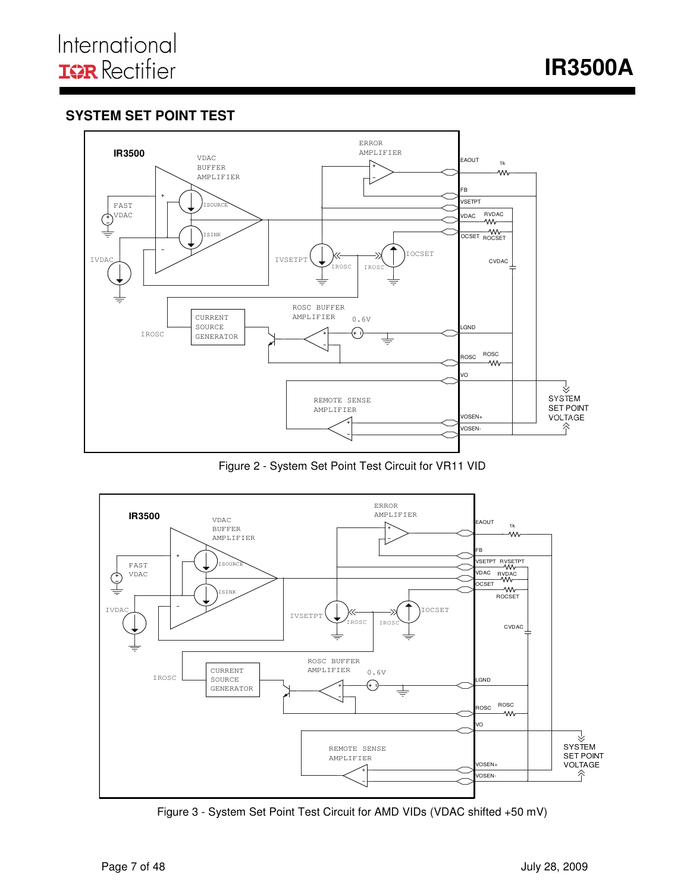**IR3500A** 

# **SYSTEM SET POINT TEST**



Figure 2 - System Set Point Test Circuit for VR11 VID



Figure 3 - System Set Point Test Circuit for AMD VIDs (VDAC shifted +50 mV)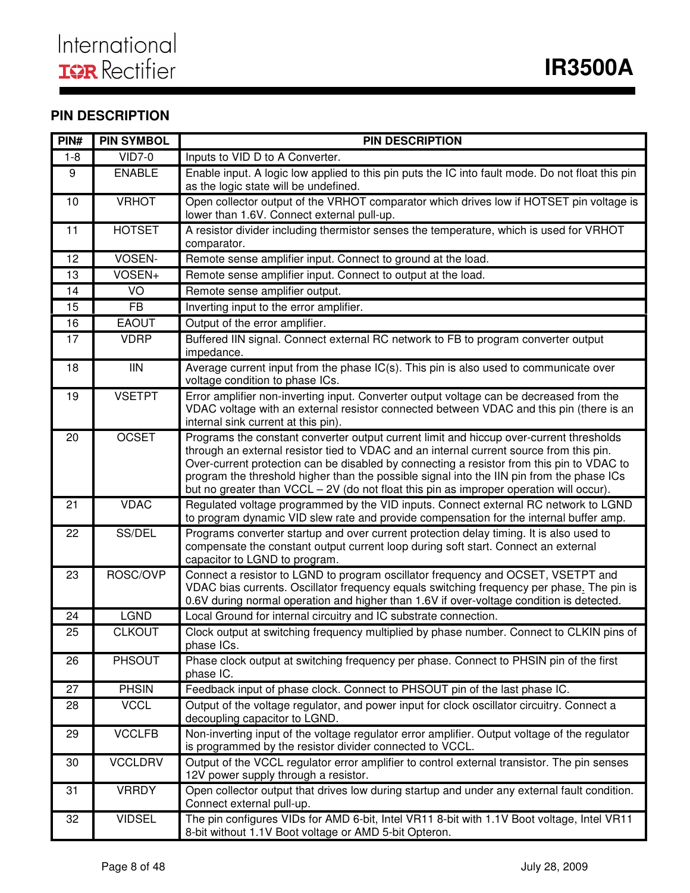# **PIN DESCRIPTION**

| PIN#    | <b>PIN SYMBOL</b> | <b>PIN DESCRIPTION</b>                                                                                                                                                                                                                                                                                                                                                                                                                                                  |
|---------|-------------------|-------------------------------------------------------------------------------------------------------------------------------------------------------------------------------------------------------------------------------------------------------------------------------------------------------------------------------------------------------------------------------------------------------------------------------------------------------------------------|
| $1 - 8$ | <b>VID7-0</b>     | Inputs to VID D to A Converter.                                                                                                                                                                                                                                                                                                                                                                                                                                         |
| 9       | <b>ENABLE</b>     | Enable input. A logic low applied to this pin puts the IC into fault mode. Do not float this pin<br>as the logic state will be undefined.                                                                                                                                                                                                                                                                                                                               |
| 10      | <b>VRHOT</b>      | Open collector output of the VRHOT comparator which drives low if HOTSET pin voltage is<br>lower than 1.6V. Connect external pull-up.                                                                                                                                                                                                                                                                                                                                   |
| 11      | <b>HOTSET</b>     | A resistor divider including thermistor senses the temperature, which is used for VRHOT<br>comparator.                                                                                                                                                                                                                                                                                                                                                                  |
| 12      | VOSEN-            | Remote sense amplifier input. Connect to ground at the load.                                                                                                                                                                                                                                                                                                                                                                                                            |
| 13      | VOSEN+            | Remote sense amplifier input. Connect to output at the load.                                                                                                                                                                                                                                                                                                                                                                                                            |
| 14      | VO                | Remote sense amplifier output.                                                                                                                                                                                                                                                                                                                                                                                                                                          |
| 15      | <b>FB</b>         | Inverting input to the error amplifier.                                                                                                                                                                                                                                                                                                                                                                                                                                 |
| 16      | <b>EAOUT</b>      | Output of the error amplifier.                                                                                                                                                                                                                                                                                                                                                                                                                                          |
| 17      | <b>VDRP</b>       | Buffered IIN signal. Connect external RC network to FB to program converter output<br>impedance.                                                                                                                                                                                                                                                                                                                                                                        |
| 18      | <b>IIN</b>        | Average current input from the phase IC(s). This pin is also used to communicate over<br>voltage condition to phase ICs.                                                                                                                                                                                                                                                                                                                                                |
| 19      | <b>VSETPT</b>     | Error amplifier non-inverting input. Converter output voltage can be decreased from the<br>VDAC voltage with an external resistor connected between VDAC and this pin (there is an<br>internal sink current at this pin).                                                                                                                                                                                                                                               |
| 20      | <b>OCSET</b>      | Programs the constant converter output current limit and hiccup over-current thresholds<br>through an external resistor tied to VDAC and an internal current source from this pin.<br>Over-current protection can be disabled by connecting a resistor from this pin to VDAC to<br>program the threshold higher than the possible signal into the IIN pin from the phase ICs<br>but no greater than VCCL - 2V (do not float this pin as improper operation will occur). |
| 21      | <b>VDAC</b>       | Regulated voltage programmed by the VID inputs. Connect external RC network to LGND<br>to program dynamic VID slew rate and provide compensation for the internal buffer amp.                                                                                                                                                                                                                                                                                           |
| 22      | SS/DEL            | Programs converter startup and over current protection delay timing. It is also used to<br>compensate the constant output current loop during soft start. Connect an external<br>capacitor to LGND to program.                                                                                                                                                                                                                                                          |
| 23      | ROSC/OVP          | Connect a resistor to LGND to program oscillator frequency and OCSET, VSETPT and<br>VDAC bias currents. Oscillator frequency equals switching frequency per phase. The pin is<br>0.6V during normal operation and higher than 1.6V if over-voltage condition is detected.                                                                                                                                                                                               |
| 24      | <b>LGND</b>       | Local Ground for internal circuitry and IC substrate connection.                                                                                                                                                                                                                                                                                                                                                                                                        |
| 25      | <b>CLKOUT</b>     | Clock output at switching frequency multiplied by phase number. Connect to CLKIN pins of<br>phase ICs.                                                                                                                                                                                                                                                                                                                                                                  |
| 26      | <b>PHSOUT</b>     | Phase clock output at switching frequency per phase. Connect to PHSIN pin of the first<br>phase IC.                                                                                                                                                                                                                                                                                                                                                                     |
| 27      | <b>PHSIN</b>      | Feedback input of phase clock. Connect to PHSOUT pin of the last phase IC.                                                                                                                                                                                                                                                                                                                                                                                              |
| 28      | <b>VCCL</b>       | Output of the voltage regulator, and power input for clock oscillator circuitry. Connect a<br>decoupling capacitor to LGND.                                                                                                                                                                                                                                                                                                                                             |
| 29      | <b>VCCLFB</b>     | Non-inverting input of the voltage regulator error amplifier. Output voltage of the regulator<br>is programmed by the resistor divider connected to VCCL.                                                                                                                                                                                                                                                                                                               |
| 30      | <b>VCCLDRV</b>    | Output of the VCCL regulator error amplifier to control external transistor. The pin senses<br>12V power supply through a resistor.                                                                                                                                                                                                                                                                                                                                     |
| 31      | <b>VRRDY</b>      | Open collector output that drives low during startup and under any external fault condition.<br>Connect external pull-up.                                                                                                                                                                                                                                                                                                                                               |
| 32      | <b>VIDSEL</b>     | The pin configures VIDs for AMD 6-bit, Intel VR11 8-bit with 1.1V Boot voltage, Intel VR11<br>8-bit without 1.1V Boot voltage or AMD 5-bit Opteron.                                                                                                                                                                                                                                                                                                                     |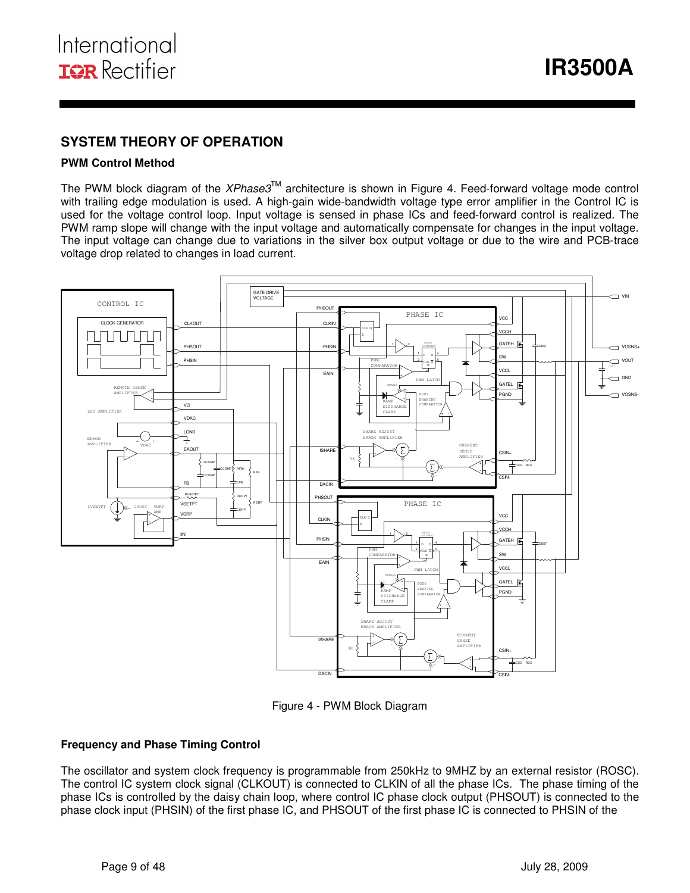### **SYSTEM THEORY OF OPERATION**

#### **PWM Control Method**

The PWM block diagram of the XPhase3™ architecture is shown in Figure 4. Feed-forward voltage mode control with trailing edge modulation is used. A high-gain wide-bandwidth voltage type error amplifier in the Control IC is used for the voltage control loop. Input voltage is sensed in phase ICs and feed-forward control is realized. The PWM ramp slope will change with the input voltage and automatically compensate for changes in the input voltage. The input voltage can change due to variations in the silver box output voltage or due to the wire and PCB-trace voltage drop related to changes in load current.



Figure 4 - PWM Block Diagram

#### **Frequency and Phase Timing Control**

The oscillator and system clock frequency is programmable from 250kHz to 9MHZ by an external resistor (ROSC). The control IC system clock signal (CLKOUT) is connected to CLKIN of all the phase ICs. The phase timing of the phase ICs is controlled by the daisy chain loop, where control IC phase clock output (PHSOUT) is connected to the phase clock input (PHSIN) of the first phase IC, and PHSOUT of the first phase IC is connected to PHSIN of the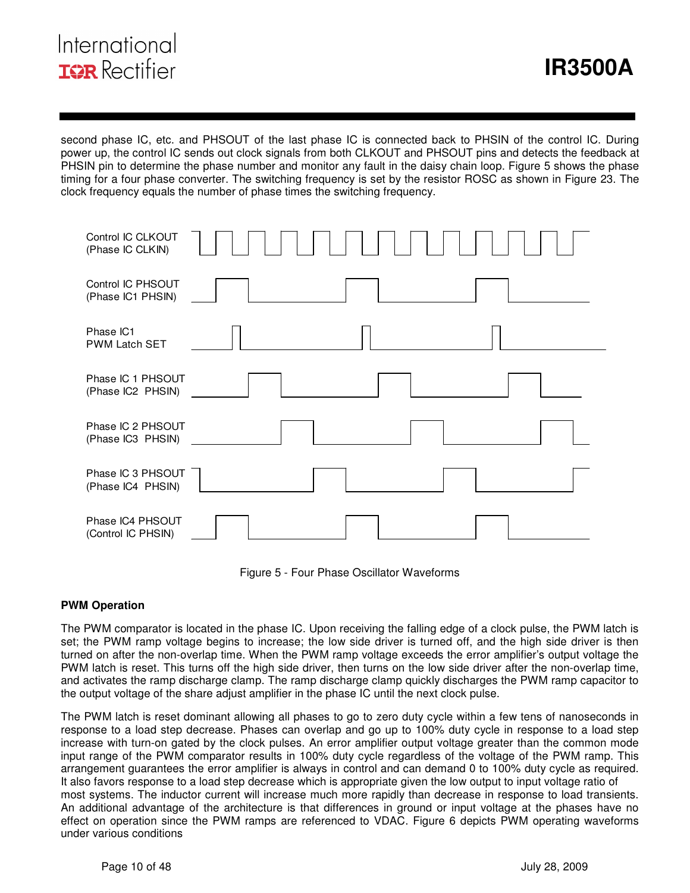# International **ISR** Rectifier

second phase IC, etc. and PHSOUT of the last phase IC is connected back to PHSIN of the control IC. During power up, the control IC sends out clock signals from both CLKOUT and PHSOUT pins and detects the feedback at PHSIN pin to determine the phase number and monitor any fault in the daisy chain loop. Figure 5 shows the phase timing for a four phase converter. The switching frequency is set by the resistor ROSC as shown in Figure 23. The clock frequency equals the number of phase times the switching frequency.

| Control IC CLKOUT<br>(Phase IC CLKIN)  |  |
|----------------------------------------|--|
| Control IC PHSOUT<br>(Phase IC1 PHSIN) |  |
| Phase IC1<br><b>PWM Latch SET</b>      |  |
| Phase IC 1 PHSOUT<br>(Phase IC2 PHSIN) |  |
| Phase IC 2 PHSOUT<br>(Phase IC3 PHSIN) |  |
| Phase IC 3 PHSOUT<br>(Phase IC4 PHSIN) |  |
| Phase IC4 PHSOUT<br>(Control IC PHSIN) |  |

Figure 5 - Four Phase Oscillator Waveforms

#### **PWM Operation**

The PWM comparator is located in the phase IC. Upon receiving the falling edge of a clock pulse, the PWM latch is set; the PWM ramp voltage begins to increase; the low side driver is turned off, and the high side driver is then turned on after the non-overlap time. When the PWM ramp voltage exceeds the error amplifier's output voltage the PWM latch is reset. This turns off the high side driver, then turns on the low side driver after the non-overlap time, and activates the ramp discharge clamp. The ramp discharge clamp quickly discharges the PWM ramp capacitor to the output voltage of the share adjust amplifier in the phase IC until the next clock pulse.

The PWM latch is reset dominant allowing all phases to go to zero duty cycle within a few tens of nanoseconds in response to a load step decrease. Phases can overlap and go up to 100% duty cycle in response to a load step increase with turn-on gated by the clock pulses. An error amplifier output voltage greater than the common mode input range of the PWM comparator results in 100% duty cycle regardless of the voltage of the PWM ramp. This arrangement guarantees the error amplifier is always in control and can demand 0 to 100% duty cycle as required. It also favors response to a load step decrease which is appropriate given the low output to input voltage ratio of most systems. The inductor current will increase much more rapidly than decrease in response to load transients. An additional advantage of the architecture is that differences in ground or input voltage at the phases have no effect on operation since the PWM ramps are referenced to VDAC. Figure 6 depicts PWM operating waveforms under various conditions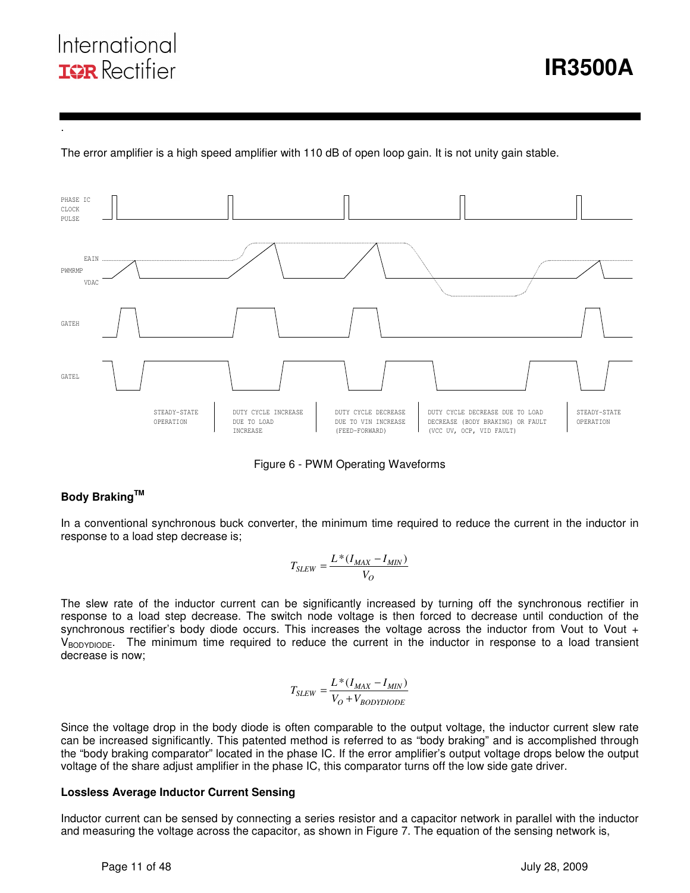# International **ISR** Rectifier

.

The error amplifier is a high speed amplifier with 110 dB of open loop gain. It is not unity gain stable.



I

Figure 6 - PWM Operating Waveforms

### **Body BrakingTM**

In a conventional synchronous buck converter, the minimum time required to reduce the current in the inductor in response to a load step decrease is;

$$
T_{SLEW} = \frac{L^*(I_{MAX} - I_{MIN})}{V_O}
$$

The slew rate of the inductor current can be significantly increased by turning off the synchronous rectifier in response to a load step decrease. The switch node voltage is then forced to decrease until conduction of the synchronous rectifier's body diode occurs. This increases the voltage across the inductor from Vout to Vout +  $V_{\text{BODYDIODE}}$ . The minimum time required to reduce the current in the inductor in response to a load transient decrease is now;

$$
T_{SLEW} = \frac{L*(I_{MAX} - I_{MIN})}{V_O + V_{BODYDIODE}}
$$

Since the voltage drop in the body diode is often comparable to the output voltage, the inductor current slew rate can be increased significantly. This patented method is referred to as "body braking" and is accomplished through the "body braking comparator" located in the phase IC. If the error amplifier's output voltage drops below the output voltage of the share adjust amplifier in the phase IC, this comparator turns off the low side gate driver.

#### **Lossless Average Inductor Current Sensing**

Inductor current can be sensed by connecting a series resistor and a capacitor network in parallel with the inductor and measuring the voltage across the capacitor, as shown in Figure 7. The equation of the sensing network is,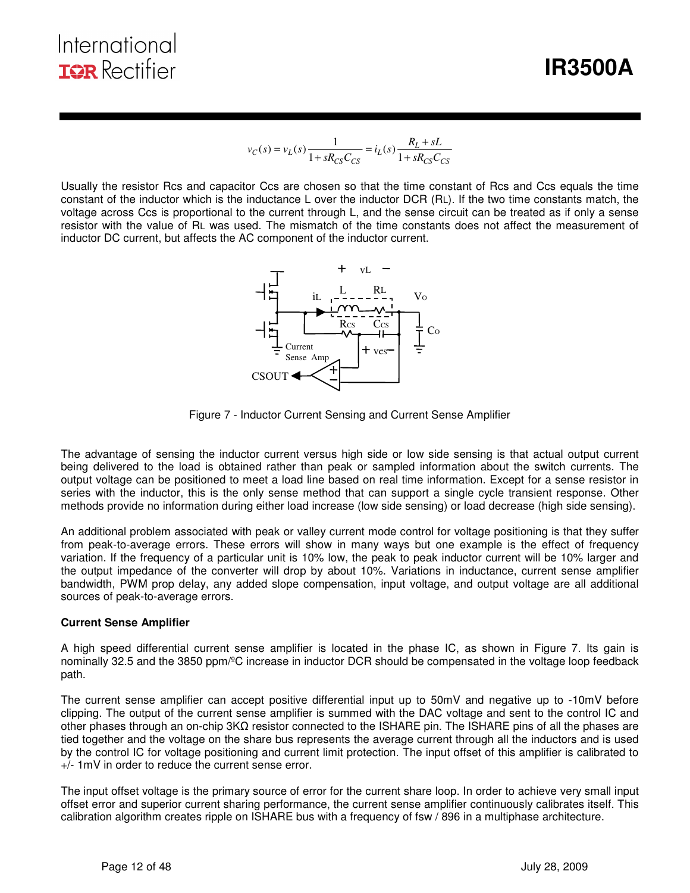**IR3500A** 

$$
v_C(s) = v_L(s) \frac{1}{1 + sR_{CS}C_{CS}} = i_L(s) \frac{R_L + sL}{1 + sR_{CS}C_{CS}}
$$

I

Usually the resistor Rcs and capacitor Ccs are chosen so that the time constant of Rcs and Ccs equals the time constant of the inductor which is the inductance L over the inductor DCR (RL). If the two time constants match, the voltage across Ccs is proportional to the current through L, and the sense circuit can be treated as if only a sense resistor with the value of RL was used. The mismatch of the time constants does not affect the measurement of inductor DC current, but affects the AC component of the inductor current.



Figure 7 - Inductor Current Sensing and Current Sense Amplifier

The advantage of sensing the inductor current versus high side or low side sensing is that actual output current being delivered to the load is obtained rather than peak or sampled information about the switch currents. The output voltage can be positioned to meet a load line based on real time information. Except for a sense resistor in series with the inductor, this is the only sense method that can support a single cycle transient response. Other methods provide no information during either load increase (low side sensing) or load decrease (high side sensing).

An additional problem associated with peak or valley current mode control for voltage positioning is that they suffer from peak-to-average errors. These errors will show in many ways but one example is the effect of frequency variation. If the frequency of a particular unit is 10% low, the peak to peak inductor current will be 10% larger and the output impedance of the converter will drop by about 10%. Variations in inductance, current sense amplifier bandwidth, PWM prop delay, any added slope compensation, input voltage, and output voltage are all additional sources of peak-to-average errors.

#### **Current Sense Amplifier**

A high speed differential current sense amplifier is located in the phase IC, as shown in Figure 7. Its gain is nominally 32.5 and the 3850 ppm/ºC increase in inductor DCR should be compensated in the voltage loop feedback path.

The current sense amplifier can accept positive differential input up to 50mV and negative up to -10mV before clipping. The output of the current sense amplifier is summed with the DAC voltage and sent to the control IC and other phases through an on-chip 3KΩ resistor connected to the ISHARE pin. The ISHARE pins of all the phases are tied together and the voltage on the share bus represents the average current through all the inductors and is used by the control IC for voltage positioning and current limit protection. The input offset of this amplifier is calibrated to +/- 1mV in order to reduce the current sense error.

The input offset voltage is the primary source of error for the current share loop. In order to achieve very small input offset error and superior current sharing performance, the current sense amplifier continuously calibrates itself. This calibration algorithm creates ripple on ISHARE bus with a frequency of fsw / 896 in a multiphase architecture.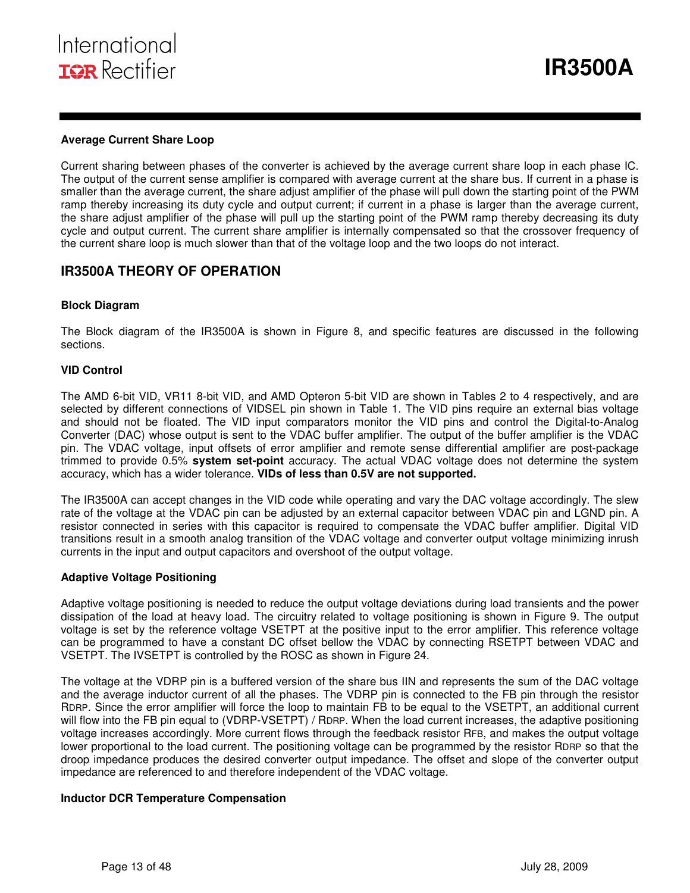#### **Average Current Share Loop**

Current sharing between phases of the converter is achieved by the average current share loop in each phase IC. The output of the current sense amplifier is compared with average current at the share bus. If current in a phase is smaller than the average current, the share adjust amplifier of the phase will pull down the starting point of the PWM ramp thereby increasing its duty cycle and output current; if current in a phase is larger than the average current, the share adjust amplifier of the phase will pull up the starting point of the PWM ramp thereby decreasing its duty cycle and output current. The current share amplifier is internally compensated so that the crossover frequency of the current share loop is much slower than that of the voltage loop and the two loops do not interact.

I

### **IR3500A THEORY OF OPERATION**

#### **Block Diagram**

The Block diagram of the IR3500A is shown in Figure 8, and specific features are discussed in the following sections.

#### **VID Control**

The AMD 6-bit VID, VR11 8-bit VID, and AMD Opteron 5-bit VID are shown in Tables 2 to 4 respectively, and are selected by different connections of VIDSEL pin shown in Table 1. The VID pins require an external bias voltage and should not be floated. The VID input comparators monitor the VID pins and control the Digital-to-Analog Converter (DAC) whose output is sent to the VDAC buffer amplifier. The output of the buffer amplifier is the VDAC pin. The VDAC voltage, input offsets of error amplifier and remote sense differential amplifier are post-package trimmed to provide 0.5% **system set-point** accuracy. The actual VDAC voltage does not determine the system accuracy, which has a wider tolerance. **VIDs of less than 0.5V are not supported.** 

The IR3500A can accept changes in the VID code while operating and vary the DAC voltage accordingly. The slew rate of the voltage at the VDAC pin can be adjusted by an external capacitor between VDAC pin and LGND pin. A resistor connected in series with this capacitor is required to compensate the VDAC buffer amplifier. Digital VID transitions result in a smooth analog transition of the VDAC voltage and converter output voltage minimizing inrush currents in the input and output capacitors and overshoot of the output voltage.

#### **Adaptive Voltage Positioning**

Adaptive voltage positioning is needed to reduce the output voltage deviations during load transients and the power dissipation of the load at heavy load. The circuitry related to voltage positioning is shown in Figure 9. The output voltage is set by the reference voltage VSETPT at the positive input to the error amplifier. This reference voltage can be programmed to have a constant DC offset bellow the VDAC by connecting RSETPT between VDAC and VSETPT. The IVSETPT is controlled by the ROSC as shown in Figure 24.

The voltage at the VDRP pin is a buffered version of the share bus IIN and represents the sum of the DAC voltage and the average inductor current of all the phases. The VDRP pin is connected to the FB pin through the resistor RDRP. Since the error amplifier will force the loop to maintain FB to be equal to the VSETPT, an additional current will flow into the FB pin equal to (VDRP-VSETPT) / RDRP. When the load current increases, the adaptive positioning voltage increases accordingly. More current flows through the feedback resistor RFB, and makes the output voltage lower proportional to the load current. The positioning voltage can be programmed by the resistor RDRP so that the droop impedance produces the desired converter output impedance. The offset and slope of the converter output impedance are referenced to and therefore independent of the VDAC voltage.

#### **Inductor DCR Temperature Compensation**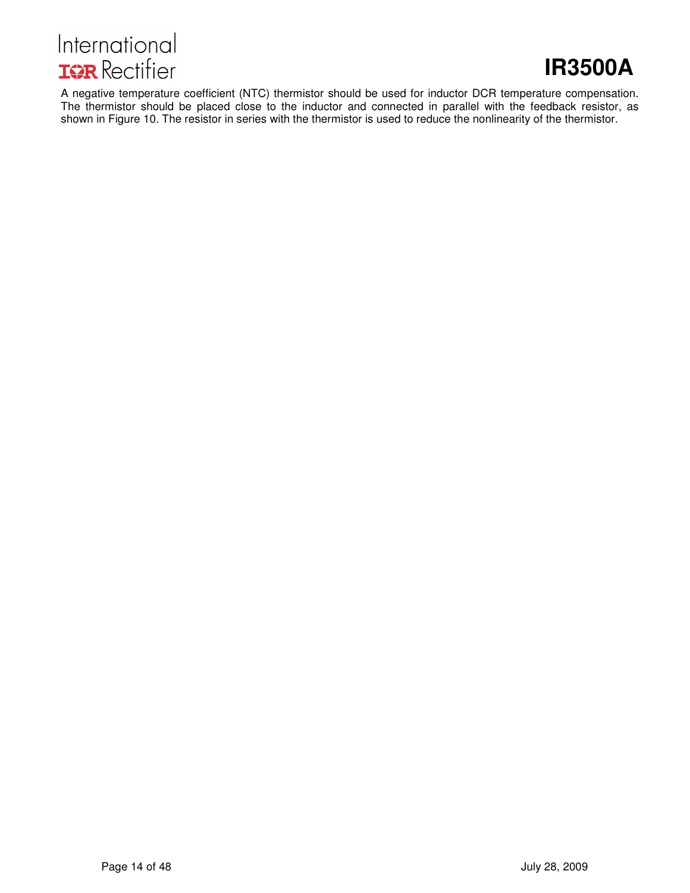

# **IR3500A**

A negative temperature coefficient (NTC) thermistor should be used for inductor DCR temperature compensation. The thermistor should be placed close to the inductor and connected in parallel with the feedback resistor, as shown in Figure 10. The resistor in series with the thermistor is used to reduce the nonlinearity of the thermistor.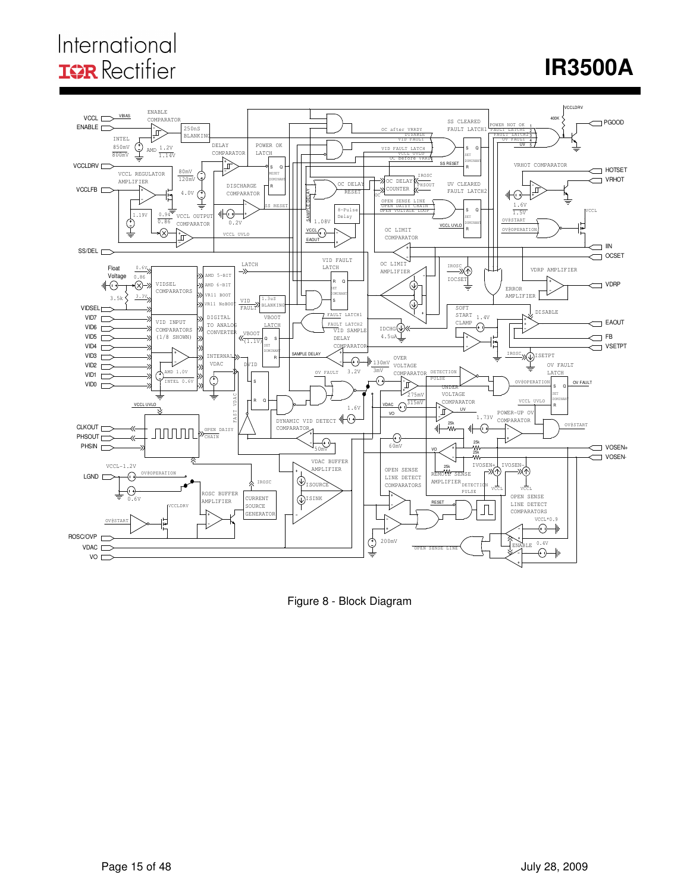# International **IGR** Rectifier

# **IR3500A**



Figure 8 - Block Diagram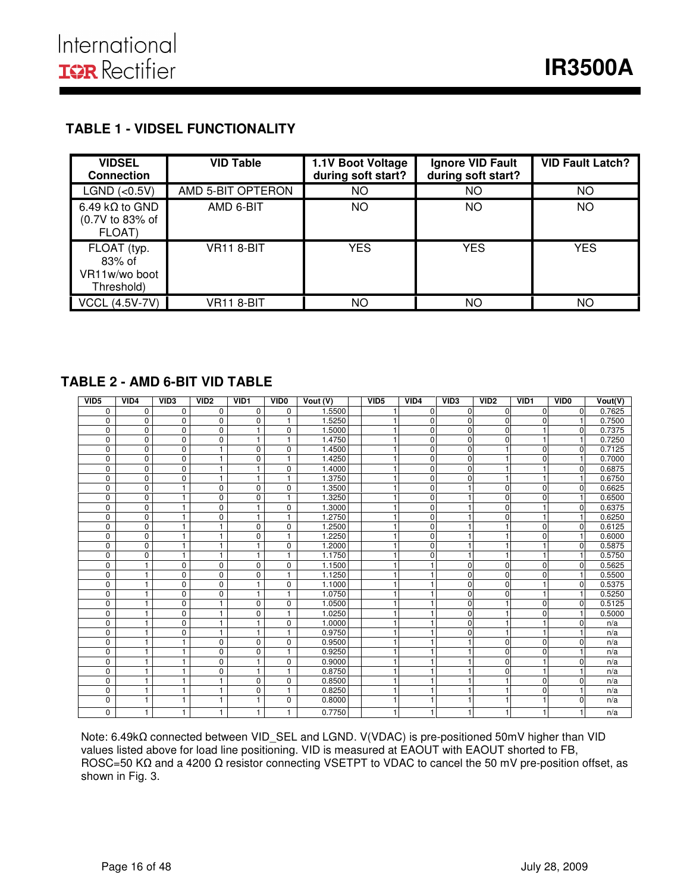### **TABLE 1 - VIDSEL FUNCTIONALITY**

| <b>VIDSEL</b><br><b>Connection</b>                   | <b>VID Table</b>  | 1.1V Boot Voltage<br>during soft start? | Ignore VID Fault<br>during soft start? | <b>VID Fault Latch?</b> |
|------------------------------------------------------|-------------------|-----------------------------------------|----------------------------------------|-------------------------|
| LGND (<0.5V)                                         | AMD 5-BIT OPTERON | NO                                      | ΝO                                     | <b>NO</b>               |
| 6.49 k $\Omega$ to GND<br>(0.7V to 83% of<br>FLOAT)  | AMD 6-BIT         | NO                                      | ΝO                                     | <b>NO</b>               |
| FLOAT (typ.<br>83% of<br>VR11w/wo boot<br>Threshold) | VR11 8-BIT        | <b>YES</b>                              | <b>YES</b>                             | <b>YES</b>              |
| <b>VCCL (4.5V-7V)</b>                                | VR11 8-BIT        | ΝO                                      | NΟ                                     | ΝO                      |

I

### **TABLE 2 - AMD 6-BIT VID TABLE**

| VID <sub>5</sub> | VID4        | VID <sub>3</sub> | VID <sub>2</sub> | VID1           | VID <sub>0</sub> | Vout (V) | VID <sub>5</sub> | VID4        | VID <sub>3</sub> | VID <sub>2</sub> | VID1     | VID <sub>0</sub> | Vout(V) |
|------------------|-------------|------------------|------------------|----------------|------------------|----------|------------------|-------------|------------------|------------------|----------|------------------|---------|
| 0                | 0           | 0                | 0                | 0              | 0                | 1.5500   |                  | $\Omega$    | $\Omega$         | $\Omega$         | $\Omega$ | $\Omega$         | 0.7625  |
| 0                | 0           | $\mathbf 0$      | $\mathbf 0$      | $\mathbf 0$    | 1                | 1.5250   |                  | $\Omega$    | $\Omega$         | $\Omega$         | $\Omega$ |                  | 0.7500  |
| 0                | 0           | $\mathbf 0$      | $\mathbf 0$      | 1              | $\mathbf 0$      | 1.5000   |                  | $\Omega$    | $\Omega$         | 0                |          | $\Omega$         | 0.7375  |
| 0                | $\Omega$    | 0                | $\Omega$         | $\mathbf{1}$   | $\overline{1}$   | 1.4750   |                  | $\Omega$    | $\Omega$         | 0                |          | 1                | 0.7250  |
| 0                | $\Omega$    | $\mathbf 0$      | $\mathbf{1}$     | $\mathbf 0$    | $\mathbf 0$      | 1.4500   |                  | $\Omega$    | $\Omega$         |                  | $\Omega$ | $\mathbf{0}$     | 0.7125  |
| $\overline{0}$   | $\mathbf 0$ | $\overline{0}$   | $\mathbf{1}$     | $\overline{0}$ | $\overline{1}$   | 1.4250   |                  | $\Omega$    | $\Omega$         |                  | $\Omega$ |                  | 0.7000  |
| 0                | $\mathbf 0$ | $\mathbf 0$      | $\mathbf{1}$     | $\mathbf{1}$   | $\mathbf 0$      | 1.4000   |                  | $\Omega$    | $\Omega$         |                  |          | $\Omega$         | 0.6875  |
| 0                | $\mathbf 0$ | 0                | 1                | 1              | $\mathbf{1}$     | 1.3750   |                  | $\Omega$    | $\Omega$         |                  | 1        | 1                | 0.6750  |
| 0                | 0           | 1                | $\mathbf 0$      | $\mathbf 0$    | $\mathbf 0$      | 1.3500   |                  | $\mathbf 0$ |                  | $\Omega$         | $\Omega$ | $\mathbf 0$      | 0.6625  |
| $\mathbf 0$      | $\mathbf 0$ | 1                | $\mathbf 0$      | $\mathbf 0$    | $\mathbf{1}$     | 1.3250   |                  | $\Omega$    |                  | $\Omega$         | 0        |                  | 0.6500  |
| 0                | $\mathbf 0$ | 1                | $\mathbf 0$      | 1              | $\mathbf 0$      | 1.3000   |                  | $\Omega$    |                  | 0                |          | $\Omega$         | 0.6375  |
| 0                | $\mathbf 0$ | 1                | $\mathbf 0$      | 1              | 1                | 1.2750   |                  | $\Omega$    |                  | 0                |          |                  | 0.6250  |
| 0                | 0           | 1                | $\mathbf{1}$     | $\mathbf 0$    | $\mathbf 0$      | .2500    |                  | $\Omega$    |                  |                  | $\Omega$ | $\Omega$         | 0.6125  |
| 0                | $\mathbf 0$ | 1                | $\mathbf{1}$     | $\mathbf 0$    | 1                | .2250    |                  | $\Omega$    |                  |                  | 0        |                  | 0.6000  |
| 0                | $\mathbf 0$ | 1                | $\mathbf{1}$     | $\mathbf{1}$   | $\mathbf 0$      | .2000    |                  | $\Omega$    |                  |                  |          | $\Omega$         | 0.5875  |
| 0                | $\mathbf 0$ | 1                | 1                | 1              | 1                | 1.1750   |                  | $\Omega$    |                  |                  |          |                  | 0.5750  |
| 0                | 1           | $\mathbf 0$      | $\mathbf 0$      | $\mathbf 0$    | 0                | 1.1500   |                  |             | $\Omega$         | $\Omega$         | $\Omega$ | $\Omega$         | 0.5625  |
| 0                | 1           | 0                | $\mathbf 0$      | $\mathbf 0$    | 1                | 1.1250   |                  |             | $\Omega$         | 0                | $\Omega$ |                  | 0.5500  |
| 0                | 1           | 0                | $\mathbf 0$      | 1              | 0                | 1.1000   |                  |             | $\Omega$         | 0                |          | $\Omega$         | 0.5375  |
| 0                | 1           | 0                | $\Omega$         | 1              | 1                | 1.0750   |                  |             | O                | 0                |          |                  | 0.5250  |
| 0                |             | 0                |                  | 0              | $\mathbf 0$      | 1.0500   |                  |             | O                |                  | $\Omega$ | $\Omega$         | 0.5125  |
| 0                | 1           | $\mathbf 0$      | 1                | $\mathbf 0$    | 1                | 1.0250   |                  |             | $\Omega$         |                  | 0        |                  | 0.5000  |
| 0                | 1           | $\mathbf 0$      | $\mathbf{1}$     | $\mathbf{1}$   | $\Omega$         | 1.0000   |                  |             | $\Omega$         |                  |          | $\Omega$         | n/a     |
| 0                | 1           | 0                | $\mathbf{1}$     | $\mathbf{1}$   | $\mathbf{1}$     | 0.9750   |                  |             | $\Omega$         |                  |          |                  | n/a     |
| 0                | 1           | 1                | $\mathbf 0$      | $\mathbf 0$    | $\mathbf 0$      | 0.9500   |                  |             |                  | 0                | $\Omega$ | $\Omega$         | n/a     |
| $\overline{0}$   | 1           | 1                | $\mathbf 0$      | $\mathbf 0$    | 1                | 0.9250   |                  |             |                  | 0                | $\Omega$ |                  | n/a     |
| 0                | 1           | 1                | $\mathbf 0$      | $\mathbf{1}$   | $\mathbf 0$      | 0.9000   |                  |             |                  | $\Omega$         | 1        | $\Omega$         | n/a     |
| 0                | 1           | 1                | $\mathbf 0$      | 1              | 1                | 0.8750   |                  |             |                  | 0                |          |                  | n/a     |
| 0                | 1           | 1                | 1                | $\mathbf 0$    | $\mathbf 0$      | 0.8500   |                  |             |                  |                  | $\Omega$ | 0                | n/a     |
| 0                | 1           | 1                | 1                | $\mathbf 0$    | 1                | 0.8250   |                  |             |                  |                  | $\Omega$ |                  | n/a     |
| 0                | 1           | 1                | 1                | 1              | $\mathbf 0$      | 0.8000   |                  |             |                  |                  |          | $\Omega$         | n/a     |
| 0                | 1           | 1                | 1                | 1              | 1                | 0.7750   |                  |             |                  |                  |          |                  | n/a     |

Note: 6.49kΩ connected between VID\_SEL and LGND. V(VDAC) is pre-positioned 50mV higher than VID values listed above for load line positioning. VID is measured at EAOUT with EAOUT shorted to FB, ROSC=50 KΩ and a 4200 Ω resistor connecting VSETPT to VDAC to cancel the 50 mV pre-position offset, as shown in Fig. 3.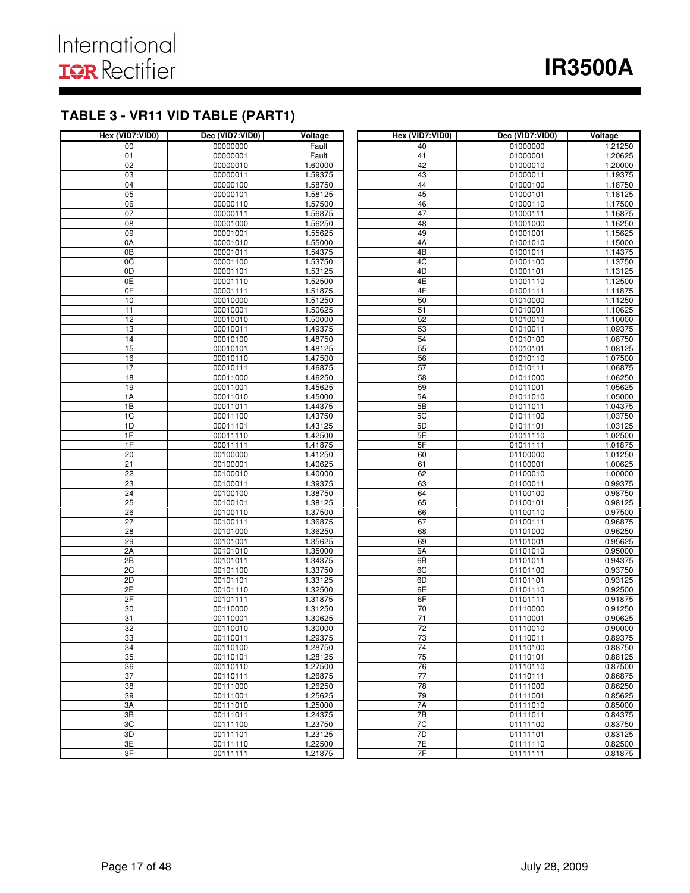# **TABLE 3 - VR11 VID TABLE (PART1)**

| Hex (VID7:VID0) | Dec (VID7:VID0)      | Voltage            | Hex (VID7:VID0) | Dec (VID7:VID0)      | Voltage            |
|-----------------|----------------------|--------------------|-----------------|----------------------|--------------------|
| 00              | 00000000             | Fault              | 40              | 01000000             | 1.21250            |
| 01              | 00000001             | Fault              | 41              | 01000001             | 1.20625            |
| 02              | 00000010             | 1.60000            | 42              | 01000010             | 1.20000            |
| 03              | 00000011             | 1.59375            | 43              | 01000011             | 1.19375            |
| 04              | 00000100             | 1.58750            | 44              | 01000100             | 1.18750            |
| 05              | 00000101             | 1.58125            | 45              | 01000101             | 1.18125            |
| 06              | 00000110             | 1.57500            | 46              | 01000110             | 1.17500            |
| 07              | 00000111             | 1.56875            | 47              | 01000111             | 1.16875            |
| $\overline{08}$ | 00001000             | 1.56250            | 48              | 01001000             | 1.16250            |
| 09              | 00001001             | 1.55625            | 49              | 01001001             | 1.15625            |
| 0A              | 00001010             | 1.55000            | 4A              | 01001010             | 1.15000            |
| 0B              | 00001011             | 1.54375            | 4B              | 01001011             | 1.14375            |
| $\overline{OC}$ | 00001100             | 1.53750            | 4C              | 01001100             | 1.13750            |
| 0D              | 00001101             | 1.53125            | 4D              | 01001101             | 1.13125            |
| 0E              | 00001110             | 1.52500            | 4E              | 01001110             | 1.12500            |
| 0F              | 00001111             | 1.51875            | 4F              | 01001111             | 1.11875            |
| 10              | 00010000             | 1.51250            | 50              | 01010000             | 1.11250            |
| 11<br>12        | 00010001             | 1.50625            | 51<br>52        | 01010001             | 1.10625            |
| 13              | 00010010             | 1.50000            | 53              | 01010010             | 1.10000            |
|                 | 00010011<br>00010100 | 1.49375<br>1.48750 |                 | 01010011             | 1.09375<br>1.08750 |
| 14<br>15        | 00010101             | 1.48125            | 54<br>55        | 01010100<br>01010101 | 1.08125            |
| 16              | 00010110             | 1.47500            | 56              | 01010110             | 1.07500            |
| 17              | 00010111             | 1.46875            | 57              | 01010111             | 1.06875            |
| 18              | 00011000             | 1.46250            | 58              | 01011000             | 1.06250            |
| 19              | 00011001             | 1.45625            | 59              | 01011001             | 1.05625            |
| 1A              | 00011010             | 1.45000            | 5A              | 01011010             | 1.05000            |
| 1B              | 00011011             | 1.44375            | 5B              | 01011011             | 1.04375            |
| 1C              | 00011100             | 1.43750            | 5C              | 01011100             | 1.03750            |
| 1D              | 00011101             | 1.43125            | 5D              | 01011101             | 1.03125            |
| 1E              | 00011110             | 1.42500            | 5E              | 01011110             | 1.02500            |
| 1F              | 00011111             | 1.41875            | 5F              | 01011111             | 1.01875            |
| $\overline{20}$ | 00100000             | 1.41250            | 60              | 01100000             | 1.01250            |
| 21              | 00100001             | 1.40625            | 61              | 01100001             | 1.00625            |
| 22              | 00100010             | 1.40000            | 62              | 01100010             | 1.00000            |
| 23              | 00100011             | 1.39375            | 63              | 01100011             | 0.99375            |
| 24              | 00100100             | 1.38750            | 64              | 01100100             | 0.98750            |
| 25              | 00100101             | 1.38125            | 65              | 01100101             | 0.98125            |
| 26              | 00100110             | 1.37500            | 66              | 01100110             | 0.97500            |
| $\overline{27}$ | 00100111             | 1.36875            | 67              | 01100111             | 0.96875            |
| $\overline{28}$ | 00101000             | 1.36250            | 68              | 01101000             | 0.96250            |
| 29              | 00101001             | 1.35625            | 69              | 01101001             | 0.95625            |
| 2A              | 00101010             | 1.35000            | 6A              | 01101010             | 0.95000            |
| 2B              | 00101011             | 1.34375            | 6B              | 01101011             | 0.94375            |
| 2C              | 00101100             | 1.33750            | 6C              | 01101100             | 0.93750            |
| 2D              | 00101101             | 1.33125            | 6D              | 01101101             | 0.93125            |
| 2E              | 00101110             | 1.32500            | 6E              | 01101110             | 0.92500            |
| 2F              | 00101111             | 1.31875            | 6F              | 01101111             | 0.91875            |
| 30              | 00110000             | 1.31250            | 70              | 01110000             | 0.91250            |
| 31              | 00110001             | 1.30625            | $\overline{71}$ | 01110001             | 0.90625            |
| 32              | 00110010             | 1.30000            | 72              | 01110010             | 0.90000            |
| 33              | 00110011             | 1.29375            | 73              | 01110011             | 0.89375            |
| 34              | 00110100             | 1.28750            | 74              | 01110100             | 0.88750            |
| 35              | 00110101             | 1.28125            | 75              | 01110101             | 0.88125            |
| 36              | 00110110             | 1.27500            | 76              | 01110110             | 0.87500            |
| 37              | 00110111             | 1.26875            | 77              | 01110111             | 0.86875            |
| 38              | 00111000             | 1.26250            | 78              | 01111000             | 0.86250            |
| 39              | 00111001             | 1.25625            | 79              | 01111001             | 0.85625            |
| ЗA              | 00111010             | 1.25000            | 7A              | 01111010             | 0.85000            |
| 3B              | 00111011             | 1.24375            | 7B              | 01111011             | 0.84375            |
| 3C<br>3D        | 00111100<br>00111101 | 1.23750            | 7C<br>7D        | 01111100<br>01111101 | 0.83750            |
| 3E              |                      | 1.23125            | 7E              | 01111110             | 0.83125            |
| 3F              | 00111110             | 1.22500            | 7F              | 01111111             | 0.82500            |
|                 | 00111111             | 1.21875            |                 |                      | 0.81875            |

I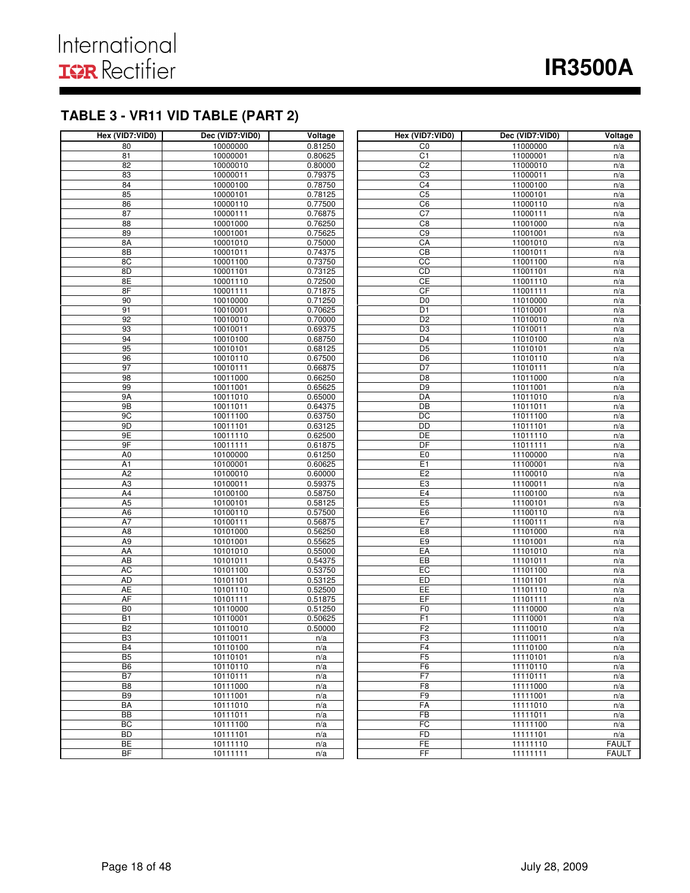# **TABLE 3 - VR11 VID TABLE (PART 2)**

| Hex (VID7:VID0) | Dec (VID7:VID0)      | Voltage | Hex (VID7:VID0)      | Dec (VID7:VID0)      | Voltage                      |
|-----------------|----------------------|---------|----------------------|----------------------|------------------------------|
| 80              | 10000000             | 0.81250 | CO                   | 11000000             | n/a                          |
| 81              | 10000001             | 0.80625 | C1                   | 11000001             | n/a                          |
| 82              | 10000010             | 0.80000 | C <sub>2</sub>       | 11000010             | n/a                          |
| 83              | 10000011             | 0.79375 | C3                   | 11000011             | n/a                          |
| 84              | 10000100             | 0.78750 | C <sub>4</sub>       | 11000100             | n/a                          |
| 85              | 10000101             | 0.78125 | C <sub>5</sub>       | 11000101             | n/a                          |
| 86              | 10000110             | 0.77500 | C <sub>6</sub>       | 11000110             | n/a                          |
| 87              | 10000111             | 0.76875 | C <sub>7</sub>       | 11000111             | n/a                          |
| 88              | 10001000             | 0.76250 | C8                   | 11001000             | n/a                          |
| 89              | 10001001             | 0.75625 | C9                   | 11001001             | n/a                          |
| 8A              | 10001010             | 0.75000 | CA                   | 11001010             | n/a                          |
| 8B              | 10001011             | 0.74375 | $\overline{CB}$      | 11001011             | n/a                          |
| 8C              | 10001100             | 0.73750 | CC                   | 11001100             | n/a                          |
| 8D              | 10001101             | 0.73125 | CD                   | 11001101             | n/a                          |
| 8E              | 10001110             | 0.72500 | CE                   | 11001110             | n/a                          |
| 8F              | 10001111             | 0.71875 | CF                   | 11001111             | n/a                          |
| 90              | 10010000             | 0.71250 | D <sub>0</sub>       | 11010000             | n/a                          |
| 91              | 10010001             | 0.70625 | D <sub>1</sub>       | 11010001             | n/a                          |
| 92              | 10010010             | 0.70000 | D <sub>2</sub>       | 11010010             | n/a                          |
| 93              | 10010011             | 0.69375 | D <sub>3</sub>       | 11010011             | n/a                          |
| 94              | 10010100             | 0.68750 | D <sub>4</sub>       | 11010100             | n/a                          |
| 95              | 10010101             | 0.68125 | $\overline{D5}$      | 11010101             | n/a                          |
| 96              | 10010110             | 0.67500 | D <sub>6</sub>       | 11010110             | n/a                          |
| 97              | 10010111             | 0.66875 | D7                   | 11010111             | n/a                          |
| 98              | 10011000             | 0.66250 | D <sub>8</sub>       | 11011000             | n/a                          |
| 99              | 10011001             | 0.65625 | D <sub>9</sub>       | 11011001             | n/a                          |
| 9A              | 10011010             | 0.65000 | DA                   | 11011010             | n/a                          |
| 9B              | 10011011             | 0.64375 | DB                   | 11011011             | n/a                          |
| 9C              | 10011100             | 0.63750 | DC                   | 11011100             | n/a                          |
| 9D              | 10011101             | 0.63125 | DD                   | 11011101             | n/a                          |
| 9E              | 10011110             | 0.62500 | DE                   | 11011110             | n/a                          |
| 9F              | 10011111             | 0.61875 | DF                   | 11011111             | n/a                          |
| A <sub>0</sub>  | 10100000             | 0.61250 | E <sub>0</sub>       | 11100000             | n/a                          |
| A1              | 10100001             | 0.60625 | E1                   | 11100001             | n/a                          |
| A2              | 10100010             | 0.60000 | E2                   | 11100010             | n/a                          |
| A3              | 10100011             | 0.59375 | E3                   | 11100011             | n/a                          |
| A4              | 10100100             | 0.58750 | E4                   | 11100100             | n/a                          |
| A5              | 10100101             | 0.58125 | E <sub>5</sub>       | 11100101             | n/a                          |
| A <sub>6</sub>  | 10100110             | 0.57500 | E <sub>6</sub>       | 11100110             | n/a                          |
| A7              | 10100111             | 0.56875 | E7                   | 11100111             | n/a                          |
| A <sub>8</sub>  | 10101000             | 0.56250 | E8                   | 11101000             | n/a                          |
| A <sub>9</sub>  | 10101001             | 0.55625 | E <sub>9</sub>       | 11101001             | n/a                          |
| AA              | 10101010             | 0.55000 | EA                   | 11101010             | n/a                          |
| <b>AB</b>       | 10101011             | 0.54375 | EB                   | 11101011             | n/a                          |
| <b>AC</b>       | 10101100             | 0.53750 | EC                   | 11101100             | n/a                          |
| <b>AD</b>       | 10101101             | 0.53125 | ED                   | 11101101             | n/a                          |
| AE              | 10101110             | 0.52500 | EE                   | 11101110             | n/a                          |
| AF              | 10101111             | 0.51875 | EF                   | 11101111             | n/a                          |
| B <sub>0</sub>  | 10110000             | 0.51250 | F <sub>0</sub>       | 11110000             | n/a                          |
| <b>B1</b>       | 10110001             | 0.50625 | F1                   | 11110001             | n/a                          |
| B2              | 10110010             | 0.50000 | F2                   | 11110010             | n/a                          |
| B3              | 10110011             | n/a     | F3                   | 11110011             | n/a                          |
| B <sub>4</sub>  | 10110100             | n/a     | F <sub>4</sub>       | 11110100             | n/a                          |
| B5              | 10110101             | n/a     | F5                   | 11110101             | n/a                          |
| B <sub>6</sub>  | 10110110             | n/a     | F6                   | 11110110             | n/a                          |
| B7              | 10110111             | n/a     | F7<br>F <sub>8</sub> | 11110111             | n/a                          |
| B <sub>8</sub>  | 10111000             | n/a     |                      | 11111000             | n/a                          |
| B <sub>9</sub>  | 10111001             | n/a     | F9                   | 11111001             | n/a                          |
| BA              | 10111010             | n/a     | FA                   | 11111010             | n/a                          |
| BB              | 10111011             | n/a     | FB<br>FC             | 11111011             | n/a                          |
| BC<br><b>BD</b> | 10111100<br>10111101 | n/a     | FD                   | 11111100<br>11111101 | n/a                          |
|                 |                      | n/a     | <b>FE</b>            |                      | n/a                          |
| BE<br><b>BF</b> | 10111110             | n/a     | FF                   | 11111110<br>11111111 | <b>FAULT</b><br><b>FAULT</b> |
|                 | 10111111             | n/a     |                      |                      |                              |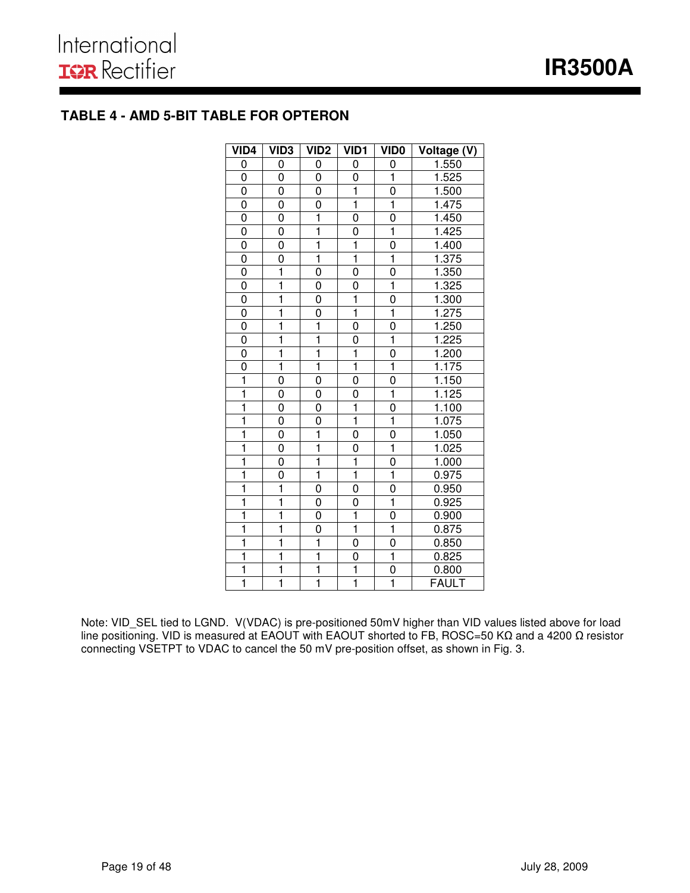# **TABLE 4 - AMD 5-BIT TABLE FOR OPTERON**

| VID <sub>4</sub>        | VID <sub>3</sub>        | VID <sub>2</sub>        | VID <sub>1</sub>        | <b>VIDO</b>             | Voltage (V)  |
|-------------------------|-------------------------|-------------------------|-------------------------|-------------------------|--------------|
| 0                       | 0                       | 0                       | 0                       | 0                       | 1.550        |
| 0                       | 0                       | 0                       | 0                       | ī                       | 1.525        |
| 0                       | 0                       | 0                       | $\overline{\mathbf{1}}$ | $\overline{0}$          | 1.500        |
| 0                       | 0                       | 0                       | $\overline{1}$          | ī                       | 1.475        |
| 0                       | $\overline{0}$          | ī                       | 0                       | $\overline{0}$          | 1.450        |
| 0                       | 0                       | $\mathbf{1}$            | 0                       | 1                       | 1.425        |
| 0                       | 0                       | $\overline{\mathbf{1}}$ | $\overline{1}$          | 0                       | 1.400        |
| 0                       | 0                       | $\mathbf 1$             | $\overline{\mathbf{1}}$ | $\overline{\mathbf{1}}$ | 1.375        |
| $\overline{0}$          | $\overline{1}$          | 0                       | 0                       | 0                       | 1.350        |
| $\overline{0}$          | $\overline{\mathbf{1}}$ | 0                       | 0                       | $\overline{\mathbf{1}}$ | 1.325        |
| 0                       | $\overline{1}$          | 0                       | $\overline{1}$          | 0                       | 1.300        |
| 0                       | ī                       | 0                       | $\overline{\mathbf{1}}$ | $\overline{1}$          | 1.275        |
| $\overline{0}$          | $\overline{\mathbf{1}}$ | ī                       | 0                       | $\overline{0}$          | 1.250        |
| 0                       | $\overline{\mathbf{1}}$ | $\overline{\mathbf{1}}$ | 0                       | $\overline{\mathbf{1}}$ | 1.225        |
| 0                       | ī                       | $\overline{1}$          | $\overline{1}$          | $\overline{0}$          | 1.200        |
| 0                       | ī                       | $\mathbf{1}$            | $\overline{1}$          | $\overline{1}$          | 1.175        |
| $\overline{\mathbf{1}}$ | 0                       | 0                       | 0                       | 0                       | 1.150        |
| ī                       | 0                       | 0                       | 0                       | $\overline{\mathbf{1}}$ | 1.125        |
| ī                       | $\overline{0}$          | 0                       | $\overline{\mathbf{1}}$ | $\overline{0}$          | 1.100        |
| $\overline{\mathbf{1}}$ | $\overline{0}$          | $\overline{0}$          | ī                       | $\overline{\mathbf{1}}$ | 1.075        |
| ī                       | $\overline{0}$          | $\overline{1}$          | 0                       | $\overline{0}$          | 1.050        |
| $\overline{\mathbf{1}}$ | $\overline{0}$          | $\overline{\mathbf{1}}$ | 0                       | $\overline{\mathbf{1}}$ | 1.025        |
| ī                       | 0                       | $\overline{\mathbf{1}}$ | $\overline{1}$          | 0                       | 1.000        |
| $\overline{1}$          | 0                       | $\overline{1}$          | $\overline{\mathbf{1}}$ | $\overline{\mathbf{1}}$ | 0.975        |
| ī                       | $\overline{\mathbf{1}}$ | 0                       | 0                       | 0                       | 0.950        |
| 1                       | ī                       | 0                       | 0                       | $\mathbf{1}$            | 0.925        |
| ī                       | $\overline{\mathbf{1}}$ | 0                       | $\overline{\mathbf{1}}$ | 0                       | 0.900        |
| ī                       | $\overline{\mathbf{1}}$ | 0                       | $\overline{\mathbf{1}}$ | $\overline{\mathbf{1}}$ | 0.875        |
| $\overline{\mathbf{1}}$ | ī                       | $\overline{\mathbf{1}}$ | 0                       | 0                       | 0.850        |
| ī                       | $\overline{\mathbf{1}}$ | $\overline{1}$          | 0                       | $\overline{\mathbf{1}}$ | 0.825        |
| $\overline{\mathbf{1}}$ | $\overline{\mathbf{1}}$ | $\overline{\mathbf{1}}$ | $\overline{\mathbf{1}}$ | $\overline{0}$          | 0.800        |
| $\overline{1}$          | $\overline{1}$          | $\overline{1}$          | $\overline{\mathbf{1}}$ | $\overline{\mathbf{1}}$ | <b>FAULT</b> |

Note: VID\_SEL tied to LGND. V(VDAC) is pre-positioned 50mV higher than VID values listed above for load line positioning. VID is measured at EAOUT with EAOUT shorted to FB, ROSC=50 KΩ and a 4200 Ω resistor connecting VSETPT to VDAC to cancel the 50 mV pre-position offset, as shown in Fig. 3.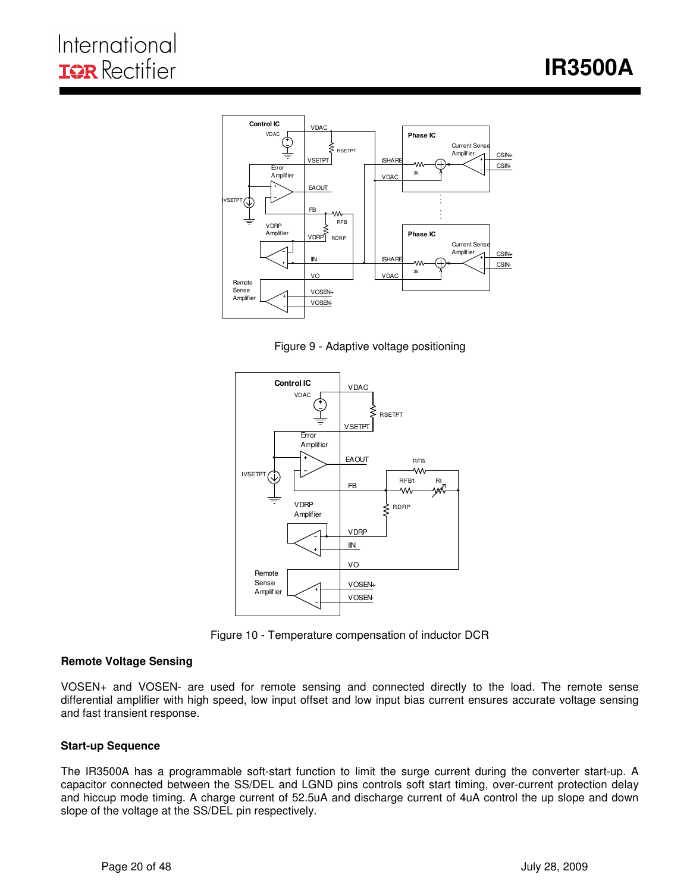

I

Figure 9 - Adaptive voltage positioning



Figure 10 - Temperature compensation of inductor DCR

#### **Remote Voltage Sensing**

VOSEN+ and VOSEN- are used for remote sensing and connected directly to the load. The remote sense differential amplifier with high speed, low input offset and low input bias current ensures accurate voltage sensing and fast transient response.

#### **Start-up Sequence**

The IR3500A has a programmable soft-start function to limit the surge current during the converter start-up. A capacitor connected between the SS/DEL and LGND pins controls soft start timing, over-current protection delay and hiccup mode timing. A charge current of 52.5uA and discharge current of 4uA control the up slope and down slope of the voltage at the SS/DEL pin respectively.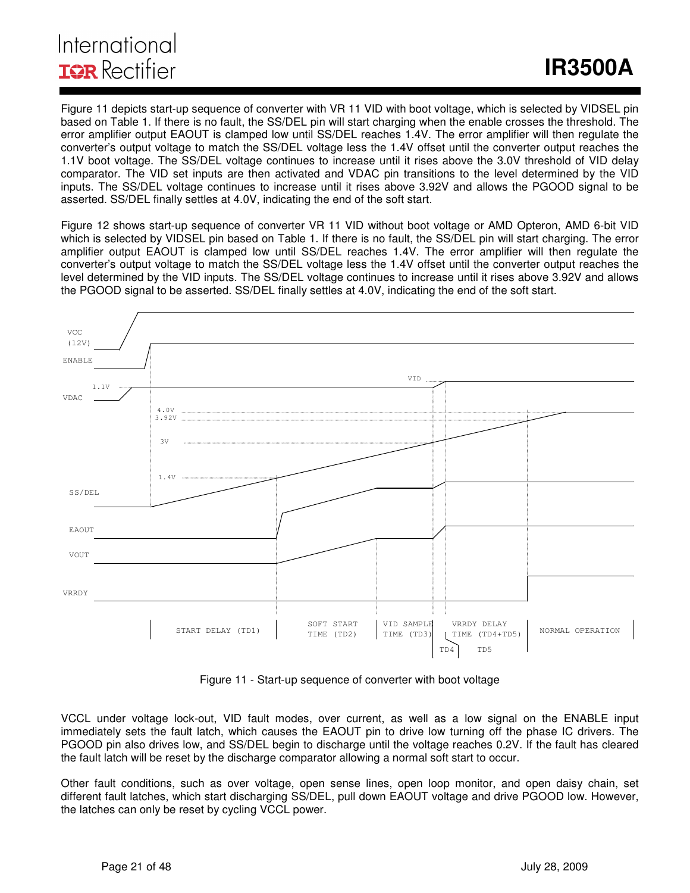# International **IGR** Rectifier

Figure 11 depicts start-up sequence of converter with VR 11 VID with boot voltage, which is selected by VIDSEL pin based on Table 1. If there is no fault, the SS/DEL pin will start charging when the enable crosses the threshold. The error amplifier output EAOUT is clamped low until SS/DEL reaches 1.4V. The error amplifier will then regulate the converter's output voltage to match the SS/DEL voltage less the 1.4V offset until the converter output reaches the 1.1V boot voltage. The SS/DEL voltage continues to increase until it rises above the 3.0V threshold of VID delay comparator. The VID set inputs are then activated and VDAC pin transitions to the level determined by the VID inputs. The SS/DEL voltage continues to increase until it rises above 3.92V and allows the PGOOD signal to be asserted. SS/DEL finally settles at 4.0V, indicating the end of the soft start.

I

Figure 12 shows start-up sequence of converter VR 11 VID without boot voltage or AMD Opteron, AMD 6-bit VID which is selected by VIDSEL pin based on Table 1. If there is no fault, the SS/DEL pin will start charging. The error amplifier output EAOUT is clamped low until SS/DEL reaches 1.4V. The error amplifier will then regulate the converter's output voltage to match the SS/DEL voltage less the 1.4V offset until the converter output reaches the level determined by the VID inputs. The SS/DEL voltage continues to increase until it rises above 3.92V and allows the PGOOD signal to be asserted. SS/DEL finally settles at 4.0V, indicating the end of the soft start.



Figure 11 - Start-up sequence of converter with boot voltage

VCCL under voltage lock-out, VID fault modes, over current, as well as a low signal on the ENABLE input immediately sets the fault latch, which causes the EAOUT pin to drive low turning off the phase IC drivers. The PGOOD pin also drives low, and SS/DEL begin to discharge until the voltage reaches 0.2V. If the fault has cleared the fault latch will be reset by the discharge comparator allowing a normal soft start to occur.

Other fault conditions, such as over voltage, open sense lines, open loop monitor, and open daisy chain, set different fault latches, which start discharging SS/DEL, pull down EAOUT voltage and drive PGOOD low. However, the latches can only be reset by cycling VCCL power.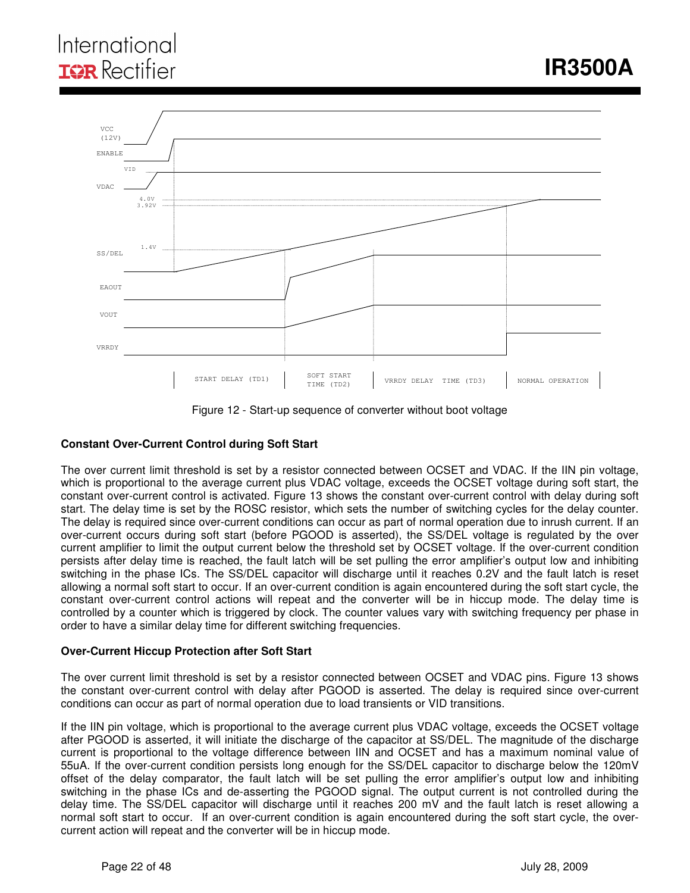# International **IGR** Rectifier



Figure 12 - Start-up sequence of converter without boot voltage

#### **Constant Over-Current Control during Soft Start**

The over current limit threshold is set by a resistor connected between OCSET and VDAC. If the IIN pin voltage, which is proportional to the average current plus VDAC voltage, exceeds the OCSET voltage during soft start, the constant over-current control is activated. Figure 13 shows the constant over-current control with delay during soft start. The delay time is set by the ROSC resistor, which sets the number of switching cycles for the delay counter. The delay is required since over-current conditions can occur as part of normal operation due to inrush current. If an over-current occurs during soft start (before PGOOD is asserted), the SS/DEL voltage is regulated by the over current amplifier to limit the output current below the threshold set by OCSET voltage. If the over-current condition persists after delay time is reached, the fault latch will be set pulling the error amplifier's output low and inhibiting switching in the phase ICs. The SS/DEL capacitor will discharge until it reaches 0.2V and the fault latch is reset allowing a normal soft start to occur. If an over-current condition is again encountered during the soft start cycle, the constant over-current control actions will repeat and the converter will be in hiccup mode. The delay time is controlled by a counter which is triggered by clock. The counter values vary with switching frequency per phase in order to have a similar delay time for different switching frequencies.

#### **Over-Current Hiccup Protection after Soft Start**

The over current limit threshold is set by a resistor connected between OCSET and VDAC pins. Figure 13 shows the constant over-current control with delay after PGOOD is asserted. The delay is required since over-current conditions can occur as part of normal operation due to load transients or VID transitions.

If the IIN pin voltage, which is proportional to the average current plus VDAC voltage, exceeds the OCSET voltage after PGOOD is asserted, it will initiate the discharge of the capacitor at SS/DEL. The magnitude of the discharge current is proportional to the voltage difference between IIN and OCSET and has a maximum nominal value of 55uA. If the over-current condition persists long enough for the SS/DEL capacitor to discharge below the 120mV offset of the delay comparator, the fault latch will be set pulling the error amplifier's output low and inhibiting switching in the phase ICs and de-asserting the PGOOD signal. The output current is not controlled during the delay time. The SS/DEL capacitor will discharge until it reaches 200 mV and the fault latch is reset allowing a normal soft start to occur. If an over-current condition is again encountered during the soft start cycle, the overcurrent action will repeat and the converter will be in hiccup mode.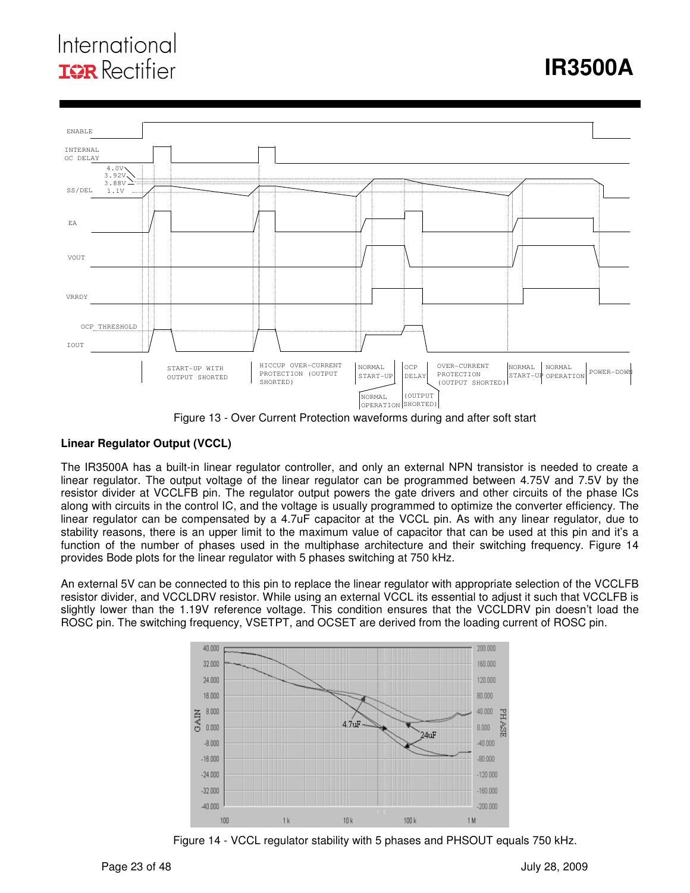# International **ISR** Rectifier

# **IR3500A**



Figure 13 - Over Current Protection waveforms during and after soft start

#### **Linear Regulator Output (VCCL)**

The IR3500A has a built-in linear regulator controller, and only an external NPN transistor is needed to create a linear regulator. The output voltage of the linear regulator can be programmed between 4.75V and 7.5V by the resistor divider at VCCLFB pin. The regulator output powers the gate drivers and other circuits of the phase ICs along with circuits in the control IC, and the voltage is usually programmed to optimize the converter efficiency. The linear regulator can be compensated by a 4.7uF capacitor at the VCCL pin. As with any linear regulator, due to stability reasons, there is an upper limit to the maximum value of capacitor that can be used at this pin and it's a function of the number of phases used in the multiphase architecture and their switching frequency. Figure 14 provides Bode plots for the linear regulator with 5 phases switching at 750 kHz.

An external 5V can be connected to this pin to replace the linear regulator with appropriate selection of the VCCLFB resistor divider, and VCCLDRV resistor. While using an external VCCL its essential to adjust it such that VCCLFB is slightly lower than the 1.19V reference voltage. This condition ensures that the VCCLDRV pin doesn't load the ROSC pin. The switching frequency, VSETPT, and OCSET are derived from the loading current of ROSC pin.



Figure 14 - VCCL regulator stability with 5 phases and PHSOUT equals 750 kHz.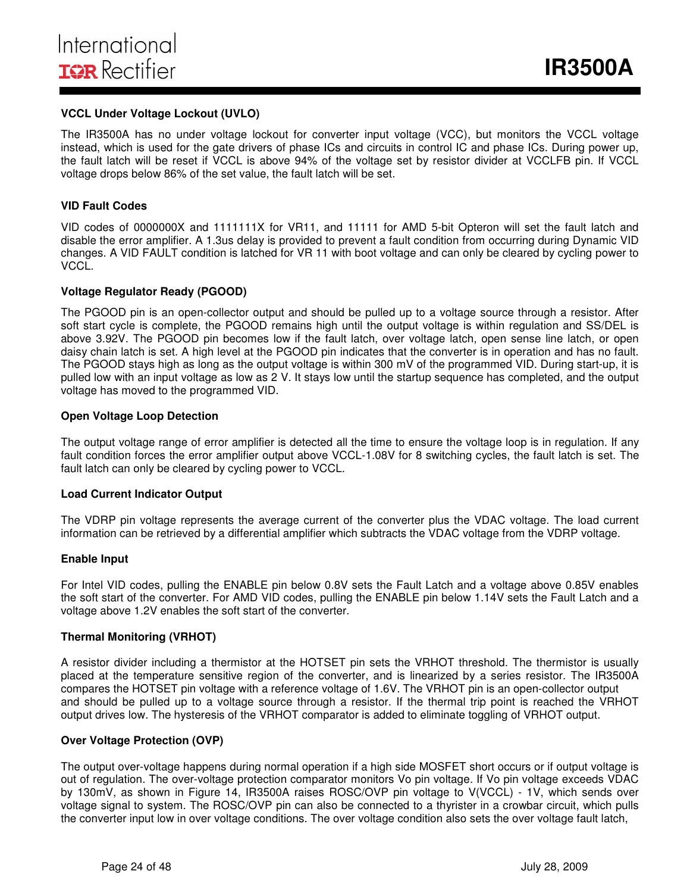#### **VCCL Under Voltage Lockout (UVLO)**

The IR3500A has no under voltage lockout for converter input voltage (VCC), but monitors the VCCL voltage instead, which is used for the gate drivers of phase ICs and circuits in control IC and phase ICs. During power up, the fault latch will be reset if VCCL is above 94% of the voltage set by resistor divider at VCCLFB pin. If VCCL voltage drops below 86% of the set value, the fault latch will be set.

#### **VID Fault Codes**

VID codes of 0000000X and 1111111X for VR11, and 11111 for AMD 5-bit Opteron will set the fault latch and disable the error amplifier. A 1.3us delay is provided to prevent a fault condition from occurring during Dynamic VID changes. A VID FAULT condition is latched for VR 11 with boot voltage and can only be cleared by cycling power to VCCL.

#### **Voltage Regulator Ready (PGOOD)**

The PGOOD pin is an open-collector output and should be pulled up to a voltage source through a resistor. After soft start cycle is complete, the PGOOD remains high until the output voltage is within regulation and SS/DEL is above 3.92V. The PGOOD pin becomes low if the fault latch, over voltage latch, open sense line latch, or open daisy chain latch is set. A high level at the PGOOD pin indicates that the converter is in operation and has no fault. The PGOOD stays high as long as the output voltage is within 300 mV of the programmed VID. During start-up, it is pulled low with an input voltage as low as 2 V. It stays low until the startup sequence has completed, and the output voltage has moved to the programmed VID.

#### **Open Voltage Loop Detection**

The output voltage range of error amplifier is detected all the time to ensure the voltage loop is in regulation. If any fault condition forces the error amplifier output above VCCL-1.08V for 8 switching cycles, the fault latch is set. The fault latch can only be cleared by cycling power to VCCL.

#### **Load Current Indicator Output**

The VDRP pin voltage represents the average current of the converter plus the VDAC voltage. The load current information can be retrieved by a differential amplifier which subtracts the VDAC voltage from the VDRP voltage.

#### **Enable Input**

For Intel VID codes, pulling the ENABLE pin below 0.8V sets the Fault Latch and a voltage above 0.85V enables the soft start of the converter. For AMD VID codes, pulling the ENABLE pin below 1.14V sets the Fault Latch and a voltage above 1.2V enables the soft start of the converter.

#### **Thermal Monitoring (VRHOT)**

A resistor divider including a thermistor at the HOTSET pin sets the VRHOT threshold. The thermistor is usually placed at the temperature sensitive region of the converter, and is linearized by a series resistor. The IR3500A compares the HOTSET pin voltage with a reference voltage of 1.6V. The VRHOT pin is an open-collector output and should be pulled up to a voltage source through a resistor. If the thermal trip point is reached the VRHOT output drives low. The hysteresis of the VRHOT comparator is added to eliminate toggling of VRHOT output.

#### **Over Voltage Protection (OVP)**

The output over-voltage happens during normal operation if a high side MOSFET short occurs or if output voltage is out of regulation. The over-voltage protection comparator monitors Vo pin voltage. If Vo pin voltage exceeds VDAC by 130mV, as shown in Figure 14, IR3500A raises ROSC/OVP pin voltage to V(VCCL) - 1V, which sends over voltage signal to system. The ROSC/OVP pin can also be connected to a thyrister in a crowbar circuit, which pulls the converter input low in over voltage conditions. The over voltage condition also sets the over voltage fault latch,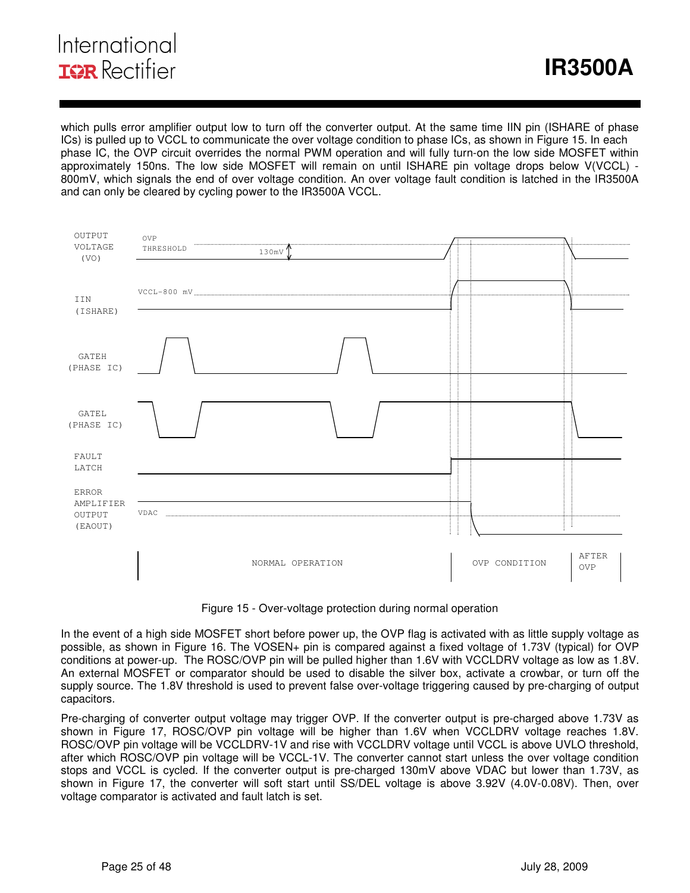which pulls error amplifier output low to turn off the converter output. At the same time IIN pin (ISHARE of phase ICs) is pulled up to VCCL to communicate the over voltage condition to phase ICs, as shown in Figure 15. In each phase IC, the OVP circuit overrides the normal PWM operation and will fully turn-on the low side MOSFET within approximately 150ns. The low side MOSFET will remain on until ISHARE pin voltage drops below V(VCCL) - 800mV, which signals the end of over voltage condition. An over voltage fault condition is latched in the IR3500A and can only be cleared by cycling power to the IR3500A VCCL.



Figure 15 - Over-voltage protection during normal operation

In the event of a high side MOSFET short before power up, the OVP flag is activated with as little supply voltage as possible, as shown in Figure 16. The VOSEN+ pin is compared against a fixed voltage of 1.73V (typical) for OVP conditions at power-up. The ROSC/OVP pin will be pulled higher than 1.6V with VCCLDRV voltage as low as 1.8V. An external MOSFET or comparator should be used to disable the silver box, activate a crowbar, or turn off the supply source. The 1.8V threshold is used to prevent false over-voltage triggering caused by pre-charging of output capacitors.

Pre-charging of converter output voltage may trigger OVP. If the converter output is pre-charged above 1.73V as shown in Figure 17, ROSC/OVP pin voltage will be higher than 1.6V when VCCLDRV voltage reaches 1.8V. ROSC/OVP pin voltage will be VCCLDRV-1V and rise with VCCLDRV voltage until VCCL is above UVLO threshold, after which ROSC/OVP pin voltage will be VCCL-1V. The converter cannot start unless the over voltage condition stops and VCCL is cycled. If the converter output is pre-charged 130mV above VDAC but lower than 1.73V, as shown in Figure 17, the converter will soft start until SS/DEL voltage is above 3.92V (4.0V-0.08V). Then, over voltage comparator is activated and fault latch is set.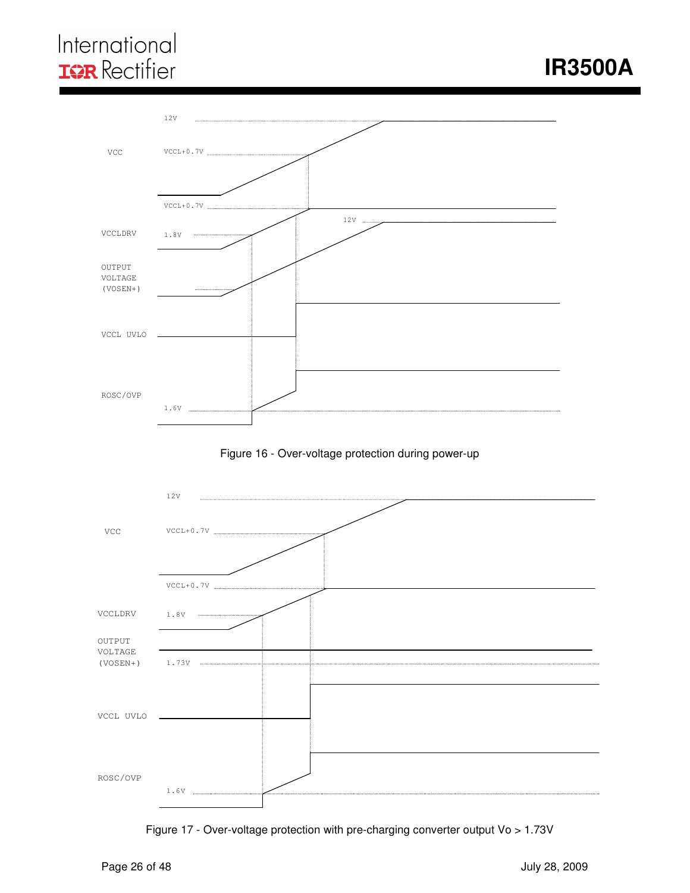# International **IOR** Rectifier







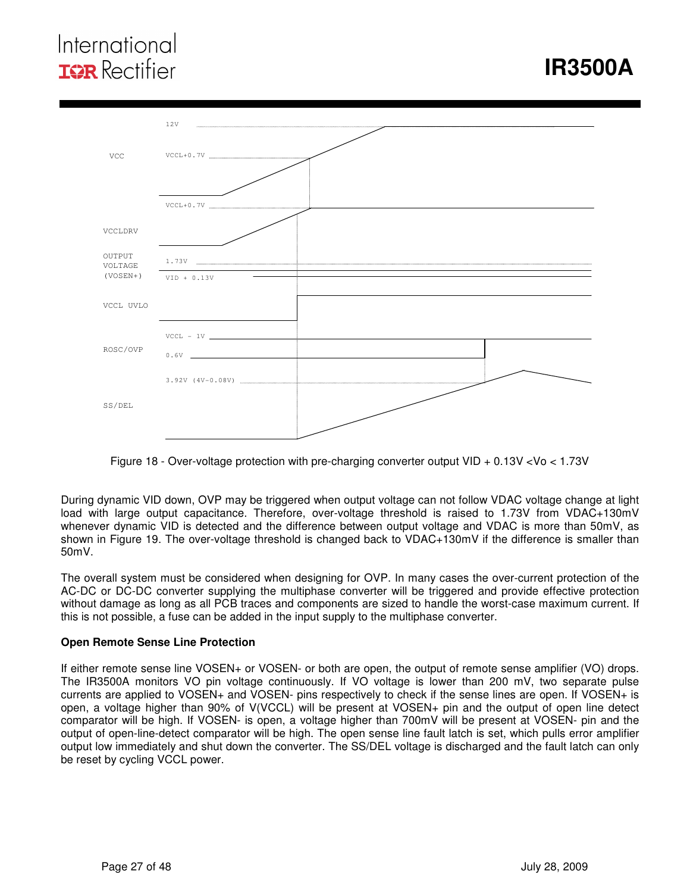# International **ISR** Rectifier



Figure 18 - Over-voltage protection with pre-charging converter output VID + 0.13V <Vo < 1.73V

During dynamic VID down, OVP may be triggered when output voltage can not follow VDAC voltage change at light load with large output capacitance. Therefore, over-voltage threshold is raised to 1.73V from VDAC+130mV whenever dynamic VID is detected and the difference between output voltage and VDAC is more than 50mV, as shown in Figure 19. The over-voltage threshold is changed back to VDAC+130mV if the difference is smaller than 50mV.

The overall system must be considered when designing for OVP. In many cases the over-current protection of the AC-DC or DC-DC converter supplying the multiphase converter will be triggered and provide effective protection without damage as long as all PCB traces and components are sized to handle the worst-case maximum current. If this is not possible, a fuse can be added in the input supply to the multiphase converter.

#### **Open Remote Sense Line Protection**

If either remote sense line VOSEN+ or VOSEN- or both are open, the output of remote sense amplifier (VO) drops. The IR3500A monitors VO pin voltage continuously. If VO voltage is lower than 200 mV, two separate pulse currents are applied to VOSEN+ and VOSEN- pins respectively to check if the sense lines are open. If VOSEN+ is open, a voltage higher than 90% of V(VCCL) will be present at VOSEN+ pin and the output of open line detect comparator will be high. If VOSEN- is open, a voltage higher than 700mV will be present at VOSEN- pin and the output of open-line-detect comparator will be high. The open sense line fault latch is set, which pulls error amplifier output low immediately and shut down the converter. The SS/DEL voltage is discharged and the fault latch can only be reset by cycling VCCL power.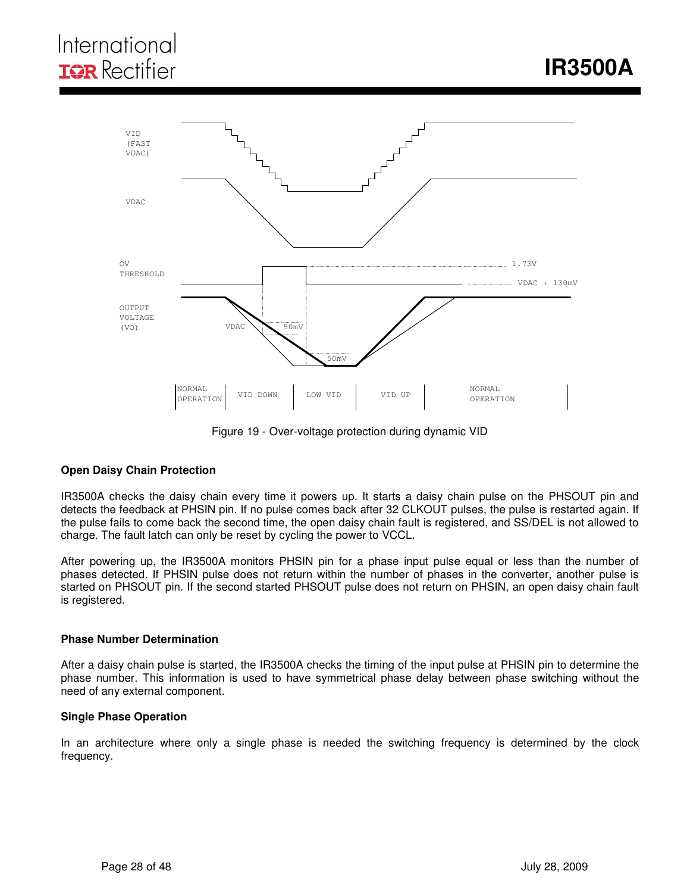# International **IGR** Rectifier



Figure 19 - Over-voltage protection during dynamic VID

#### **Open Daisy Chain Protection**

IR3500A checks the daisy chain every time it powers up. It starts a daisy chain pulse on the PHSOUT pin and detects the feedback at PHSIN pin. If no pulse comes back after 32 CLKOUT pulses, the pulse is restarted again. If the pulse fails to come back the second time, the open daisy chain fault is registered, and SS/DEL is not allowed to charge. The fault latch can only be reset by cycling the power to VCCL.

After powering up, the IR3500A monitors PHSIN pin for a phase input pulse equal or less than the number of phases detected. If PHSIN pulse does not return within the number of phases in the converter, another pulse is started on PHSOUT pin. If the second started PHSOUT pulse does not return on PHSIN, an open daisy chain fault is registered.

#### **Phase Number Determination**

After a daisy chain pulse is started, the IR3500A checks the timing of the input pulse at PHSIN pin to determine the phase number. This information is used to have symmetrical phase delay between phase switching without the need of any external component.

#### **Single Phase Operation**

In an architecture where only a single phase is needed the switching frequency is determined by the clock frequency.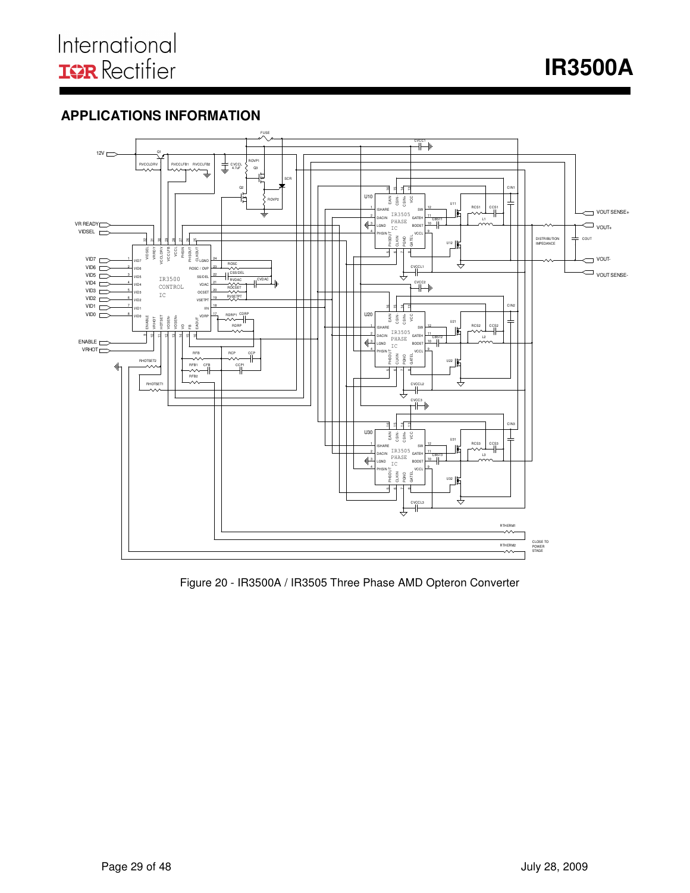**IR3500A** 

### **APPLICATIONS INFORMATION**



Figure 20 - IR3500A / IR3505 Three Phase AMD Opteron Converter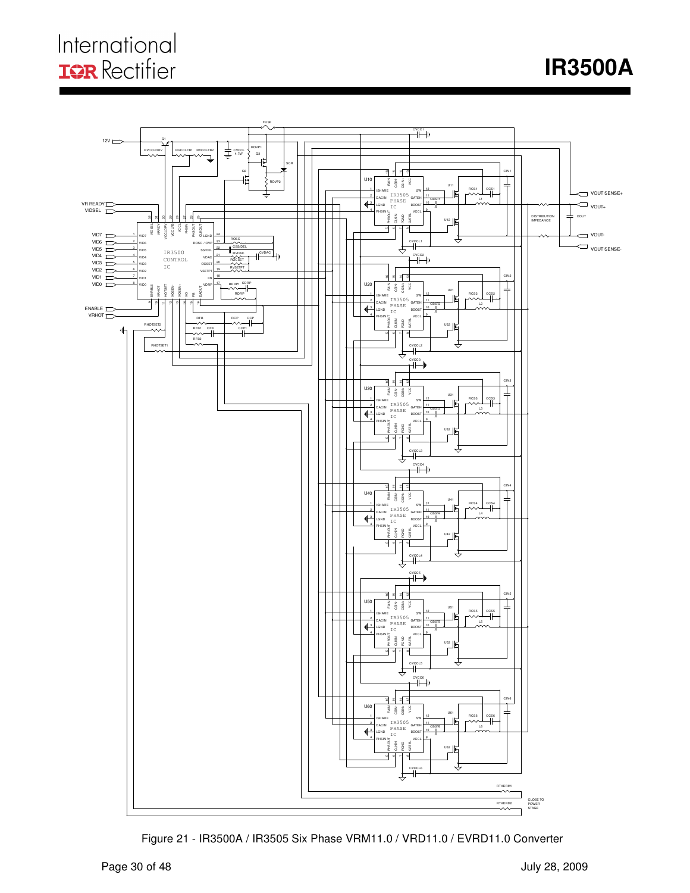# International **IQR** Rectifier

**IR3500A** 



Figure 21 - IR3500A / IR3505 Six Phase VRM11.0 / VRD11.0 / EVRD11.0 Converter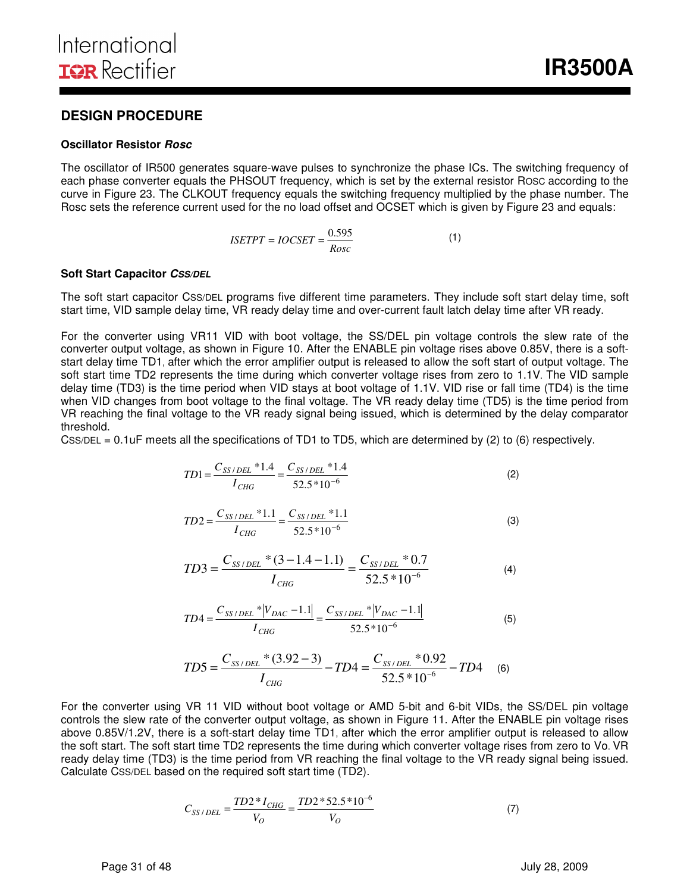### **DESIGN PROCEDURE**

#### **Oscillator Resistor Rosc**

The oscillator of IR500 generates square-wave pulses to synchronize the phase ICs. The switching frequency of each phase converter equals the PHSOUT frequency, which is set by the external resistor ROSC according to the curve in Figure 23. The CLKOUT frequency equals the switching frequency multiplied by the phase number. The Rosc sets the reference current used for the no load offset and OCSET which is given by Figure 23 and equals:

$$
ISETPT = IOCSET = \frac{0.595}{Rosc}
$$
 (1)

#### **Soft Start Capacitor CSS/DEL**

The soft start capacitor CSS/DEL programs five different time parameters. They include soft start delay time, soft start time, VID sample delay time, VR ready delay time and over-current fault latch delay time after VR ready.

For the converter using VR11 VID with boot voltage, the SS/DEL pin voltage controls the slew rate of the converter output voltage, as shown in Figure 10. After the ENABLE pin voltage rises above 0.85V, there is a softstart delay time TD1, after which the error amplifier output is released to allow the soft start of output voltage. The soft start time TD2 represents the time during which converter voltage rises from zero to 1.1V. The VID sample delay time (TD3) is the time period when VID stays at boot voltage of 1.1V. VID rise or fall time (TD4) is the time when VID changes from boot voltage to the final voltage. The VR ready delay time (TD5) is the time period from VR reaching the final voltage to the VR ready signal being issued, which is determined by the delay comparator threshold.

CSS/DEL =  $0.1$ uF meets all the specifications of TD1 to TD5, which are determined by (2) to (6) respectively.

$$
TD1 = \frac{C_{SS/DEL} * 1.4}{I_{CHG}} = \frac{C_{SS/DEL} * 1.4}{52.5 * 10^{-6}}
$$
(2)

$$
TD2 = \frac{C_{SS/DEL} * 1.1}{I_{CHG}} = \frac{C_{SS/DEL} * 1.1}{52.5 * 10^{-6}}
$$
(3)

$$
TD3 = \frac{C_{SS/DEL} * (3 - 1.4 - 1.1)}{I_{CHG}} = \frac{C_{SS/DEL} * 0.7}{52.5 * 10^{-6}}
$$
(4)

$$
TD4 = \frac{C_{SS/DEL} * |V_{DAC} - 1.1|}{I_{CHG}} = \frac{C_{SS/DEL} * |V_{DAC} - 1.1|}{52.5 * 10^{-6}}
$$
(5)

$$
TD5 = \frac{C_{SS/DEL} * (3.92 - 3)}{I_{CHG}} - TD4 = \frac{C_{SS/DEL} * 0.92}{52.5 * 10^{-6}} - TD4
$$
 (6)

For the converter using VR 11 VID without boot voltage or AMD 5-bit and 6-bit VIDs, the SS/DEL pin voltage controls the slew rate of the converter output voltage, as shown in Figure 11. After the ENABLE pin voltage rises above 0.85V/1.2V, there is a soft-start delay time TD1, after which the error amplifier output is released to allow the soft start. The soft start time TD2 represents the time during which converter voltage rises from zero to Vo. VR ready delay time (TD3) is the time period from VR reaching the final voltage to the VR ready signal being issued. Calculate CSS/DEL based on the required soft start time (TD2).

$$
C_{SS/DEL} = \frac{TD2 * I_{CHG}}{V_O} = \frac{TD2 * 52.5 * 10^{-6}}{V_O}
$$
 (7)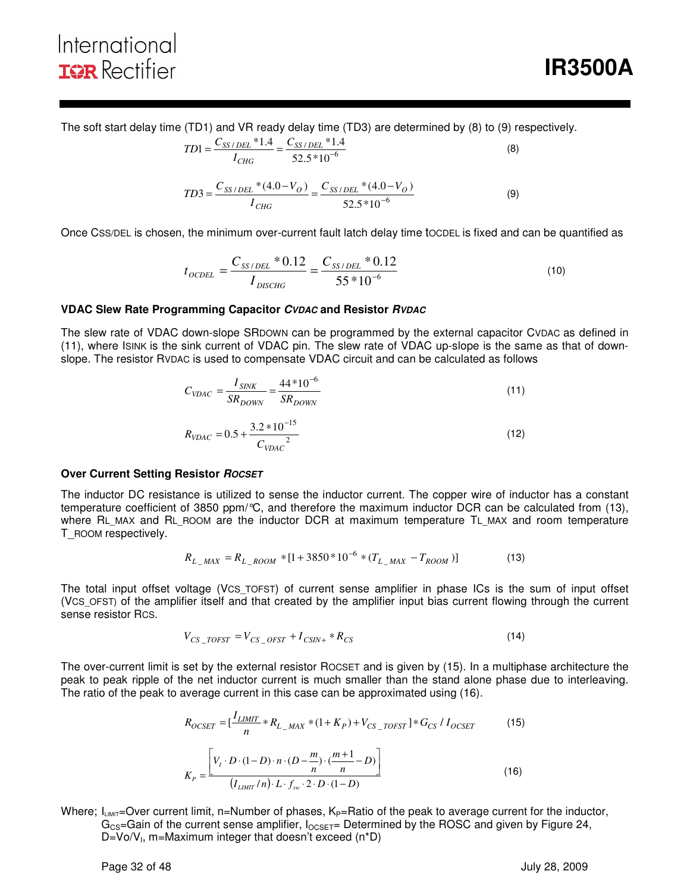The soft start delay time (TD1) and VR ready delay time (TD3) are determined by (8) to (9) respectively.

$$
TD1 = \frac{C_{SS/DEL} * 1.4}{I_{CHG}} = \frac{C_{SS/DEL} * 1.4}{52.5 * 10^{-6}}
$$
(8)

$$
TD3 = \frac{C_{SS/DEL} * (4.0 - V_O)}{I_{CHG}} = \frac{C_{SS/DEL} * (4.0 - V_O)}{52.5 * 10^{-6}}
$$
(9)

Once CSS/DEL is chosen, the minimum over-current fault latch delay time tOCDEL is fixed and can be quantified as

$$
t_{OCDEL} = \frac{C_{SS/DEL} * 0.12}{I_{DISCHG}} = \frac{C_{SS/DEL} * 0.12}{55 * 10^{-6}}
$$
(10)

#### **VDAC Slew Rate Programming Capacitor CVDAC and Resistor RVDAC**

*VDAC*

The slew rate of VDAC down-slope SRDOWN can be programmed by the external capacitor CVDAC as defined in (11), where ISINK is the sink current of VDAC pin. The slew rate of VDAC up-slope is the same as that of downslope. The resistor RVDAC is used to compensate VDAC circuit and can be calculated as follows

$$
C_{VDAC} = \frac{I_{SINK}}{SR_{DOWN}} = \frac{44*10^{-6}}{SR_{DOWN}}
$$
(11)  

$$
R_{VDAC} = 0.5 + \frac{3.2*10^{-15}}{C_{VDAC}^2}
$$
(12)

#### **Over Current Setting Resistor ROCSET**

The inductor DC resistance is utilized to sense the inductor current. The copper wire of inductor has a constant temperature coefficient of 3850 ppm/°C, and therefore the maximum inductor DCR can be calculated from (13), where RL\_MAX and RL\_ROOM are the inductor DCR at maximum temperature TL\_MAX and room temperature T\_ROOM respectively.

$$
R_{L\_MAX} = R_{L\_Room} * [1 + 3850 * 10^{-6} * (T_{L\_MAX} - T_{ROM})]
$$
(13)

The total input offset voltage (VCS\_TOFST) of current sense amplifier in phase ICs is the sum of input offset (VCS\_OFST) of the amplifier itself and that created by the amplifier input bias current flowing through the current sense resistor RCS.

$$
V_{CS\_TOFST} = V_{CS\_OFST} + I_{CSIN+} * R_{CS}
$$
\n
$$
\tag{14}
$$

The over-current limit is set by the external resistor ROCSET and is given by (15). In a multiphase architecture the peak to peak ripple of the net inductor current is much smaller than the stand alone phase due to interleaving. The ratio of the peak to average current in this case can be approximated using (16).

$$
R_{OCSET} = \left[\frac{I_{LIMIT}}{n} * R_{L_{MAX}} * (1 + K_P) + V_{CS_{TOST}}\right] * G_{CS} / I_{OCSET}
$$
(15)

$$
K_{P} = \frac{\left[V_{I} \cdot D \cdot (1 - D) \cdot n \cdot (D - \frac{m}{n}) \cdot (\frac{m+1}{n} - D)\right]}{(I_{LMMT} / n) \cdot L \cdot f_{sw} \cdot 2 \cdot D \cdot (1 - D)}
$$
(16)

Where;  $I_{LIMIT}=Over$  current limit, n=Number of phases,  $K_P=Ratio$  of the peak to average current for the inductor,  $G_{CS}$ =Gain of the current sense amplifier,  $I_{OCSET}$ = Determined by the ROSC and given by Figure 24,  $D=Vo/V<sub>1</sub>$ , m=Maximum integer that doesn't exceed (n\*D)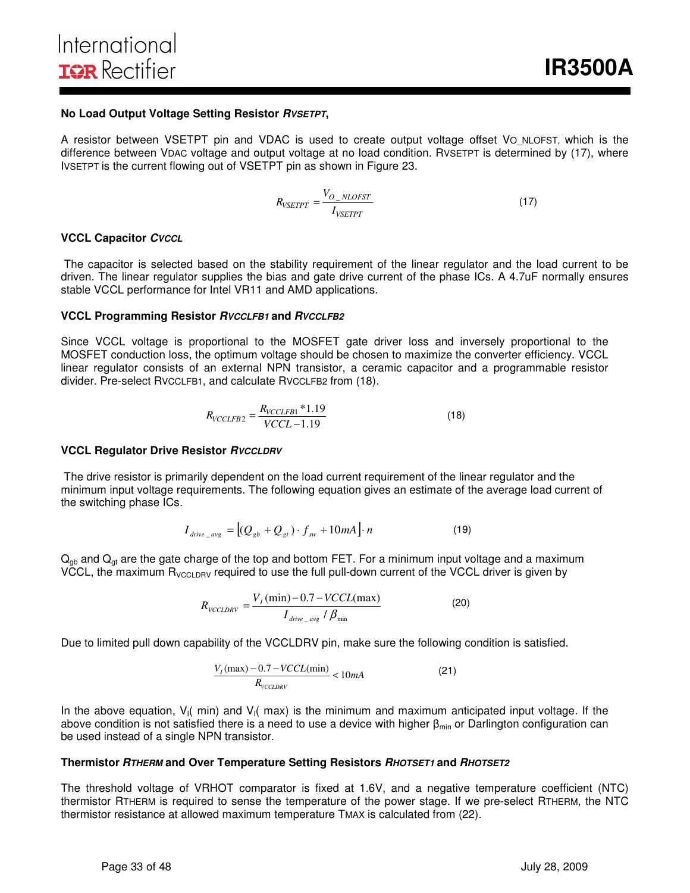#### **No Load Output Voltage Setting Resistor RVSETPT,**

A resistor between VSETPT pin and VDAC is used to create output voltage offset VO NLOFST, which is the difference between VDAC voltage and output voltage at no load condition. RVSETPT is determined by (17), where IVSETPT is the current flowing out of VSETPT pin as shown in Figure 23.

$$
R_{VSETPT} = \frac{V_{O_{-NLOFST}}}{I_{VSETPT}} \tag{17}
$$

#### **VCCL Capacitor CVCCL**

 The capacitor is selected based on the stability requirement of the linear regulator and the load current to be driven. The linear regulator supplies the bias and gate drive current of the phase ICs. A 4.7uF normally ensures stable VCCL performance for Intel VR11 and AMD applications.

#### **VCCL Programming Resistor RVCCLFB1 and RVCCLFB2**

Since VCCL voltage is proportional to the MOSFET gate driver loss and inversely proportional to the MOSFET conduction loss, the optimum voltage should be chosen to maximize the converter efficiency. VCCL linear regulator consists of an external NPN transistor, a ceramic capacitor and a programmable resistor divider. Pre-select RVCCLFB1, and calculate RVCCLFB2 from (18).

$$
R_{VCCLFB2} = \frac{R_{VCCLFB1} * 1.19}{VCCL - 1.19}
$$
\n(18)

#### **VCCL Regulator Drive Resistor RVCCLDRV**

 The drive resistor is primarily dependent on the load current requirement of the linear regulator and the minimum input voltage requirements. The following equation gives an estimate of the average load current of the switching phase ICs.

$$
I_{\text{drive}\_\text{avg}} = \left[ (Q_{\text{gb}} + Q_{\text{gt}}) \cdot f_{\text{sw}} + 10mA \right] \cdot n \tag{19}
$$

 $Q<sub>qb</sub>$  and  $Q<sub>gt</sub>$  are the gate charge of the top and bottom FET. For a minimum input voltage and a maximum VCCL, the maximum  $R_{VCCLDRV}$  required to use the full pull-down current of the VCCL driver is given by

$$
R_{\text{VCCLDRV}} = \frac{V_I \left(\text{min}\right) - 0.7 - \text{VCCL} \left(\text{max}\right)}{I_{\text{drive}\_\text{avg}} / \beta_{\text{min}}} \tag{20}
$$

Due to limited pull down capability of the VCCLDRV pin, make sure the following condition is satisfied.

$$
\frac{V_I(\text{max}) - 0.7 - VCCL(\text{min})}{R_{VCCLDFV}} < 10mA \tag{21}
$$

In the above equation,  $V_1$  min) and  $V_1$  max) is the minimum and maximum anticipated input voltage. If the above condition is not satisfied there is a need to use a device with higher  $\beta_{\text{min}}$  or Darlington configuration can be used instead of a single NPN transistor.

#### **Thermistor RTHERM and Over Temperature Setting Resistors RHOTSET1 and RHOTSET2**

The threshold voltage of VRHOT comparator is fixed at 1.6V, and a negative temperature coefficient (NTC) thermistor RTHERM is required to sense the temperature of the power stage. If we pre-select RTHERM, the NTC thermistor resistance at allowed maximum temperature TMAX is calculated from (22).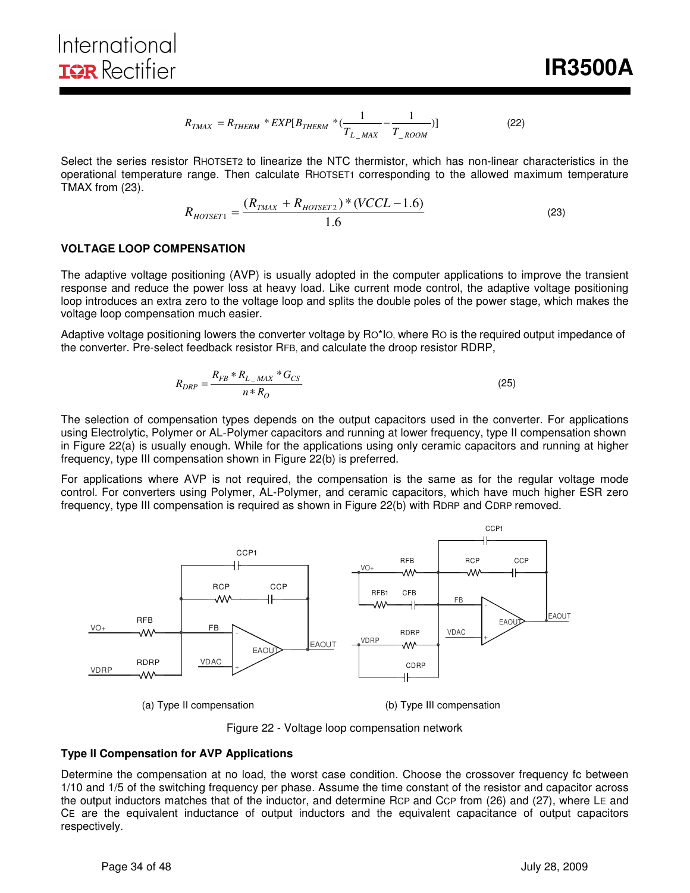$$
R_{TMAX} = R_{THERM} * EXP[B_{THERM} * (\frac{1}{T_{L\_MAX}} - \frac{1}{T_{\_ROOM}})]
$$
 (22)

Select the series resistor RHOTSET2 to linearize the NTC thermistor, which has non-linear characteristics in the operational temperature range. Then calculate RHOTSET1 corresponding to the allowed maximum temperature TMAX from (23).

$$
R_{HOTSET1} = \frac{(R_{TMAX} + R_{HOTSET2}) * (VCL - 1.6)}{1.6}
$$
 (23)

#### **VOLTAGE LOOP COMPENSATION**

The adaptive voltage positioning (AVP) is usually adopted in the computer applications to improve the transient response and reduce the power loss at heavy load. Like current mode control, the adaptive voltage positioning loop introduces an extra zero to the voltage loop and splits the double poles of the power stage, which makes the voltage loop compensation much easier.

Adaptive voltage positioning lowers the converter voltage by RO\*IO, where RO is the required output impedance of the converter. Pre-select feedback resistor RFB, and calculate the droop resistor RDRP,

$$
R_{DRP} = \frac{R_{FB} * R_{L\_MAX} * G_{CS}}{n * R_O}
$$
 (25)

The selection of compensation types depends on the output capacitors used in the converter. For applications using Electrolytic, Polymer or AL-Polymer capacitors and running at lower frequency, type II compensation shown in Figure 22(a) is usually enough. While for the applications using only ceramic capacitors and running at higher frequency, type III compensation shown in Figure 22(b) is preferred.

For applications where AVP is not required, the compensation is the same as for the regular voltage mode control. For converters using Polymer, AL-Polymer, and ceramic capacitors, which have much higher ESR zero frequency, type III compensation is required as shown in Figure 22(b) with RDRP and CDRP removed.



(a) Type II compensation (b) Type III compensation

Figure 22 - Voltage loop compensation network

### **Type II Compensation for AVP Applications**

Determine the compensation at no load, the worst case condition. Choose the crossover frequency fc between 1/10 and 1/5 of the switching frequency per phase. Assume the time constant of the resistor and capacitor across the output inductors matches that of the inductor, and determine RCP and CCP from (26) and (27), where LE and CE are the equivalent inductance of output inductors and the equivalent capacitance of output capacitors respectively.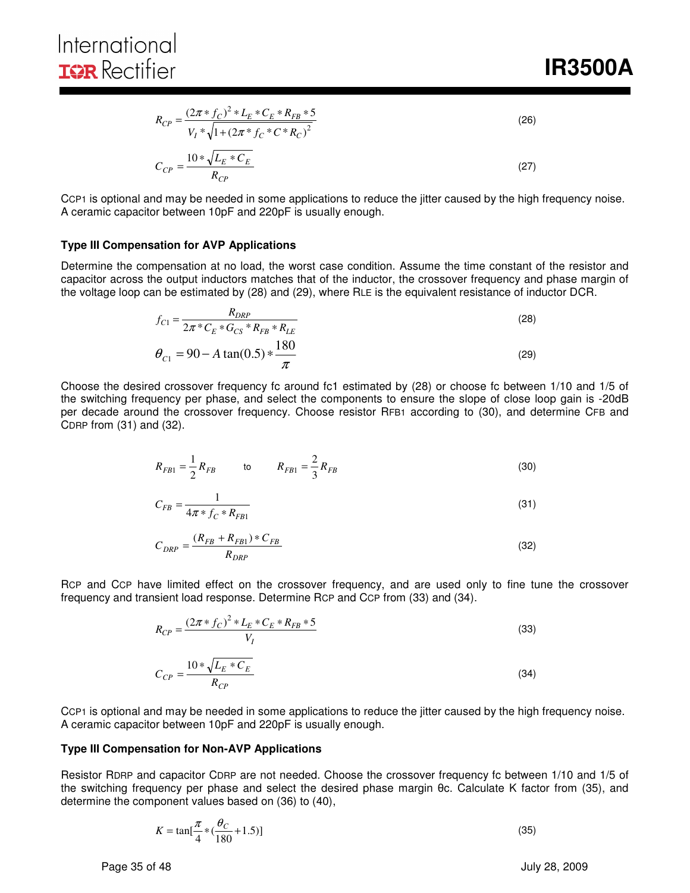**IR3500A** 

$$
R_{CP} = \frac{(2\pi * f_C)^2 * L_E * C_E * R_{FB} * 5}{V_I * \sqrt{1 + (2\pi * f_C * C * R_C)^2}}
$$
\n
$$
C_{CP} = \frac{10 * \sqrt{L_E * C_E}}{R_{CP}}
$$
\n(27)

CCP1 is optional and may be needed in some applications to reduce the jitter caused by the high frequency noise. A ceramic capacitor between 10pF and 220pF is usually enough.

#### **Type III Compensation for AVP Applications**

Determine the compensation at no load, the worst case condition. Assume the time constant of the resistor and capacitor across the output inductors matches that of the inductor, the crossover frequency and phase margin of the voltage loop can be estimated by (28) and (29), where RLE is the equivalent resistance of inductor DCR.

$$
f_{C1} = \frac{R_{DRP}}{2\pi \times C_E \times G_{CS} \times R_{FB} \times R_{LE}}
$$
  
\n
$$
\theta_{C1} = 90 - A \tan(0.5) \times \frac{180}{\pi}
$$
 (29)

Choose the desired crossover frequency fc around fc1 estimated by (28) or choose fc between 1/10 and 1/5 of the switching frequency per phase, and select the components to ensure the slope of close loop gain is -20dB per decade around the crossover frequency. Choose resistor RFB1 according to (30), and determine CFB and CDRP from (31) and (32).

$$
R_{FB1} = \frac{1}{2} R_{FB} \qquad \qquad \text{to} \qquad R_{FB1} = \frac{2}{3} R_{FB} \tag{30}
$$

$$
C_{FB} = \frac{1}{4\pi * f_C * R_{FB1}}
$$
\n(31)

$$
C_{DRP} = \frac{(R_{FB} + R_{FB1}) \cdot C_{FB}}{R_{DRP}} \tag{32}
$$

RCP and CCP have limited effect on the crossover frequency, and are used only to fine tune the crossover frequency and transient load response. Determine RCP and CCP from (33) and (34).

$$
R_{CP} = \frac{(2\pi * f_C)^2 * L_E * C_E * R_{FB} * 5}{V_I}
$$
\n
$$
C_{CP} = \frac{10 * \sqrt{L_E * C_E}}{R_{CP}}
$$
\n(33)

CCP1 is optional and may be needed in some applications to reduce the jitter caused by the high frequency noise. A ceramic capacitor between 10pF and 220pF is usually enough.

#### **Type III Compensation for Non-AVP Applications**

Resistor RDRP and capacitor CDRP are not needed. Choose the crossover frequency fc between 1/10 and 1/5 of the switching frequency per phase and select the desired phase margin θc. Calculate K factor from (35), and determine the component values based on (36) to (40),

$$
K = \tan[\frac{\pi}{4} * (\frac{\theta_C}{180} + 1.5)]
$$
\n(35)

Page 35 of 48 **July 28, 2009**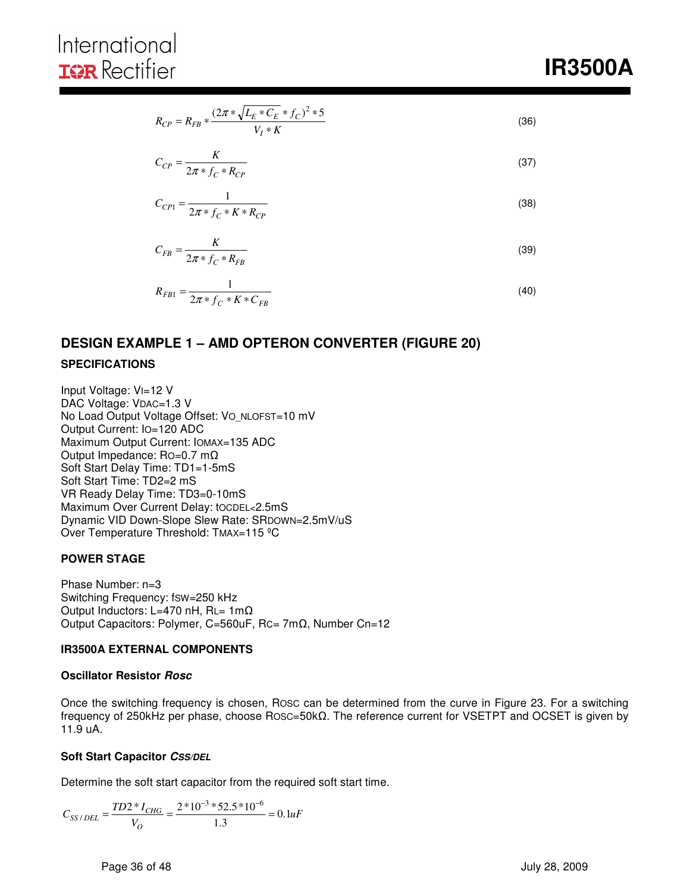# International **IOR** Rectifier

$$
R_{CP} = R_{FB} * \frac{(2\pi * \sqrt{L_E * C_E} * f_C)^2 * 5}{V_I * K}
$$
\n(36)

$$
C_{CP} = \frac{K}{2\pi * f_C * R_{CP}}
$$
\n<sup>(37)</sup>

$$
C_{CP1} = \frac{1}{2\pi * f_C * K * R_{CP}}
$$
\n(38)

$$
C_{FB} = \frac{K}{2\pi \cdot f_C \cdot R_{FB}}\tag{39}
$$

$$
R_{FB1} = \frac{1}{2\pi * f_C * K * C_{FB}}
$$
\n(40)

### **DESIGN EXAMPLE 1 – AMD OPTERON CONVERTER (FIGURE 20) SPECIFICATIONS**

Input Voltage: VI=12 V DAC Voltage: VDAC=1.3 V No Load Output Voltage Offset: Vo\_NLOFST=10 mV Output Current: IO=120 ADC Maximum Output Current: IOMAX=135 ADC Output Impedance: RO=0.7 mΩ Soft Start Delay Time: TD1=1-5mS Soft Start Time: TD2=2 mS VR Ready Delay Time: TD3=0-10mS Maximum Over Current Delay: tOCDEL<2.5mS Dynamic VID Down-Slope Slew Rate: SRDOWN=2.5mV/uS Over Temperature Threshold: TMAX=115 °C

#### **POWER STAGE**

Phase Number: n=3 Switching Frequency: fSW=250 kHz Output Inductors: L=470 nH, RL= 1mΩ Output Capacitors: Polymer, C=560uF, RC= 7mΩ, Number Cn=12

#### **IR3500A EXTERNAL COMPONENTS**

#### **Oscillator Resistor Rosc**

Once the switching frequency is chosen, ROSC can be determined from the curve in Figure 23. For a switching frequency of 250kHz per phase, choose ROSC=50kΩ. The reference current for VSETPT and OCSET is given by 11.9 uA.

#### **Soft Start Capacitor CSS/DEL**

Determine the soft start capacitor from the required soft start time.

$$
C_{SS/DEL} = \frac{TD2 \cdot N_{CHG}}{V_O} = \frac{2 \cdot 10^{-3} \cdot 52.5 \cdot 10^{-6}}{1.3} = 0.1 uF
$$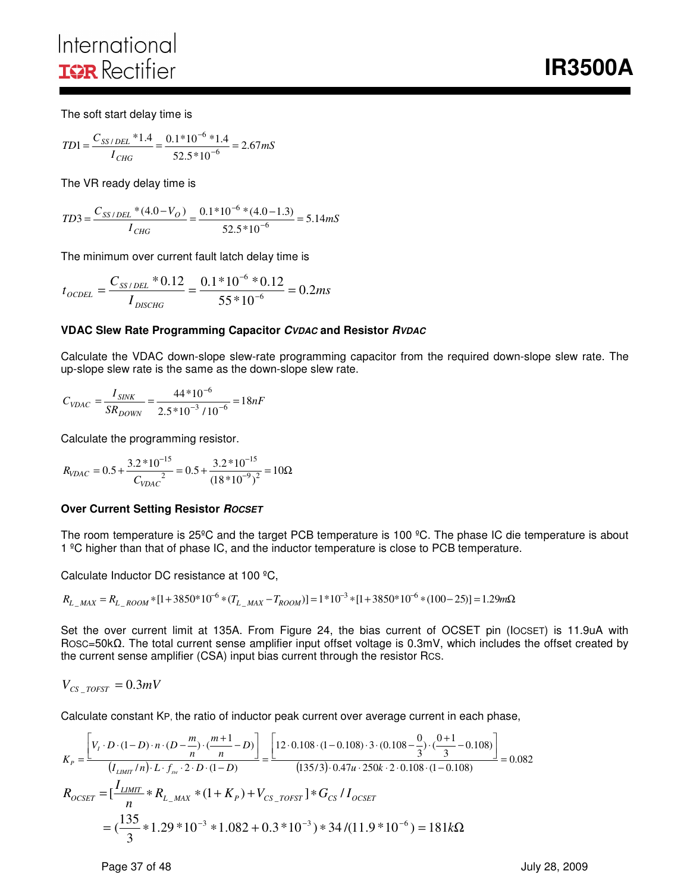# International **IGR** Rectifier

**IR3500A** 

The soft start delay time is

$$
TD1 = \frac{C_{SS/DEL} * 1.4}{I_{CHG}} = \frac{0.1 * 10^{-6} * 1.4}{52.5 * 10^{-6}} = 2.67 mS
$$

The VR ready delay time is

$$
TD3 = \frac{C_{SS/DEL} * (4.0 - V_O)}{I_{CHG}} = \frac{0.1 * 10^{-6} * (4.0 - 1.3)}{52.5 * 10^{-6}} = 5.14 mS
$$

The minimum over current fault latch delay time is

$$
t_{OCDEL} = \frac{C_{SS/DEL} * 0.12}{I_{DISCHG}} = \frac{0.1 * 10^{-6} * 0.12}{55 * 10^{-6}} = 0.2ms
$$

#### **VDAC Slew Rate Programming Capacitor CVDAC and Resistor RVDAC**

Calculate the VDAC down-slope slew-rate programming capacitor from the required down-slope slew rate. The up-slope slew rate is the same as the down-slope slew rate.

$$
C_{VDAC} = \frac{I_{SINK}}{SR_{DOWN}} = \frac{44*10^{-6}}{2.5*10^{-3} / 10^{-6}} = 18nF
$$

Calculate the programming resistor.

$$
R_{VDAC} = 0.5 + \frac{3.2 * 10^{-15}}{C_{VDAC}} = 0.5 + \frac{3.2 * 10^{-15}}{(18 * 10^{-9})^2} = 10\Omega
$$

#### **Over Current Setting Resistor ROCSET**

The room temperature is 25ºC and the target PCB temperature is 100 ºC. The phase IC die temperature is about 1 ºC higher than that of phase IC, and the inductor temperature is close to PCB temperature.

Calculate Inductor DC resistance at 100 ºC,

$$
R_{L\_MAX} = R_{L\_ROM} * [1 + 3850 * 10^{-6} * (T_{L\_MAX} - T_{ROM})] = 1 * 10^{-3} * [1 + 3850 * 10^{-6} * (100 - 25)] = 1.29 m\Omega
$$

Set the over current limit at 135A. From Figure 24, the bias current of OCSET pin (IOCSET) is 11.9uA with ROSC=50kΩ. The total current sense amplifier input offset voltage is 0.3mV, which includes the offset created by the current sense amplifier (CSA) input bias current through the resistor RCS.

$$
V_{CS\_TOFST}=0.3mV
$$

Calculate constant KP, the ratio of inductor peak current over average current in each phase,

$$
K_{p} = \frac{\left[ V_{l} \cdot D \cdot (1 - D) \cdot n \cdot (D - \frac{m}{n}) \cdot \frac{(m+1)}{n} - D \right]}{(I_{LMMT} / n) \cdot L \cdot f_{sw} \cdot 2 \cdot D \cdot (1 - D)} = \frac{\left[ 12 \cdot 0.108 \cdot (1 - 0.108) \cdot 3 \cdot (0.108 - \frac{0}{3}) \cdot \frac{(0 + 1)}{3} - 0.108 \right]}{(135/3) \cdot 0.47u \cdot 250k \cdot 2 \cdot 0.108 \cdot (1 - 0.108)} = 0.082
$$
  

$$
R_{OCSET} = \left[ \frac{I_{LMMT}}{n} * R_{L\_MAX} * (1 + K_{p}) + V_{CS\_TOEST} \right] * G_{CS} / I_{OCSET}
$$
  

$$
= \left( \frac{135}{3} * 1.29 * 10^{-3} * 1.082 + 0.3 * 10^{-3} \right) * 34 / (11.9 * 10^{-6}) = 181k\Omega
$$

Page 37 of 48 July 28, 2009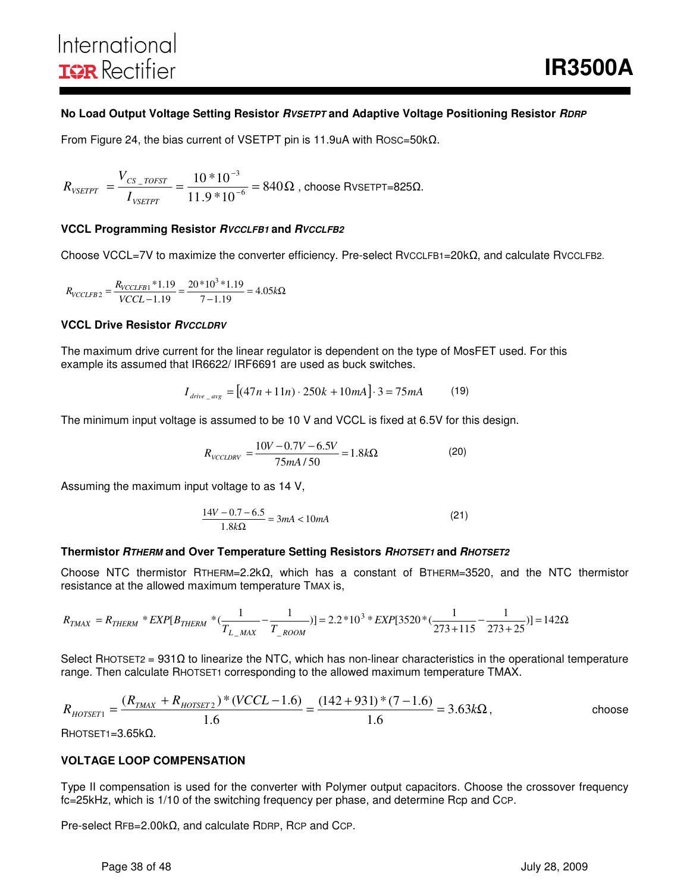#### **No Load Output Voltage Setting Resistor** *RVSETPT* **and Adaptive Voltage Positioning Resistor** *RDRP*

From Figure 24, the bias current of VSETPT pin is 11.9uA with ROSC=50kΩ.

$$
R_{\text{vsetPT}} = \frac{V_{CS\_TOFST}}{I_{\text{vsetPT}}} = \frac{10 * 10^{-3}}{11.9 * 10^{-6}} = 840 \Omega
$$
, choose RVSETPT=825 $\Omega$ .

#### **VCCL Programming Resistor RVCCLFB1 and RVCCLFB2**

Choose VCCL=7V to maximize the converter efficiency. Pre-select RVCCLFB1=20kΩ, and calculate RVCCLFB2.

$$
R_{VCCLFB2} = \frac{R_{VCCLFB1} * 1.19}{VCCL - 1.19} = \frac{20 * 10^3 * 1.19}{7 - 1.19} = 4.05k\Omega
$$

#### **VCCL Drive Resistor** *RVCCLDRV*

The maximum drive current for the linear regulator is dependent on the type of MosFET used. For this example its assumed that IR6622/ IRF6691 are used as buck switches.

$$
I_{drive \_{avg}} = [(47n + 11n) \cdot 250k + 10mA] \cdot 3 = 75mA \tag{19}
$$

The minimum input voltage is assumed to be 10 V and VCCL is fixed at 6.5V for this design.

$$
R_{\text{VCCLDRV}} = \frac{10V - 0.7V - 6.5V}{75mA/50} = 1.8k\Omega
$$
 (20)

Assuming the maximum input voltage to as 14 V,

$$
\frac{14V - 0.7 - 6.5}{1.8k\Omega} = 3mA < 10mA\tag{21}
$$

#### **Thermistor RTHERM and Over Temperature Setting Resistors RHOTSET1 and RHOTSET2**

Choose NTC thermistor RTHERM=2.2kΩ, which has a constant of BTHERM=3520, and the NTC thermistor resistance at the allowed maximum temperature TMAX is,

$$
R_{TMAX} = R_{THERM} * EXP[B_{THERM} * (\frac{1}{T_{L\_MAX}} - \frac{1}{T_{\_ROOM}})] = 2.2 * 10^3 * EXP[3520 * (\frac{1}{273 + 115} - \frac{1}{273 + 25})] = 142 \Omega
$$

Select RHOTSET2 = 931 $\Omega$  to linearize the NTC, which has non-linear characteristics in the operational temperature range. Then calculate RHOTSET1 corresponding to the allowed maximum temperature TMAX.

$$
R_{\text{HOTSET1}} = \frac{(R_{\text{TMAX}} + R_{\text{HOTSET2}}) * (VCCL - 1.6)}{1.6} = \frac{(142 + 931) * (7 - 1.6)}{1.6} = 3.63 \text{k}\Omega, \quad \text{choose}
$$

RHOTSET1=3.65kΩ.

#### **VOLTAGE LOOP COMPENSATION**

Type II compensation is used for the converter with Polymer output capacitors. Choose the crossover frequency fc=25kHz, which is 1/10 of the switching frequency per phase, and determine Rcp and CCP.

Pre-select RFB=2.00kΩ, and calculate RDRP, RCP and CCP.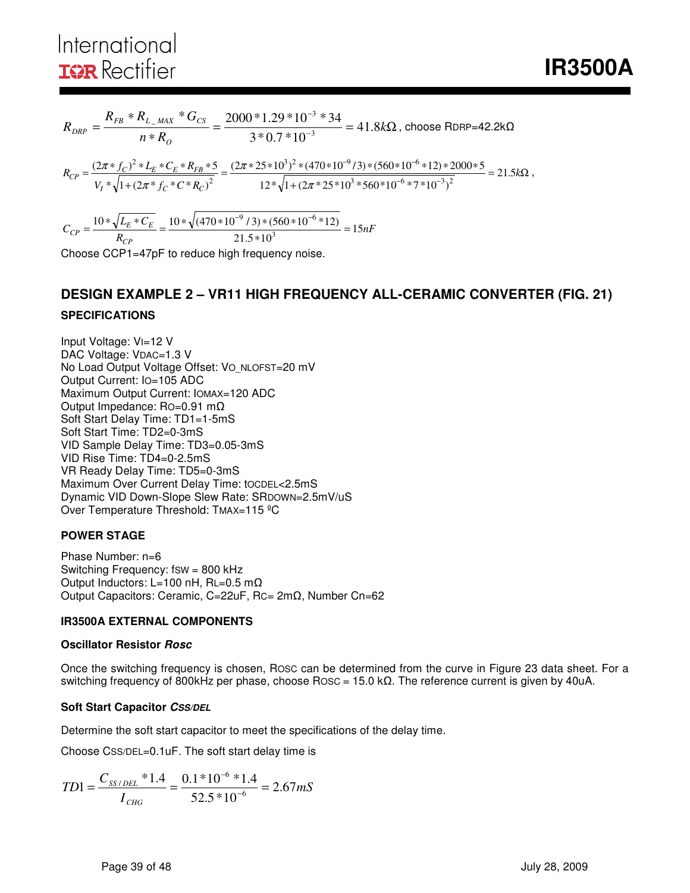$$
R_{\text{DRP}} = \frac{R_{\text{FB}} * R_{\text{L}_{\text{MAX}}} * G_{\text{CS}}}{n * R_{\text{O}}} = \frac{2000 * 1.29 * 10^{-3} * 34}{3 * 0.7 * 10^{-3}} = 41.8 \text{k}\Omega \text{ , choose RDRP=42.2k}\Omega
$$

 $= 21.5k\Omega$ +  $=\frac{(2\pi * 25 * 10^3)^2 * (470 * 10^{-9} / 3) * (560 * 10^{-6} * 12) * 2000 *}{\sqrt{1560 * 10^{-6} * 12}}$ +  $=\frac{(2\pi * f_C)^2 * L_E * C_E * R_{FB} * 5}{V * (1 + (2\pi * f + \kappa)^2)} = \frac{(2\pi * 25 * 10^3)^2 * (470 * 10^{-9} / 3) * (560 * 10^{-6} * 12)}{12 * (1 + (2\pi * 35 * 10^3 * 560 * 10^{-6} * 7 * 10^{-6} * 11))}$  $-9/3$  +  $(560+10^{-7})$ *k*  $V_I^* \sqrt{1 + (2\pi * f_C * C * R)}$  $R_{CP} = \frac{(2\pi * f_C)^2 * L_E * C_E * R}{\sqrt{2\pi}}$  $I \left( \sqrt{I + (2\mu)}/C \right) \left( C \right)$  $\frac{C}{C}C = \frac{(2\lambda \sqrt{C})^2 \sqrt{L_E} \sqrt{L_E} \sqrt{L_E} \sqrt{L_E} \sqrt{L_E} \sqrt{L_E} \sqrt{L_E} \sqrt{L_E} \sqrt{L_E} \sqrt{L_E} \sqrt{L_E} \sqrt{L_E} \sqrt{L_E} \sqrt{L_E} \sqrt{L_E} \sqrt{L_E} \sqrt{L_E} \sqrt{L_E} \sqrt{L_E} \sqrt{L_E} \sqrt{L_E} \sqrt{L_E} \sqrt{L_E} \sqrt{L_E} \sqrt{L_E} \sqrt{L_E} \sqrt{L_E} \sqrt{L_E} \sqrt{L_E} \sqrt{L_E} \sqrt{L_E} \sqrt{L_E} \sqrt{L_E}$  $12*\sqrt{1+(2\pi*25*10^3*560*10^{-6}*7*10^{-3})}$  $(2\pi * 25 * 10^3)^2 * (470 * 10^{-9} / 3) * (560 * 10^{-6} * 12) * 2000 * 5$ \*  $\sqrt{1 + (2\pi * f_C * C * R_C)}$  $(2\pi * f_C)^2 * L_E * C_E * R_{FB} * 5$  $3 * 560 * 10^{-6} * 7 * 10^{-3}$ <sup>2</sup>  $3\frac{3}{2}$  +  $(470 \times 10^{-9} 13)$  +  $(560 \times 10^{-6}$ 2 2 π π π  $\frac{\pi * f_C^{\text{+}} + f_C^{\text{+}} + f_C^{\text{+}} + f_C^{\text{+}} + f_C^{\text{+}} + f_C^{\text{+}}}{\pi} = \frac{(2\pi * 25 * 10^{\circ})^{\text{+}} + (470 * 10^{\circ})^{\text{+}} + (560 * 10^{\circ} * 12)^{\text{+}} + 2000 * 5}{\pi} = 21.5 \text{k}\Omega,$ 

 $\frac{R_{CP}}{R_{CP}} = \frac{10 \text{ V} (100 \text{ kg})(100 \text{ kg}) (100 \text{ kg})}{21.5 \times 10^3} = 15 nF$  $C_{CP} = \frac{10 * \sqrt{L_E * C}}{R}$ *CP*  $\frac{E_C}{C_P} = \frac{10 \times \sqrt{E_E \times E_E}}{R_{CP}} = \frac{10 \times \sqrt{(470 \times 10^{-7} \text{J}) \times (500 \times 10^{-7} \text{L})}}{21.5 \times 10^3} = 15$  $10 * \sqrt{L_E * C_E}$   $10 * \sqrt{(470 * 10^{-9} / 3) * (560 * 10^{-6} * 12)}$ 3  $9/3*(560*10^{-6}$ = ∗  $=\frac{10*\sqrt{L_E*C_E}}{E}=\frac{10*\sqrt{(470*10^{-9}/3)*(560*10^{-9}/3)}}{E}$  $-9$  (2)  $*(560 * 10^{-7})$ 

Choose CCP1=47pF to reduce high frequency noise.

# **DESIGN EXAMPLE 2 – VR11 HIGH FREQUENCY ALL-CERAMIC CONVERTER (FIG. 21)**

# **SPECIFICATIONS**

Input Voltage: VI=12 V DAC Voltage: VDAC=1.3 V No Load Output Voltage Offset: VO\_NLOFST=20 mV Output Current: IO=105 ADC Maximum Output Current: IOMAX=120 ADC Output Impedance: RO=0.91 mΩ Soft Start Delay Time: TD1=1-5mS Soft Start Time: TD2=0-3mS VID Sample Delay Time: TD3=0.05-3mS VID Rise Time: TD4=0-2.5mS VR Ready Delay Time: TD5=0-3mS Maximum Over Current Delay Time: tOCDEL<2.5mS Dynamic VID Down-Slope Slew Rate: SRDOWN=2.5mV/uS Over Temperature Threshold: TMAX=115 ºC

#### **POWER STAGE**

Phase Number: n=6 Switching Frequency: fsw = 800 kHz Output Inductors: L=100 nH, RL=0.5 mΩ Output Capacitors: Ceramic, C=22uF, RC= 2mΩ, Number Cn=62

#### **IR3500A EXTERNAL COMPONENTS**

#### **Oscillator Resistor Rosc**

Once the switching frequency is chosen, ROSC can be determined from the curve in Figure 23 data sheet. For a switching frequency of 800kHz per phase, choose ROSC = 15.0 kΩ. The reference current is given by 40uA.

#### **Soft Start Capacitor CSS/DEL**

Determine the soft start capacitor to meet the specifications of the delay time.

Choose CSS/DEL=0.1uF. The soft start delay time is

$$
TD1 = \frac{C_{SS/DEL} * 1.4}{I_{CHG}} = \frac{0.1 * 10^{-6} * 1.4}{52.5 * 10^{-6}} = 2.67 mS
$$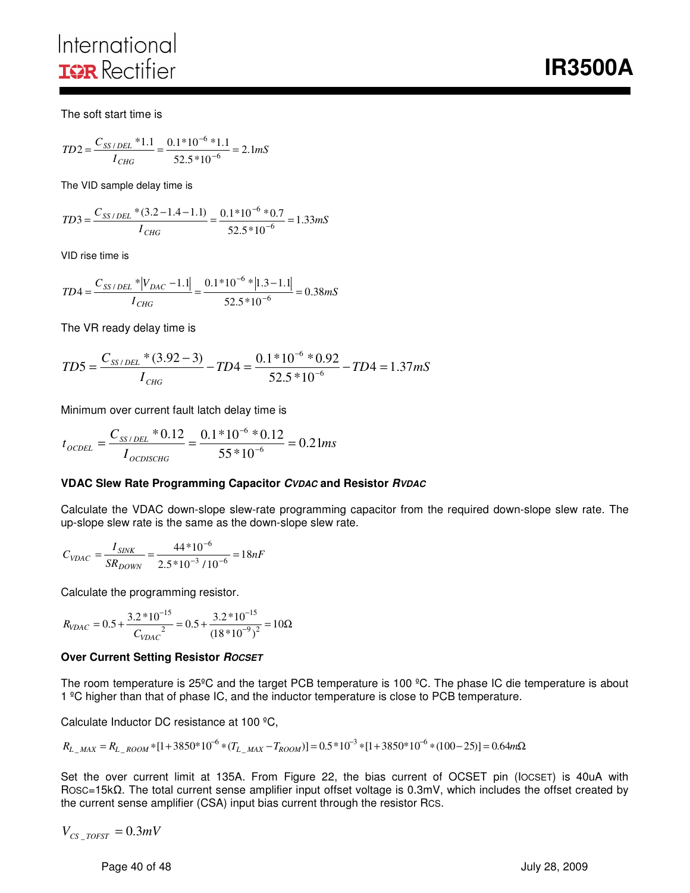**IR3500A** 

The soft start time is

$$
TD2 = \frac{C_{SS/DEL} * 1.1}{I_{CHG}} = \frac{0.1 * 10^{-6} * 1.1}{52.5 * 10^{-6}} = 2.1 mS
$$

The VID sample delay time is

$$
TD3 = \frac{C_{SS/DEL} * (3.2 - 1.4 - 1.1)}{I_{CHG}} = \frac{0.1 * 10^{-6} * 0.7}{52.5 * 10^{-6}} = 1.33 mS
$$

VID rise time is

$$
TD4 = \frac{C_{SS/DEL} * |V_{DAC} - 1.1|}{I_{CHG}} = \frac{0.1 * 10^{-6} * |1.3 - 1.1|}{52.5 * 10^{-6}} = 0.38 mS
$$

The VR ready delay time is

$$
TD5 = \frac{C_{SS/DEL} * (3.92 - 3)}{I_{CHG}} - TD4 = \frac{0.1 * 10^{-6} * 0.92}{52.5 * 10^{-6}} - TD4 = 1.37 \, \text{mS}
$$

Minimum over current fault latch delay time is

$$
t_{\text{OCDEL}} = \frac{C_{SS/DEL} * 0.12}{I_{\text{OCDISCHG}}} = \frac{0.1 * 10^{-6} * 0.12}{55 * 10^{-6}} = 0.21 ms
$$

#### **VDAC Slew Rate Programming Capacitor CVDAC and Resistor RVDAC**

Calculate the VDAC down-slope slew-rate programming capacitor from the required down-slope slew rate. The up-slope slew rate is the same as the down-slope slew rate.

$$
C_{VDAC} = \frac{I_{SINK}}{SR_{DOWN}} = \frac{44*10^{-6}}{2.5*10^{-3}/10^{-6}} = 18nF
$$

Calculate the programming resistor.

$$
R_{VDAC} = 0.5 + \frac{3.2 * 10^{-15}}{C_{VDAC}} = 0.5 + \frac{3.2 * 10^{-15}}{(18 * 10^{-9})^2} = 10\Omega
$$

#### **Over Current Setting Resistor ROCSET**

The room temperature is 25°C and the target PCB temperature is 100 °C. The phase IC die temperature is about 1 ºC higher than that of phase IC, and the inductor temperature is close to PCB temperature.

Calculate Inductor DC resistance at 100 ºC,

$$
R_{L_MAX} = R_{L_ROOM} * [1 + 3850 * 10^{-6} * (T_{L_MAX} - T_{ROOM})] = 0.5 * 10^{-3} * [1 + 3850 * 10^{-6} * (100 - 25)] = 0.64 m\Omega
$$

Set the over current limit at 135A. From Figure 22, the bias current of OCSET pin (IOCSET) is 40uA with ROSC=15kΩ. The total current sense amplifier input offset voltage is 0.3mV, which includes the offset created by the current sense amplifier (CSA) input bias current through the resistor RCS.

$$
V_{CS\_TOFST} = 0.3 mV
$$

Page 40 of 48 July 28, 2009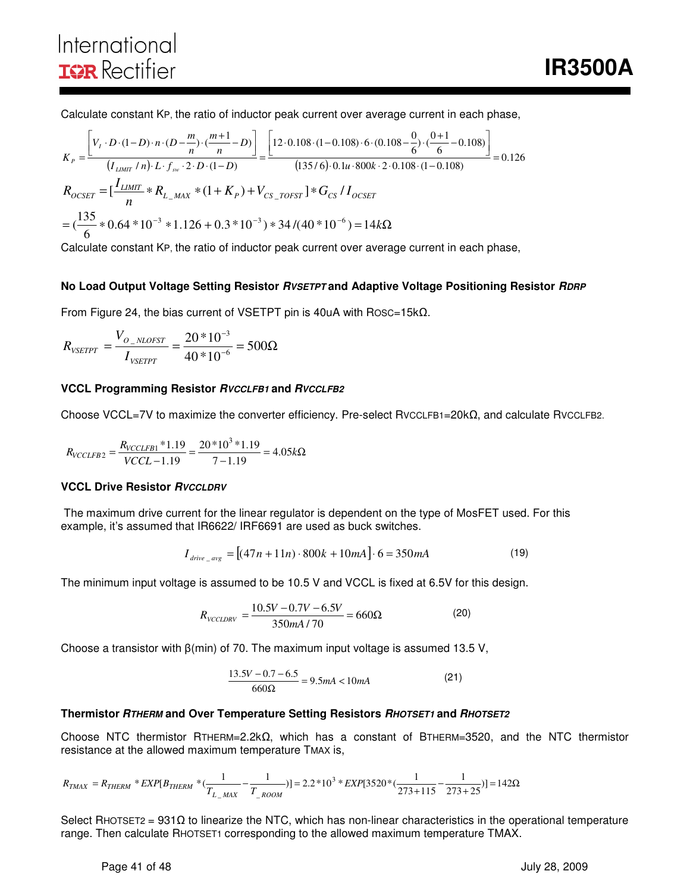# International **IOR** Rectifier

Calculate constant KP, the ratio of inductor peak current over average current in each phase,

$$
K_{P} = \frac{\left[V_{I} \cdot D \cdot (1-D) \cdot n \cdot (D - \frac{m}{n}) \cdot (\frac{m+1}{n} - D)\right]}{(I_{LIMIT} / n) \cdot L \cdot f_{sw} \cdot 2 \cdot D \cdot (1-D)} = \frac{\left[12 \cdot 0.108 \cdot (1-0.108) \cdot 6 \cdot (0.108 - \frac{0}{6}) \cdot (\frac{0+1}{6} - 0.108)\right]}{(135/6) \cdot 0.1u \cdot 800k \cdot 2 \cdot 0.108 \cdot (1-0.108)} = 0.126
$$
  

$$
R_{OCSET} = \left[\frac{I_{LIMIT}}{n} * R_{L_{\_MAX}} * (1 + K_{P}) + V_{CS_{\_TOFST}}\right] * G_{CS} / I_{OCSET}
$$

$$
= (\frac{135}{6} * 0.64 * 10^{-3} * 1.126 + 0.3 * 10^{-3}) * 34 / (40 * 10^{-6}) = 14k\Omega
$$

Calculate constant KP, the ratio of inductor peak current over average current in each phase,

#### **No Load Output Voltage Setting Resistor RVSETPT and Adaptive Voltage Positioning Resistor RDRP**

From Figure 24, the bias current of VSETPT pin is 40uA with ROSC=15kΩ.

$$
R_{\text{VSETPT}} = \frac{V_{O_{\text{NLOFST}}}}{I_{\text{VSETPT}}} = \frac{20 * 10^{-3}}{40 * 10^{-6}} = 500 \Omega
$$

#### **VCCL Programming Resistor RVCCLFB1 and RVCCLFB2**

Choose VCCL=7V to maximize the converter efficiency. Pre-select RVCCLFB1=20kΩ, and calculate RVCCLFB2.

$$
R_{VCCLFB2} = \frac{R_{VCCLFB1} * 1.19}{VCCL - 1.19} = \frac{20 * 10^3 * 1.19}{7 - 1.19} = 4.05k\Omega
$$

#### **VCCL Drive Resistor RVCCLDRV**

 The maximum drive current for the linear regulator is dependent on the type of MosFET used. For this example, it's assumed that IR6622/ IRF6691 are used as buck switches.

$$
I_{drive \_{avg}} = [(47n + 11n) \cdot 800k + 10mA] \cdot 6 = 350mA \tag{19}
$$

The minimum input voltage is assumed to be 10.5 V and VCCL is fixed at 6.5V for this design.

$$
R_{\text{VCCLDRV}} = \frac{10.5V - 0.7V - 6.5V}{350mA/70} = 660\Omega\tag{20}
$$

Choose a transistor with β(min) of 70. The maximum input voltage is assumed 13.5 V,

$$
\frac{13.5V - 0.7 - 6.5}{660\Omega} = 9.5mA < 10mA\tag{21}
$$

#### **Thermistor RTHERM and Over Temperature Setting Resistors RHOTSET1 and RHOTSET2**

Choose NTC thermistor RTHERM=2.2kΩ, which has a constant of BTHERM=3520, and the NTC thermistor resistance at the allowed maximum temperature TMAX is,

$$
R_{TMAX}=R_{THERM}*EXP[B_{THERM}*(\frac{1}{T_{L\_MAX}}-\frac{1}{T_{\_Room}})]=2.2*10^3*EXP[3520*(\frac{1}{273+115}-\frac{1}{273+25})]=142\Omega
$$

Select RHOTSET2 = 931Ω to linearize the NTC, which has non-linear characteristics in the operational temperature range. Then calculate RHOTSET1 corresponding to the allowed maximum temperature TMAX.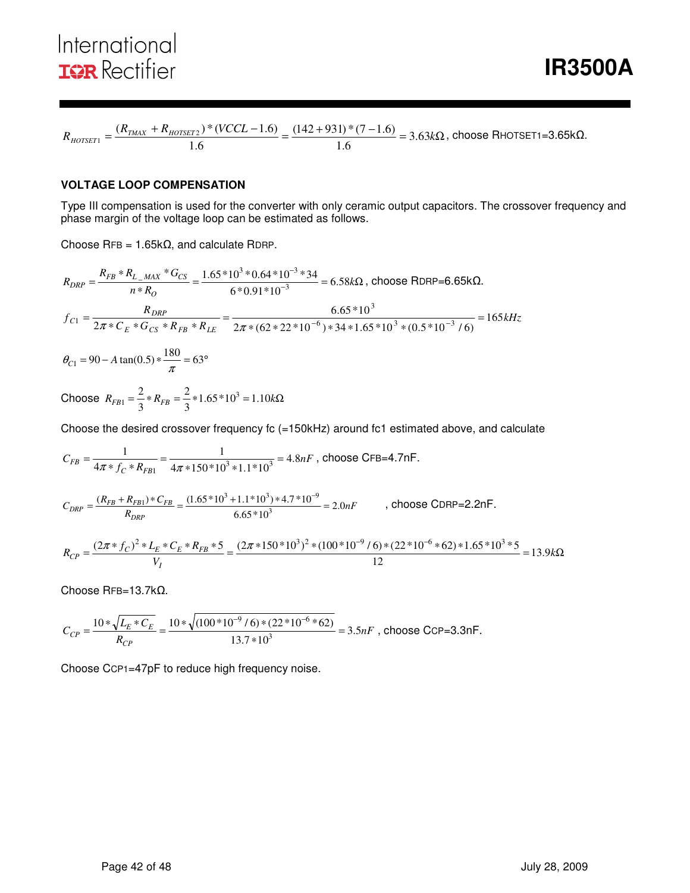$$
R_{\text{HOTSET1}} = \frac{(R_{\text{TMAX}} + R_{\text{HOTSET2}}) * (VCCL - 1.6)}{1.6} = \frac{(142 + 931) * (7 - 1.6)}{1.6} = 3.63 \text{k}\Omega, \text{ choose RHOTSET1 = 3.65 k}\Omega.
$$

#### **VOLTAGE LOOP COMPENSATION**

Type III compensation is used for the converter with only ceramic output capacitors. The crossover frequency and phase margin of the voltage loop can be estimated as follows.

Choose RFB = 1.65kΩ, and calculate RDRP.

$$
R_{DRP} = \frac{R_{FB} * R_{L_{\_MAX}} * G_{CS}}{n * R_{O}} = \frac{1.65 * 10^{3} * 0.64 * 10^{-3} * 34}{6 * 0.91 * 10^{-3}} = 6.58k\Omega, \text{ choose RDRP=6.65k}\Omega.
$$
  

$$
f_{C1} = \frac{R_{DRP}}{2\pi * C_{E} * G_{CS} * R_{FB} * R_{LE}} = \frac{6.65 * 10^{3}}{2\pi * (62 * 22 * 10^{-6}) * 34 * 1.65 * 10^{3} * (0.5 * 10^{-3} / 6)} = 165kHz
$$

 $\theta_{C1} = 90 - A \tan(0.5) * \frac{180}{\pi} = 63^{\circ}$ 

Choose  $R_{FB1} = \frac{2}{3} * R_{FB} = \frac{2}{3} * 1.65 * 10^3 = 1.10 kΩ$ 2 3  $R_{FB} = \frac{2}{3} * R_{FB} = \frac{2}{3} * 1.65 * 10^3$ 

Choose the desired crossover frequency fc (=150kHz) around fc1 estimated above, and calculate

$$
C_{FB} = \frac{1}{4\pi * f_C * R_{FB1}} = \frac{1}{4\pi * 150 * 10^3 * 1.1 * 10^3} = 4.8nF
$$
, choose CFB=4.7nF.

$$
C_{DRP} = \frac{(R_{FB} + R_{FB1}) \cdot C_{FB}}{R_{DRP}} = \frac{(1.65 \cdot 10^3 + 1.1 \cdot 10^3) \cdot 4.7 \cdot 10^{-9}}{6.65 \cdot 10^3} = 2.0nF
$$
, choose CDRP=2.2nF.

$$
R_{CP} = \frac{(2\pi * f_C)^2 * L_E * C_E * R_{FB} * 5}{V_I} = \frac{(2\pi * 150 * 10^3)^2 * (100 * 10^{-9} / 6) * (22 * 10^{-6} * 62) * 1.65 * 10^3 * 5}{12} = 13.9k\Omega
$$

Choose RFB=13.7kΩ.

$$
C_{CP} = \frac{10 * \sqrt{L_E * C_E}}{R_{CP}} = \frac{10 * \sqrt{(100 * 10^{-9} / 6) * (22 * 10^{-6} * 62)}}{13.7 * 10^3} = 3.5 nF
$$
, choose CCP=3.3 nF.

Choose CCP1=47pF to reduce high frequency noise.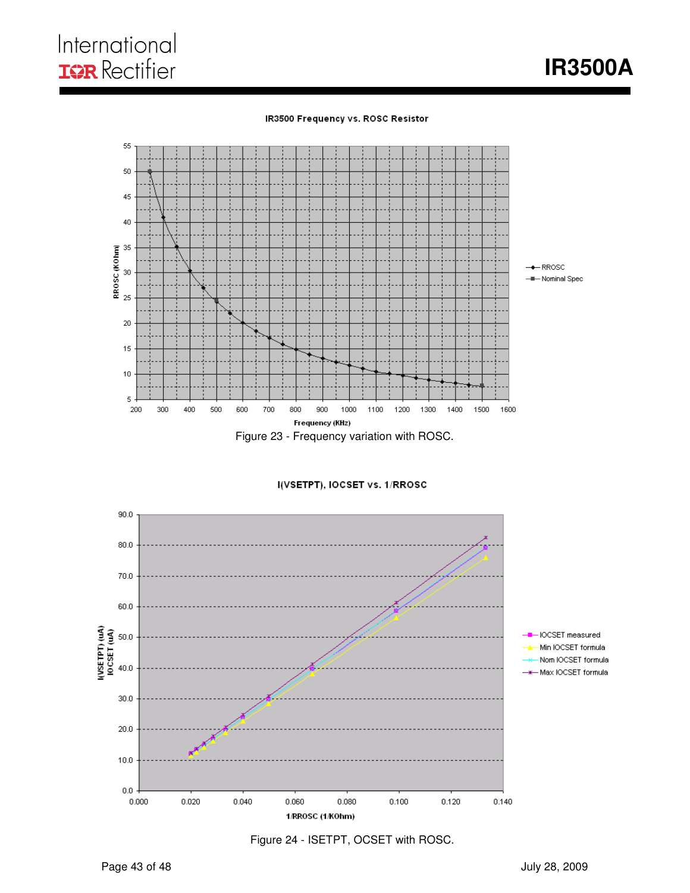



I(VSETPT), IOCSET vs. 1/RROSC



Figure 24 - ISETPT, OCSET with ROSC.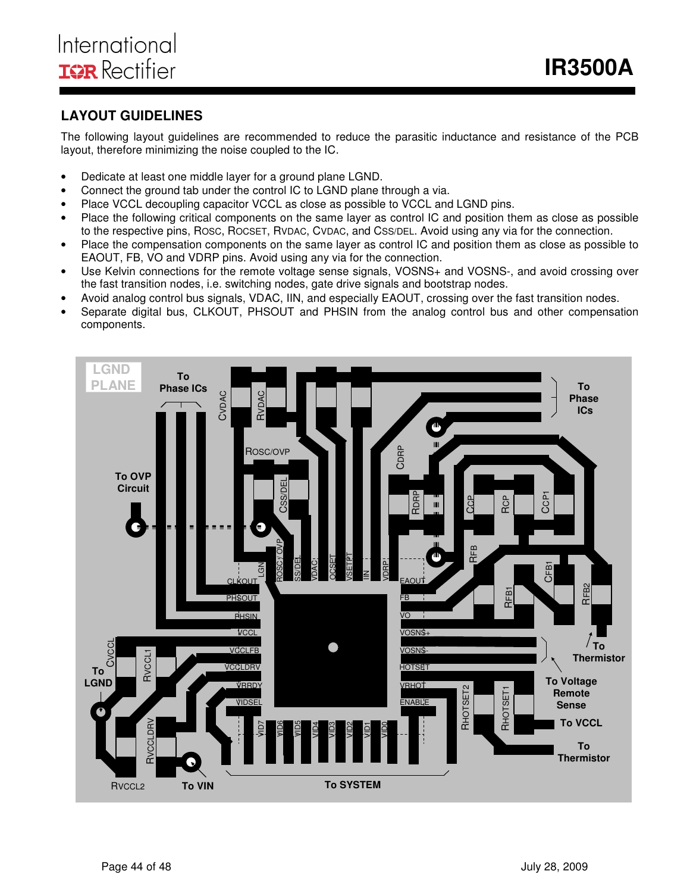## **LAYOUT GUIDELINES**

The following layout guidelines are recommended to reduce the parasitic inductance and resistance of the PCB layout, therefore minimizing the noise coupled to the IC.

- Dedicate at least one middle layer for a ground plane LGND.
- Connect the ground tab under the control IC to LGND plane through a via.
- Place VCCL decoupling capacitor VCCL as close as possible to VCCL and LGND pins.
- Place the following critical components on the same layer as control IC and position them as close as possible to the respective pins, ROSC, ROCSET, RVDAC, CVDAC, and CSS/DEL. Avoid using any via for the connection.
- Place the compensation components on the same layer as control IC and position them as close as possible to EAOUT, FB, VO and VDRP pins. Avoid using any via for the connection.
- Use Kelvin connections for the remote voltage sense signals, VOSNS+ and VOSNS-, and avoid crossing over the fast transition nodes, i.e. switching nodes, gate drive signals and bootstrap nodes.
- Avoid analog control bus signals, VDAC, IIN, and especially EAOUT, crossing over the fast transition nodes.
- Separate digital bus, CLKOUT, PHSOUT and PHSIN from the analog control bus and other compensation components.

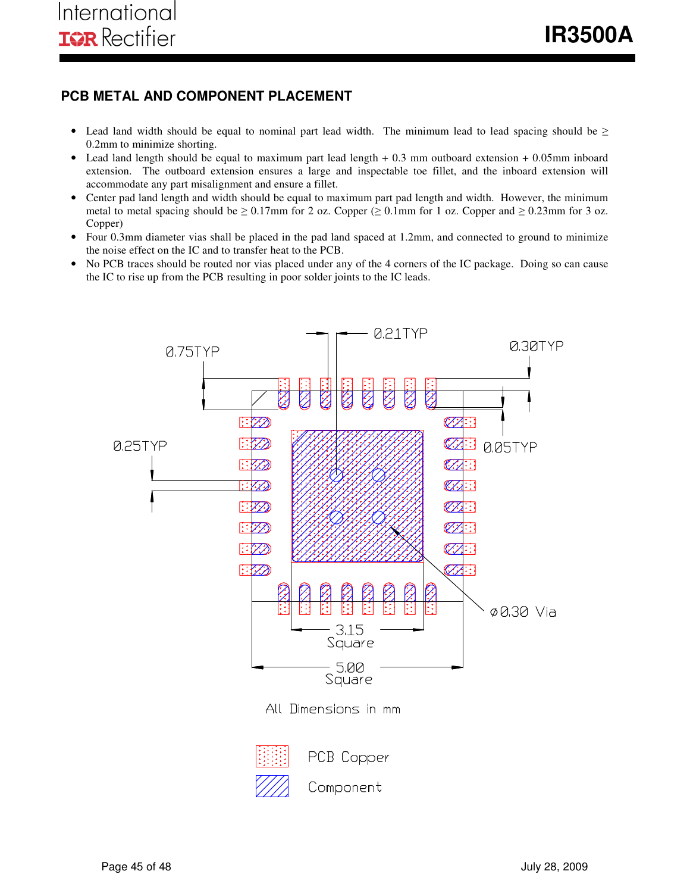### **PCB METAL AND COMPONENT PLACEMENT**

- Lead land width should be equal to nominal part lead width. The minimum lead to lead spacing should be  $\geq$ 0.2mm to minimize shorting.
- Lead land length should be equal to maximum part lead length + 0.3 mm outboard extension + 0.05mm inboard extension. The outboard extension ensures a large and inspectable toe fillet, and the inboard extension will accommodate any part misalignment and ensure a fillet.
- Center pad land length and width should be equal to maximum part pad length and width. However, the minimum metal to metal spacing should be  $\geq 0.17$ mm for 2 oz. Copper ( $\geq 0.1$ mm for 1 oz. Copper and  $\geq 0.23$ mm for 3 oz. Copper)
- Four 0.3mm diameter vias shall be placed in the pad land spaced at 1.2mm, and connected to ground to minimize the noise effect on the IC and to transfer heat to the PCB.
- No PCB traces should be routed nor vias placed under any of the 4 corners of the IC package. Doing so can cause the IC to rise up from the PCB resulting in poor solder joints to the IC leads.

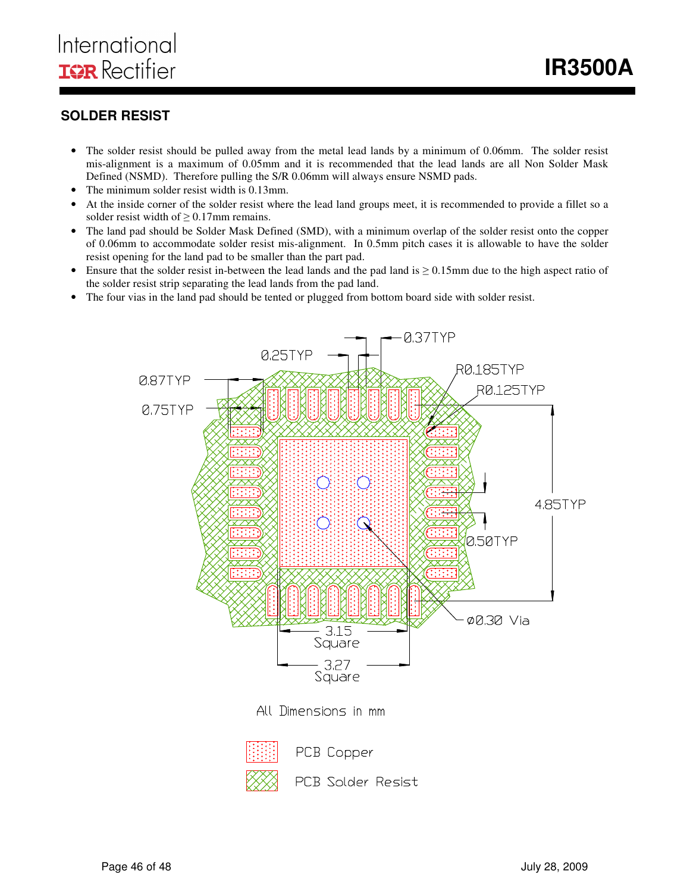### **SOLDER RESIST**

- The solder resist should be pulled away from the metal lead lands by a minimum of 0.06mm. The solder resist mis-alignment is a maximum of 0.05mm and it is recommended that the lead lands are all Non Solder Mask Defined (NSMD). Therefore pulling the S/R 0.06mm will always ensure NSMD pads.
- The minimum solder resist width is 0.13mm.
- At the inside corner of the solder resist where the lead land groups meet, it is recommended to provide a fillet so a solder resist width of  $\geq 0.17$ mm remains.
- The land pad should be Solder Mask Defined (SMD), with a minimum overlap of the solder resist onto the copper of 0.06mm to accommodate solder resist mis-alignment. In 0.5mm pitch cases it is allowable to have the solder resist opening for the land pad to be smaller than the part pad.
- Ensure that the solder resist in-between the lead lands and the pad land is  $\geq 0.15$ mm due to the high aspect ratio of the solder resist strip separating the lead lands from the pad land.
- The four vias in the land pad should be tented or plugged from bottom board side with solder resist.



PCB Solder Resist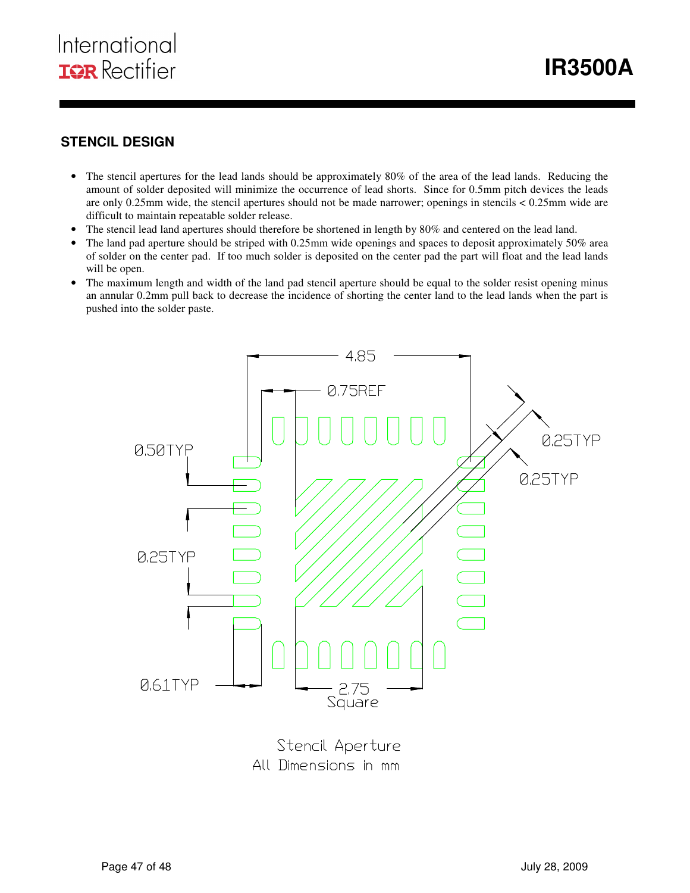## **STENCIL DESIGN**

- The stencil apertures for the lead lands should be approximately 80% of the area of the lead lands. Reducing the amount of solder deposited will minimize the occurrence of lead shorts. Since for 0.5mm pitch devices the leads are only 0.25mm wide, the stencil apertures should not be made narrower; openings in stencils < 0.25mm wide are difficult to maintain repeatable solder release.
- The stencil lead land apertures should therefore be shortened in length by 80% and centered on the lead land.
- The land pad aperture should be striped with 0.25mm wide openings and spaces to deposit approximately 50% area of solder on the center pad. If too much solder is deposited on the center pad the part will float and the lead lands will be open.
- The maximum length and width of the land pad stencil aperture should be equal to the solder resist opening minus an annular 0.2mm pull back to decrease the incidence of shorting the center land to the lead lands when the part is pushed into the solder paste.



Stencil Aperture All Dimensions in mm